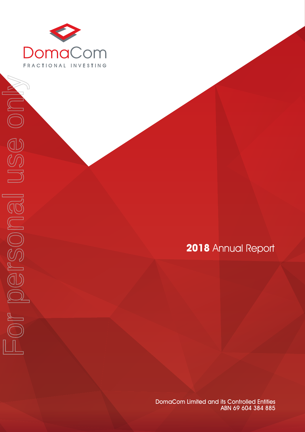

Forersonal use only

 $\begin{tabular}{|c|c|c|} \hline $p$ & $p$ & $p$ & $p$ \\ \hline $p$ & $p$ & $p$ & $p$ & $p$ \\ \hline $p$ & $p$ & $p$ & $p$ & $p$ \\ \hline $p$ & $p$ & $p$ & $p$ & $p$ \\ \hline $p$ & $p$ & $p$ & $p$ & $p$ \\ \hline $p$ & $p$ & $p$ & $p$ & $p$ \\ \hline $p$ & $p$ & $p$ & $p$ & $p$ \\ \hline $p$ & $p$ & $p$ & $p$ & $p$ \\ \hline $p$ & $p$ & $p$ & $p$ & $p$ \\ \hline$ 

ISS ON

# **2018** Annual Report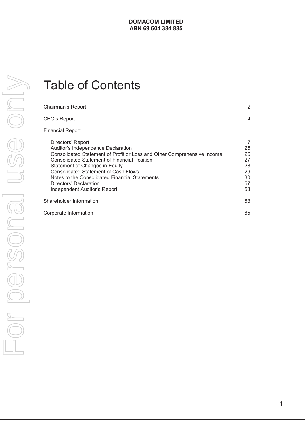# Table of Contents

| Chairman's Report                                                                                                                                                                                                                                                                                                                                                                      | $\overline{2}$                                    |
|----------------------------------------------------------------------------------------------------------------------------------------------------------------------------------------------------------------------------------------------------------------------------------------------------------------------------------------------------------------------------------------|---------------------------------------------------|
| CEO's Report                                                                                                                                                                                                                                                                                                                                                                           | 4                                                 |
| <b>Financial Report</b>                                                                                                                                                                                                                                                                                                                                                                |                                                   |
| Directors' Report<br>Auditor's Independence Declaration<br>Consolidated Statement of Profit or Loss and Other Comprehensive Income<br><b>Consolidated Statement of Financial Position</b><br>Statement of Changes in Equity<br><b>Consolidated Statement of Cash Flows</b><br>Notes to the Consolidated Financial Statements<br>Directors' Declaration<br>Independent Auditor's Report | 7<br>25<br>26<br>27<br>28<br>29<br>30<br>57<br>58 |
| Shareholder Information                                                                                                                                                                                                                                                                                                                                                                | 63                                                |
| Corporate Information                                                                                                                                                                                                                                                                                                                                                                  | 65                                                |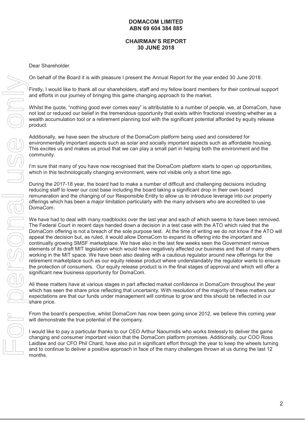#### **CHAIRMAN'S REPORT 30 JUNE 2018**

Dear Shareholder

On behalf of the Board it is with pleasure I present the Annual Report for the year ended 30 June 2018.

Firstly, I would like to thank all our shareholders, staff and my fellow board members for their continual support and efforts in our journey of bringing this game changing approach to the market.

Whilst the quote, "nothing good ever comes easy" is attributable to a number of people, we, at DomaCom, have not lost or reduced our belief in the tremendous opportunity that exists within fractional investing whether as a wealth accumulation tool or a retirement planning tool with the significant potential afforded by equity release product.

Additionally, we have seen the structure of the DomaCom platform being used and considered for environmentally important aspects such as solar and socially important aspects such as affordable housing. This excites us and makes us proud that we can play a small part in helping both the environment and the community.

I'm sure that many of you have now recognised that the DomaCom platform starts to open up opportunities, which in this technologically changing environment, were not visible only a short time ago.

During the 2017-18 year, the board had to make a number of difficult and challenging decisions including reducing staff to lower our cost base including the board taking a significant drop in their own board remuneration and the changing of our Responsible Entity to allow us to introduce leverage into our property offerings which has been a major limitation particularly with the many advisers who are accredited to use DomaCom.

We have had to deal with many roadblocks over the last year and each of which seems to have been removed. The Federal Court in recent days handed down a decision in a test case with the ATO which ruled that the DomaCom offering is not a breach of the sole purpose test. At the time of writing we do not know if the ATO will appeal the decision but, as ruled, it would allow DomaCom to expand its offering into the important and continually growing SMSF marketplace. We have also in the last few weeks seen the Government remove elements of its draft MIT legislation which would have negatively affected our business and that of many others working in the MIT space. We have been also dealing with a cautious regulator around new offerings for the retirement marketplace such as our equity release product where understandably the regulator wants to ensure the protection of consumers. Our equity release product is in the final stages of approval and which will offer a significant new business opportunity for DomaCom. This by the base of the base of the many challenge is the many charge of the base only model and the many challenges thrown at use only model and the material of the many challenges thrown at use of the continue to deliver

All these matters have at various stages in part affected market confidence in DomaCom throughout the year which has seen the share price reflecting that uncertainty. With resolution of the majority of these matters our expectations are that our funds under management will continue to grow and this should be reflected in our share price.

From the board's perspective, whilst DomaCom has now been going since 2012, we believe this coming year will demonstrate the true potential of the company.

I would like to pay a particular thanks to our CEO Arthur Naoumidis who works tirelessly to deliver the game changing and consumer important vision that the DomaCom platform promises. Additionally, our COO Ross Laidlaw and our CFO Phil Chard, have also put in significant effort through the year to keep the wheels turning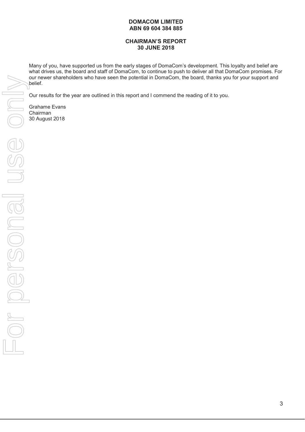# **CHAIRMAN'S REPORT 30 JUNE 2018**

Many of you, have supported us from the early stages of DomaCom's development. This loyalty and belief are what drives us, the board and staff of DomaCom, to continue to push to deliver all that DomaCom promises. For our newer shareholders who have seen the potential in DomaCom, the board, thanks you for your support and belief.

Our results for the year are outlined in this report and I commend the reading of it to you.

Grahame Evans Chairman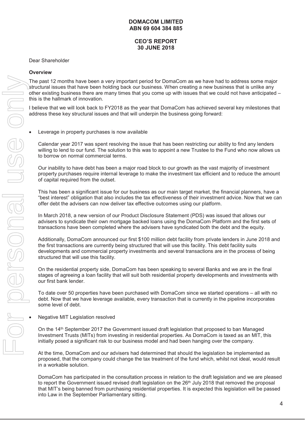# **CEO'S REPORT 30 JUNE 2018**

#### Dear Shareholder

#### **Overview**

The past 12 months have been a very important period for DomaCom as we have had to address some major structural issues that have been holding back our business. When creating a new business that is unlike any other existing business there are many times that you come up with issues that we could not have anticipated – this is the hallmark of innovation.

I believe that we will look back to FY2018 as the year that DomaCom has achieved several key milestones that address these key structural issues and that will underpin the business going forward:

Leverage in property purchases is now available

Calendar year 2017 was spent resolving the issue that has been restricting our ability to find any lenders willing to lend to our fund. The solution to this was to appoint a new Trustee to the Fund who now allows us to borrow on normal commercial terms.

Our inability to have debt has been a major road block to our growth as the vast majority of investment property purchases require internal leverage to make the investment tax efficient and to reduce the amount of capital required from the outset.

This has been a significant issue for our business as our main target market, the financial planners, have a "best interest" obligation that also includes the tax effectiveness of their investment advice. Now that we can offer debt the advisers can now deliver tax effective outcomes using our platform.

In March 2018, a new version of our Product Disclosure Statement (PDS) was issued that allows our advisers to syndicate their own mortgage backed loans using the DomaCom Platform and the first sets of transactions have been completed where the advisers have syndicated both the debt and the equity.

Additionally, DomaCom announced our first \$100 million debt facility from private lenders in June 2018 and the first transactions are currently being structured that will use this facility. This debt facility suits developments and commercial property investments and several transactions are in the process of being structured that will use this facility.

On the residential property side, DomaCom has been speaking to several Banks and we are in the final stages of agreeing a loan facility that will suit both residential property developments and investments with our first bank lender.

To date over 50 properties have been purchased with DomaCom since we started operations – all with no debt. Now that we have leverage available, every transaction that is currently in the pipeline incorporates some level of debt.

Negative MIT Legislation resolved

On the 14th September 2017 the Government issued draft legislation that proposed to ban Managed Investment Trusts (MITs) from investing in residential properties. As DomaCom is taxed as an MIT, this initially posed a significant risk to our business model and had been hanging over the company.

At the time, DomaCom and our advisers had determined that should the legislation be implemented as proposed, that the company could change the tax treatment of the fund which, whilst not ideal, would result in a workable solution.

DomaCom has participated in the consultation process in relation to the draft legislation and we are pleased to report the Government issued revised draft legislation on the  $26<sup>th</sup>$  July 2018 that removed the proposal that MIT's being banned from purchasing residential properties. It is expected this legislation will be passed into Law in the September Parliamentary sitting.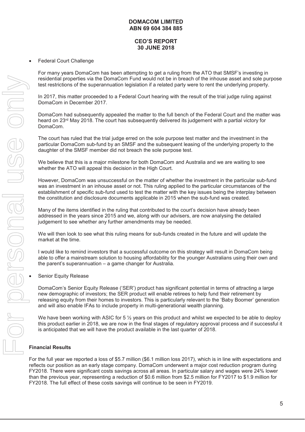# **CEO'S REPORT 30 JUNE 2018**

Federal Court Challenge

For many years DomaCom has been attempting to get a ruling from the ATO that SMSF's investing in residential properties via the DomaCom Fund would not be in breach of the inhouse asset and sole purpose test restrictions of the superannuation legislation if a related party were to rent the underlying property.

In 2017, this matter proceeded to a Federal Court hearing with the result of the trial judge ruling against DomaCom in December 2017.

DomaCom had subsequently appealed the matter to the full bench of the Federal Court and the matter was heard on 23<sup>rd</sup> May 2018. The court has subsequently delivered its judgement with a partial victory for DomaCom.

The court has ruled that the trial judge erred on the sole purpose test matter and the investment in the particular DomaCom sub-fund by an SMSF and the subsequent leasing of the underlying property to the daughter of the SMSF member did not breach the sole purpose test.

We believe that this is a major milestone for both DomaCom and Australia and we are waiting to see whether the ATO will appeal this decision in the High Court.

However, DomaCom was unsuccessful on the matter of whether the investment in the particular sub-fund was an investment in an inhouse asset or not. This ruling applied to the particular circumstances of the establishment of specific sub-fund used to test the matter with the key issues being the interplay between the constitution and disclosure documents applicable in 2015 when the sub-fund was created.

Many of the items identified in the ruling that contributed to the court's decision have already been addressed in the years since 2015 and we, along with our advisers, are now analysing the detailed judgement to see whether any further amendments may be needed.

We will then look to see what this ruling means for sub-funds created in the future and will update the market at the time.

I would like to remind investors that a successful outcome on this strategy will result in DomaCom being able to offer a mainstream solution to housing affordability for the younger Australians using their own and the parent's superannuation – a game changer for Australia.

Senior Equity Release

DomaCom's Senior Equity Release ('SER') product has significant potential in terms of attracting a large new demographic of investors; the SER product will enable retirees to help fund their retirement by releasing equity from their homes to investors. This is particularly relevant to the 'Baby Boomer' generation and will also enable IFAs to include property in multi-generational wealth planning.

We have been working with ASIC for  $5\frac{1}{2}$  years on this product and whilst we expected to be able to deploy this product earlier in 2018, we are now in the final stages of regulatory approval process and if successful it is anticipated that we will have the product available in the last quarter of 2018.

#### **Financial Results**

For the full year we reported a loss of \$5.7 million (\$6.1 million loss 2017), which is in line with expectations and reflects our position as an early stage company. DomaCom underwent a major cost reduction program during FY2018. There were significant costs savings across all areas. In particular salary and wages were 24% lower than the previous year, representing a reduction of \$0.6 million from \$2.5 million for FY2017 to \$1.9 million for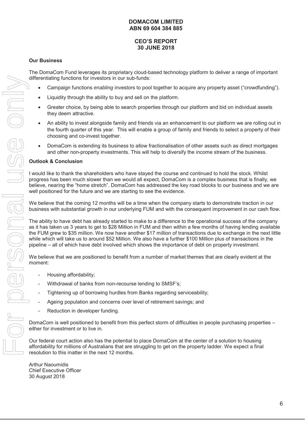# **CEO'S REPORT 30 JUNE 2018**

#### **Our Business**

The DomaCom Fund leverages its proprietary cloud-based technology platform to deliver a range of important differentiating functions for investors in our sub-funds:

- x Campaign functions *enabling* investors to pool together to acquire any property asset ("crowdfunding").
- Liquidity through the ability to buy and sell on the platform.
- Greater choice, by being able to search properties through our platform and bid on individual assets they deem attractive.
- An ability to invest alongside family and friends via an enhancement to our platform we are rolling out in the fourth quarter of this year. This will enable a group of family and friends to select a property of their choosing and co-invest together.
- DomaCom is extending its business to allow fractionalisation of other assets such as direct mortgages and other non-property investments. This will help to diversify the income stream of the business.

#### **Outlook & Conclusion**

I would like to thank the shareholders who have stayed the course and continued to hold the stock. Whilst progress has been much slower than we would all expect, DomaCom is a complex business that is finally, we believe, nearing the "home stretch". DomaCom has addressed the key road blocks to our business and we are well positioned for the future and we are starting to see the evidence.

We believe that the coming 12 months will be a time when the company starts to demonstrate traction in our business with substantial growth in our underlying FUM and with the consequent improvement in our cash flow.

The ability to have debt has already started to make to a difference to the operational success of the company as it has taken us 3 years to get to \$28 Million in FUM and then within a few months of having lending available the FUM grew to \$35 million. We now have another \$17 million of transactions due to exchange in the next little while which will take us to around \$52 Million. We also have a further \$100 Million plus of transactions in the pipeline – all of which have debt involved which shows the importance of debt on property investment.

We believe that we are positioned to benefit from a number of market themes that are clearly evident at the moment:

- Housing affordability;
- Withdrawal of banks from non-recourse lending to SMSF's:
- Tightening up of borrowing hurdles from Banks regarding serviceability;
- Ageing population and concerns over level of retirement savings; and
- Reduction in developer funding.

DomaCom is well positioned to benefit from this perfect storm of difficulties in people purchasing properties – either for investment or to live in.

Our federal court action also has the potential to place DomaCom at the center of a solution to housing affordability for millions of Australians that are struggling to get on the property ladder. We expect a final resolution to this matter in the next 12 months.

Arthur Naoumidis Chief Executive Officer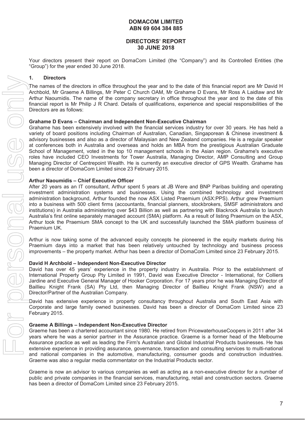#### **DIRECTORS' REPORT 30 JUNE 2018**

Your directors present their report on DomaCom Limited (the "Company") and its Controlled Entities (the "Group") for the year ended 30 June 2018.

#### **1. Directors**

The names of the directors in office throughout the year and to the date of this financial report are Mr David H Archbold, Mr Graeme A Billings, Mr Peter C Church OAM, Mr Grahame D Evans, Mr Ross A Laidlaw and Mr Arthur Naoumidis. The name of the company secretary in office throughout the year and to the date of this financial report is Mr Philip J R Chard. Details of qualifications, experience and special responsibilities of the Directors are as follows:

#### **Grahame D Evans – Chairman and Independent Non-Executive Chairman**

Grahame has been extensively involved with the financial services industry for over 30 years. He has held a variety of board positions including Chairman of Australian, Canadian, Singaporean & Chinese investment & advisory businesses and also as a director of Malaysian and New Zealand companies. He is a regular speaker at conferences both in Australia and overseas and holds an MBA from the prestigious Australian Graduate School of Management, voted in the top 10 management schools in the Asian region. Grahame's executive roles have included CEO Investments for Tower Australia, Managing Director, AMP Consulting and Group Managing Director of Centrepoint Wealth. He is currently an executive director of GPS Wealth. Grahame has been a director of DomaCom Limited since 23 February 2015. The name of the directors in office throughout the year and to the Archbub Aft Graene A Billings. Mr Pear C Church OAM, Mr Graen Allings After C Church OAM, Mr Graen After Higherita Christing The Church Control Control Con

#### **Arthur Naoumidis – Chief Executive Officer**

After 20 years as an IT consultant, Arthur spent 5 years at JB Were and BNP Paribas building and operating investment administration systems and businesses. Using the combined technology and investment administration background, Arthur founded the now ASX Listed Praemium (ASX:PPS). Arthur grew Praemium into a business with 500 client firms (accountants, financial planners, stockbrokers, SMSF administrators and institutions) in Australia administering over \$43 Billion as well as partnering with Blackrock Australia to launch Australia's first online separately managed account (SMA) platform. As a result of listing Praemium on the ASX, Arthur took the Praemium SMA concept to the UK and successfully launched the SMA platform business of Praemium UK.

Arthur is now taking some of the advanced equity concepts he pioneered in the equity markets during his Praemium days into a market that has been relatively untouched by technology and business process improvements – the property market. Arthur has been a director of DomaCom Limited since 23 February 2015.

#### **David H Archbold – Independent Non-Executive Director**

David has over 45 years' experience in the property industry in Australia. Prior to the establishment of International Property Group Pty Limited in 1991, David was Executive Director - International, for Colliers Jardine and Executive General Manager of Hooker Corporation. For 17 years prior he was Managing Director of Baillieu Knight Frank (SA) Pty Ltd, then Managing Director of Baillieu Knight Frank (NSW) and a Director/Partner of the Australian Company.

David has extensive experience in property consultancy throughout Australia and South East Asia with Corporate and large family owned businesses. David has been a director of DomaCom Limited since 23 February 2015.

#### **Graeme A Billings – Independent Non-Executive Director**

Graeme has been a chartered accountant since 1980. He retired from PricewaterhouseCoopers in 2011 after 34 years where he was a senior partner in the Assurance practice. Graeme is a former head of the Melbourne Assurance practice as well as leading the Firm's Australian and Global Industrial Products businesses. He has extensive experience in providing assurance, governance, transaction and consulting services to multi-national and national companies in the automotive, manufacturing, consumer goods and construction industries. Graeme was also a regular media commentator on the Industrial Products sector.

Graeme is now an advisor to various companies as well as acting as a non-executive director for a number of public and private companies in the financial services, manufacturing, retail and construction sectors. Graeme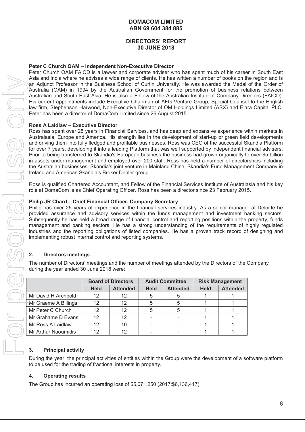# **DIRECTORS' REPORT 30 JUNE 2018**

#### **Peter C Church OAM – Independent Non-Executive Director**

Peter Church OAM FAICD is a lawyer and corporate adviser who has spent much of his career in South East Asia and India where he advises a wide range of clients. He has written a number of books on the region and is an Adjunct Professor in the Business School of Curtin University. He was awarded the Medal of the Order of Australia (OAM) in 1994 by the Australian Government for the promotion of business relations between Australian and South East Asia. He is also a Fellow of the Australian Institute of Company Directors (FAICD). His current appointments include Executive Chairman of AFG Venture Group, Special Counsel to the English law firm, Stephenson Harwood, Non-Executive Director of OM Holdings Limited (ASX) and Elara Capital PLC. Peter has been a director of DomaCom Limited since 26 August 2015.

#### **Ross A Laidlaw – Executive Director**

Ross has spent over 25 years in Financial Services, and has deep and expansive experience within markets in Australasia, Europe and America. His strength lies in the development of start-up or green field developments and driving them into fully fledged and profitable businesses. Ross was CEO of the successful Skandia Platform for over 7 years, developing it into a leading Platform that was well supported by independent financial advisers. Prior to being transferred to Skandia's European business the business had grown organically to over \$5 billion in assets under management and employed over 200 staff. Ross has held a number of directorships including the Australian businesses, Skandia's joint venture in Mainland China, Skandia's Fund Management Company in Ireland and American Skandia's Broker Dealer group.

Ross is qualified Chartered Accountant, and Fellow of the Financial Services Institute of Australasia and his key role at DomaCom is as Chief Operating Officer. Ross has been a director since 23 February 2015.

#### **Philip JR Chard – Chief Financial Officer, Company Secretary**

Philip has over 25 years of experience in the financial services industry. As a senior manager at Deloitte he provided assurance and advisory services within the funds management and investment banking sectors. Subsequently he has held a broad range of financial control and reporting positions within the property, funds management and banking sectors. He has a strong understanding of the requirements of highly regulated industries and the reporting obligations of listed companies. He has a proven track record of designing and implementing robust internal control and reporting systems.

# **2. Directors meetings**

The number of Directors' meetings and the number of meetings attended by the Directors of the Company during the year ended 30 June 2018 were:

| Asia and India where he advises a wide range of clients. He has written a number of books on t<br>an Adjunct Professor in the Business School of Curtin University. He was awarded the Medal                                                                                                                                                                                                                                                                                                                                                                                                                                                                                                                                                                  |                           |                 |                          |                        |             |                        |  |
|---------------------------------------------------------------------------------------------------------------------------------------------------------------------------------------------------------------------------------------------------------------------------------------------------------------------------------------------------------------------------------------------------------------------------------------------------------------------------------------------------------------------------------------------------------------------------------------------------------------------------------------------------------------------------------------------------------------------------------------------------------------|---------------------------|-----------------|--------------------------|------------------------|-------------|------------------------|--|
| Australia (OAM) in 1994 by the Australian Government for the promotion of business rel<br>Australian and South East Asia. He is also a Fellow of the Australian Institute of Company Dir<br>His current appointments include Executive Chairman of AFG Venture Group, Special Counse<br>law firm, Stephenson Harwood, Non-Executive Director of OM Holdings Limited (ASX) and Ela<br>Peter has been a director of DomaCom Limited since 26 August 2015.                                                                                                                                                                                                                                                                                                       |                           |                 |                          |                        |             |                        |  |
| <b>Ross A Laidlaw - Executive Director</b>                                                                                                                                                                                                                                                                                                                                                                                                                                                                                                                                                                                                                                                                                                                    |                           |                 |                          |                        |             |                        |  |
| Ross has spent over 25 years in Financial Services, and has deep and expansive experience v<br>Australasia, Europe and America. His strength lies in the development of start-up or green fiel<br>and driving them into fully fledged and profitable businesses. Ross was CEO of the successful S<br>for over 7 years, developing it into a leading Platform that was well supported by independent fir<br>Prior to being transferred to Skandia's European business the business had grown organically t<br>in assets under management and employed over 200 staff. Ross has held a number of directo<br>the Australian businesses, Skandia's joint venture in Mainland China, Skandia's Fund Managem<br>Ireland and American Skandia's Broker Dealer group. |                           |                 |                          |                        |             |                        |  |
| Ross is qualified Chartered Accountant, and Fellow of the Financial Services Institute of Australa<br>role at DomaCom is as Chief Operating Officer. Ross has been a director since 23 February 201                                                                                                                                                                                                                                                                                                                                                                                                                                                                                                                                                           |                           |                 |                          |                        |             |                        |  |
| Philip JR Chard - Chief Financial Officer, Company Secretary<br>Philip has over 25 years of experience in the financial services industry. As a senior manage<br>provided assurance and advisory services within the funds management and investment b<br>Subsequently he has held a broad range of financial control and reporting positions within the<br>management and banking sectors. He has a strong understanding of the requirements of I<br>industries and the reporting obligations of listed companies. He has a proven track record o<br>implementing robust internal control and reporting systems.<br><b>Directors meetings</b><br>2.                                                                                                          |                           |                 |                          |                        |             |                        |  |
| The number of Directors' meetings and the number of meetings attended by the Directors of the<br>during the year ended 30 June 2018 were:                                                                                                                                                                                                                                                                                                                                                                                                                                                                                                                                                                                                                     |                           |                 |                          |                        |             |                        |  |
|                                                                                                                                                                                                                                                                                                                                                                                                                                                                                                                                                                                                                                                                                                                                                               | <b>Board of Directors</b> |                 |                          |                        |             |                        |  |
|                                                                                                                                                                                                                                                                                                                                                                                                                                                                                                                                                                                                                                                                                                                                                               |                           |                 |                          | <b>Audit Committee</b> |             | <b>Risk Management</b> |  |
|                                                                                                                                                                                                                                                                                                                                                                                                                                                                                                                                                                                                                                                                                                                                                               | <b>Held</b>               | <b>Attended</b> | <b>Held</b>              | <b>Attended</b>        | <b>Held</b> | <b>Attended</b>        |  |
| Mr David H Archbold                                                                                                                                                                                                                                                                                                                                                                                                                                                                                                                                                                                                                                                                                                                                           | 12                        | 12              | 5                        | 5                      | 1           | 1                      |  |
| Mr Graeme A Billings                                                                                                                                                                                                                                                                                                                                                                                                                                                                                                                                                                                                                                                                                                                                          | 12                        | 12              | 5                        | 5                      | 1           | 1                      |  |
| Mr Peter C Church                                                                                                                                                                                                                                                                                                                                                                                                                                                                                                                                                                                                                                                                                                                                             | 12                        | 12              | 5                        | 5                      | 1           | 1                      |  |
| Mr Grahame D Evans                                                                                                                                                                                                                                                                                                                                                                                                                                                                                                                                                                                                                                                                                                                                            | 12                        | 12              | ۰                        |                        | 1           | 1                      |  |
| Mr Ross A Laidlaw                                                                                                                                                                                                                                                                                                                                                                                                                                                                                                                                                                                                                                                                                                                                             | 12                        | 10              |                          |                        | 1           | 1                      |  |
| Mr Arthur Naoumidis                                                                                                                                                                                                                                                                                                                                                                                                                                                                                                                                                                                                                                                                                                                                           | 12                        | 12              | $\overline{\phantom{0}}$ |                        | 1           | 1                      |  |
| <b>Principal activity</b><br>3.<br>During the year, the principal activities of entities within the Group were the development of a so<br>to be used for the trading of fractional interests in property.                                                                                                                                                                                                                                                                                                                                                                                                                                                                                                                                                     |                           |                 |                          |                        |             |                        |  |
| <b>Operating results</b><br>4.                                                                                                                                                                                                                                                                                                                                                                                                                                                                                                                                                                                                                                                                                                                                |                           |                 |                          |                        |             |                        |  |

# **3. Principal activity**

During the year, the principal activities of entities within the Group were the development of a software platform to be used for the trading of fractional interests in property.

#### **4. Operating results**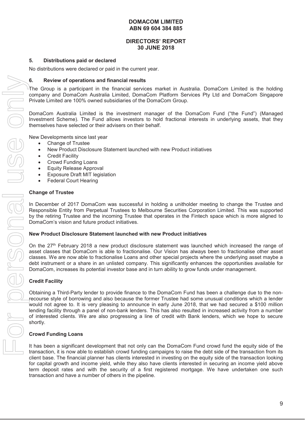#### **DIRECTORS' REPORT 30 JUNE 2018**

#### **5. Distributions paid or declared**

No distributions were declared or paid in the current year.

#### **6. Review of operations and financial results**

The Group is a participant in the financial services market in Australia. DomaCom Limited is the holding company and DomaCom Australia Limited, DomaCom Platform Services Pty Ltd and DomaCom Singapore Private Limited are 100% owned subsidiaries of the DomaCom Group.

DomaCom Australia Limited is the investment manager of the DomaCom Fund ("the Fund") (Managed Investment Scheme). The Fund allows investors to hold fractional interests in underlying assets, that they themselves have selected or their advisers on their behalf.

New Developments since last year

- Change of Trustee
- New Product Disclosure Statement launched with new Product initiatives
- Credit Facility
- Crowd Funding Loans
- **Equity Release Approval**
- Exposure Draft MIT legislation
- **Federal Court Hearing**

#### **Change of Trustee**

In December of 2017 DomaCom was successful in holding a unitholder meeting to change the Trustee and Responsible Entity from Perpetual Trustees to Melbourne Securities Corporation Limited. This was supported by the retiring Trustee and the incoming Trustee that operates in the Fintech space which is more aligned to DomaCom's vision and future product initiatives.

#### **New Product Disclosure Statement launched with new Product initiatives**

On the 27<sup>th</sup> February 2018 a new product disclosure statement was launched which increased the range of asset classes that DomaCom is able to fractionalise. Our Vision has always been to fractionalise other asset classes. We are now able to fractionalise Loans and other special projects where the underlying asset maybe a debt instrument or a share in an unlisted company. This significantly enhances the opportunities available for DomaCom, increases its potential investor base and in turn ability to grow funds under management.

#### **Credit Facility**

Obtaining a Third-Party lender to provide finance to the DomaCom Fund has been a challenge due to the nonrecourse style of borrowing and also because the former Trustee had some unusual conditions which a lender would not agree to. It is very pleasing to announce in early June 2018, that we had secured a \$100 million lending facility through a panel of non-bank lenders. This has also resulted in increased activity from a number of interested clients. We are also progressing a line of credit with Bank lenders, which we hope to secure shortly.

#### **Crowd Funding Loans**

It has been a significant development that not only can the DomaCom Fund crowd fund the equity side of the transaction, it is now able to establish crowd funding campaigns to raise the debt side of the transaction from its client base. The financial planner has clients interested in investing on the equity side of the transaction looking for capital growth and income yield, while they also have clients interested in securing an income yield above term deposit rates and with the security of a first registered mortgage. We have undertaken one such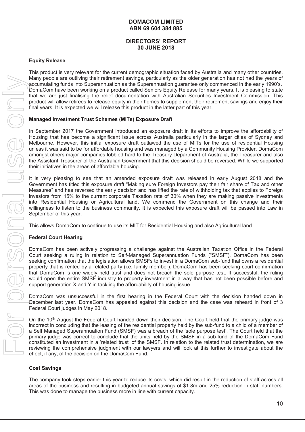# **DIRECTORS' REPORT 30 JUNE 2018**

#### **Equity Release**

This product is very relevant for the current demographic situation faced by Australia and many other countries. Many people are outliving their retirement savings, particularly as the older generation has not had the years of accumulating funds into Superannuation as the Superannuation guarantee only commenced in the early 1990's. DomaCom have been working on a product called Seniors Equity Release for many years. It is pleasing to state that we are just finalising the relief documentation with Australian Securities Investment Commission. This product will allow retirees to release equity in their homes to supplement their retirement savings and enjoy their final years. It is expected we will release this product in the latter part of this year.

#### **Managed Investment Trust Schemes (MITs) Exposure Draft**

In September 2017 the Government introduced an exposure draft in its efforts to improve the affordability of Housing that has become a significant issue across Australia particularly in the larger cities of Sydney and Melbourne. However, this initial exposure draft outlawed the use of MITs for the use of residential Housing unless it was said to be for affordable housing and was managed by a Community Housing Provider. DomaCom amongst others major companies lobbied hard to the Treasury Department of Australia, the Treasurer and also the Assistant Treasurer of the Australian Government that this decision should be reversed. While we supported their initiatives in the areas of affordable housing.

It is very pleasing to see that an amended exposure draft was released in early August 2018 and the Government has titled this exposure draft "Making sure Foreign Investors pay their fair share of Tax and other Measures" and has reversed the early decision and has lifted the rate of withholding tax that applies to Foreign investors from 15% to the current corporate Taxation rate of 30% when they are making passive investments into Residential Housing or Agricultural land. We commend the Government on this change and their willingness to listen to the business community. It is expected this exposure draft will be passed into Law in September of this year.

This allows DomaCom to continue to use its MIT for Residential Housing and also Agricultural land.

#### **Federal Court Hearing**

DomaCom has been actively progressing a challenge against the Australian Taxation Office in the Federal Court seeking a ruling in relation to Self-Managed Superannuation Funds ("SMSF"). DomaCom has been seeking confirmation that the legislation allows SMSFs to invest in a DomaCom sub-fund that owns a residential property that is rented by a related party (i.e. family member). DomaCom has been seeking court confirmation that DomaCom is one widely held trust and does not breach the sole purpose test. If successful, the ruling would open the entire SMSF industry to property investment in a way that has not been possible before and support generation X and Y in tackling the affordability of housing issue.

DomaCom was unsuccessful in the first hearing in the Federal Court with the decision handed down in December last year. DomaCom has appealed against this decision and the case was reheard in front of 3 Federal Court judges in May 2018.

On the 10<sup>th</sup> August the Federal Court handed down their decision. The Court held that the primary judge was incorrect in concluding that the leasing of the residential property held by the sub-fund to a child of a member of a Self Managed Superannuation Fund (SMSF) was a breach of the 'sole purpose test'. The Court held that the primary judge was correct to conclude that the units held by the SMSF in a sub-fund of the DomaCom Fund constituted an investment in a 'related trust' of the SMSF. In relation to the related trust determination, we are reviewing the comprehensive judgment with our lawyers and will look at this further to investigate about the effect, if any, of the decision on the DomaCom Fund.

#### **Cost Savings**

The company took steps earlier this year to reduce its costs, which did result in the reduction of staff across all areas of the business and resulting in budgeted annual savings of \$1.8m and 25% reduction in staff numbers.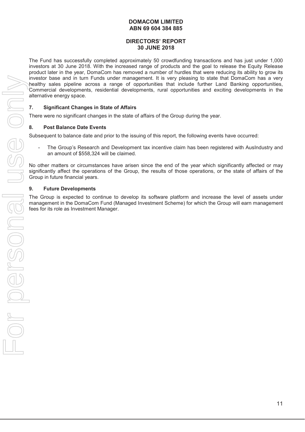# **DIRECTORS' REPORT 30 JUNE 2018**

The Fund has successfully completed approximately 50 crowdfunding transactions and has just under 1,000 investors at 30 June 2018. With the increased range of products and the goal to release the Equity Release product later in the year, DomaCom has removed a number of hurdles that were reducing its ability to grow its investor base and in turn Funds under management. It is very pleasing to state that DomaCom has a very healthy sales pipeline across a range of opportunities that include further Land Banking opportunities, Commercial developments, residential developments, rural opportunities and exciting developments in the alternative energy space.

# **7. Significant Changes in State of Affairs**

There were no significant changes in the state of affairs of the Group during the year.

#### **8. Post Balance Date Events**

Subsequent to balance date and prior to the issuing of this report, the following events have occurred:

The Group's Research and Development tax incentive claim has been registered with AusIndustry and an amount of \$558,324 will be claimed.

No other matters or circumstances have arisen since the end of the year which significantly affected or may significantly affect the operations of the Group, the results of those operations, or the state of affairs of the Group in future financial years.

#### **9. Future Developments**

The Group is expected to continue to develop its software platform and increase the level of assets under management in the DomaCom Fund (Managed Investment Scheme) for which the Group will earn management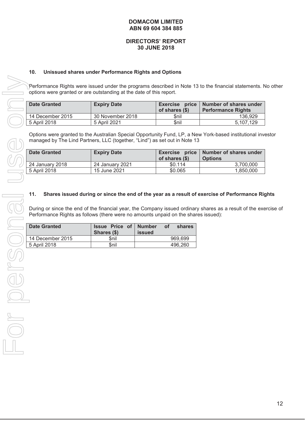#### **DIRECTORS' REPORT 30 JUNE 2018**

#### **10. Unissued shares under Performance Rights and Options**

Performance Rights were issued under the programs described in Note 13 to the financial statements. No other options were granted or are outstanding at the date of this report.

| <b>Date Granted</b> | <b>Expiry Date</b> | of shares (\$) | Exercise price   Number of shares under<br><b>Performance Rights</b> |
|---------------------|--------------------|----------------|----------------------------------------------------------------------|
| 14 December 2015    | 30 November 2018   | \$nil          | 136.929                                                              |
| 5 April 2018        | 5 April 2021       | \$nil          | 5.107.129                                                            |

Options were granted to the Australian Special Opportunity Fund, LP, a New York-based institutional investor managed by The Lind Partners, LLC (together, "Lind") as set out in Note 13

| <b>Date Granted</b> | <b>Expiry Date</b> | of shares (\$) | Exercise price   Number of shares under<br><b>Options</b> |
|---------------------|--------------------|----------------|-----------------------------------------------------------|
| 24 January 2018     | 24 January 2021    | \$0.114        | 3.700.000                                                 |
| 5 April 2018        | 15 June 2021       | \$0.065        | 1,850,000                                                 |

#### **11. Shares issued during or since the end of the year as a result of exercise of Performance Rights**

| Shares (\$)<br>issued                |  |
|--------------------------------------|--|
| 14 December 2015<br>969,699<br>\$nil |  |
| 5 April 2018<br>\$nil<br>496,260     |  |
|                                      |  |
|                                      |  |
|                                      |  |
|                                      |  |
|                                      |  |
|                                      |  |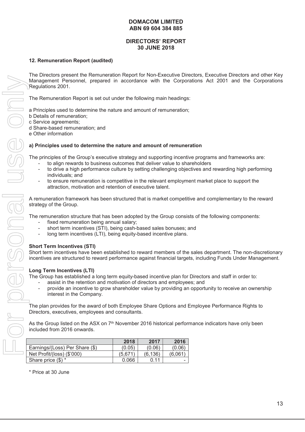# **DIRECTORS' REPORT 30 JUNE 2018**

#### **12. Remuneration Report (audited)**

The Directors present the Remuneration Report for Non-Executive Directors, Executive Directors and other Key Management Personnel, prepared in accordance with the Corporations Act 2001 and the Corporations Regulations 2001.

The Remuneration Report is set out under the following main headings:

a Principles used to determine the nature and amount of remuneration;

- b Details of remuneration;
- c Service agreements;

d Share-based remuneration; and

e Other information

#### **a) Principles used to determine the nature and amount of remuneration**

The principles of the Group's executive strategy and supporting incentive programs and frameworks are:

- to align rewards to business outcomes that deliver value to shareholders
- to drive a high performance culture by setting challenging objectives and rewarding high performing individuals; and
- to ensure remuneration is competitive in the relevant employment market place to support the attraction, motivation and retention of executive talent.

A remuneration framework has been structured that is market competitive and complementary to the reward strategy of the Group.

The remuneration structure that has been adopted by the Group consists of the following components:

- fixed remuneration being annual salary;
- short term incentives (STI), being cash-based sales bonuses; and
- long term incentives (LTI), being equity-based incentive plans.

#### **Short Term Incentives (STI)**

Short term incentives have been established to reward members of the sales department. The non-discretionary incentives are structured to reward performance against financial targets, including Funds Under Management.

#### **Long Term Incentives (LTI)**

The Group has established a long term equity-based incentive plan for Directors and staff in order to:

- assist in the retention and motivation of directors and employees; and
- provide an incentive to grow shareholder value by providing an opportunity to receive an ownership interest in the Company.

The plan provides for the award of both Employee Share Options and Employee Performance Rights to Directors, executives, employees and consultants.

As the Group listed on the ASX on 7<sup>th</sup> November 2016 historical performance indicators have only been included from 2016 onwards.

|                                | 2018    | 2017    | 2016    |
|--------------------------------|---------|---------|---------|
| Earnings/(Loss) Per Share (\$) | (0.05)  | (0.06)  | (0.06)  |
| Net Profit/(loss) (\$'000)     | (5.671) | (6.136) | (6.061) |
| Share price $(\$)$ *           | 0.066   | 0.11    |         |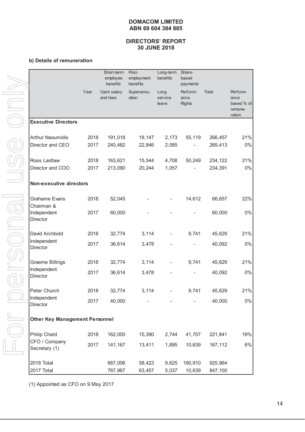#### **DIRECTORS' REPORT 30 JUNE 2018**

#### **b) Details of remuneration**

|                                    |                                       | Short-term<br>employee<br>benefits | Post-<br>employment<br>benefits | Long-term<br>benefits    | Share-<br>based<br>payments       |         |                                                     |  |
|------------------------------------|---------------------------------------|------------------------------------|---------------------------------|--------------------------|-----------------------------------|---------|-----------------------------------------------------|--|
|                                    | Year                                  | Cash salary<br>and fees            | Superannu-<br>ation             | Long<br>service<br>leave | Perform-<br>ance<br><b>Rights</b> | Total   | Perform-<br>ance<br>based % of<br>remune-<br>ration |  |
| <b>Executive Directors</b>         |                                       |                                    |                                 |                          |                                   |         |                                                     |  |
| <b>Arthur Naoumidis</b>            | 2018                                  | 191,018                            | 18,147                          | 2,173                    | 55,119                            | 266,457 | 21%                                                 |  |
| Director and CEO                   | 2017                                  | 240,482                            | 22,846                          | 2,085                    |                                   | 265,413 | $0\%$                                               |  |
| Ross Laidlaw                       | 2018                                  | 163,621                            | 15,544                          | 4,708                    | 50,249                            | 234,122 | 21%                                                 |  |
| Director and COO                   | 2017                                  | 213,090                            | 20,244                          | 1,057                    |                                   | 234,391 | $0\%$                                               |  |
| <b>Non-executive directors</b>     |                                       |                                    |                                 |                          |                                   |         |                                                     |  |
| <b>Grahame Evans</b><br>Chairman & | 2018                                  | 52,045                             |                                 |                          | 14,612                            | 66,657  | 22%                                                 |  |
| Independent<br>Director            | 2017                                  | 60,000                             |                                 |                          |                                   | 60,000  | 0%                                                  |  |
| David Archbold                     | 2018                                  | 32,774                             | 3,114                           |                          | 9,741                             | 45,629  | 21%                                                 |  |
| Independent<br><b>Director</b>     | 2017                                  | 36,614                             | 3,478                           |                          |                                   | 40,092  | $0\%$                                               |  |
| <b>Graeme Billings</b>             | 2018                                  | 32,774                             | 3,114                           |                          | 9,741                             | 45,629  | 21%                                                 |  |
| Independent<br><b>Director</b>     | 2017                                  | 36,614                             | 3,478                           |                          |                                   | 40,092  | $0\%$                                               |  |
| Peter Church                       | 2018                                  | 32,774                             | 3,114                           |                          | 9,741                             | 45,629  | 21%                                                 |  |
| Independent<br>Director            | 2017                                  | 40,000                             |                                 |                          |                                   | 40,000  | $0\%$                                               |  |
|                                    | <b>Other Key Management Personnel</b> |                                    |                                 |                          |                                   |         |                                                     |  |
| Philip Chard                       | 2018                                  | 162,000                            | 15,390                          | 2,744                    | 41,707                            | 221,841 | 19%                                                 |  |
| CFO / Company<br>Secretary (1)     | 2017                                  | 141,167                            | 13,411                          | 1,895                    | 10,639                            | 167,112 | $6\%$                                               |  |
| 2018 Total                         |                                       | 667,006                            | 58,423                          | 9,625                    | 190,910                           | 925,964 |                                                     |  |
| 2017 Total                         |                                       | 767,967                            | 63,457                          | 5,037                    | 10,639                            | 847,100 |                                                     |  |

(1) Appointed as CFO on 9 May 2017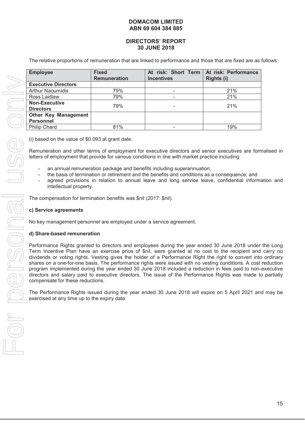#### **DIRECTORS' REPORT 30 JUNE 2018**

The relative proportions of remuneration that are linked to performance and those that are fixed are as follows:

| <b>Employee</b>                                 | <b>Fixed</b><br><b>Remuneration</b> | At risk: Short Term<br><b>Incentives</b> | At risk: Performance<br><b>Rights (i)</b> |
|-------------------------------------------------|-------------------------------------|------------------------------------------|-------------------------------------------|
| <b>Executive Directors</b>                      |                                     |                                          |                                           |
| <b>Arthur Naoumidis</b>                         | 79%                                 | -                                        | 21%                                       |
| Ross Laidlaw                                    | 79%                                 |                                          | 21%                                       |
| <b>Non-Executive</b><br><b>Directors</b>        | 79%                                 |                                          | 21%                                       |
| <b>Other Key Management</b><br><b>Personnel</b> |                                     |                                          |                                           |
| <b>Philip Chard</b>                             | 81%                                 |                                          | 19%                                       |

(i) based on the value of \$0.093 at grant date.

Remuneration and other terms of employment for executive directors and senior executives are formalised in letters of employment that provide for various conditions in line with market practice including:

- an annual remuneration package and benefits including superannuation;
- the basis of termination or retirement and the benefits and conditions as a consequence; and
- agreed provisions in relation to annual leave and long service leave, confidential information and intellectual property.

The compensation for termination benefits was \$nil (2017: \$nil).

#### **c) Service agreements**

No key management personnel are employed under a service agreement.

#### **d) Share-based remuneration**

Performance Rights granted to directors and employees during the year ended 30 June 2018 under the Long Term Incentive Plan have an exercise price of \$nil, were granted at no cost to the recipient and carry no dividends or voting rights. Vesting gives the holder of a Performance Right the right to convert into ordinary shares on a one-for-one basis. The performance rights were issued with no vesting conditions. A cost reduction program implemented during the year ended 30 June 2018 included a reduction in fees paid to non-executive directors and salary paid to executive directors. The issue of the Performance Rights was made to partially compensate for these reductions.

The Performance Rights issued during the year ended 30 June 2018 will expire on 5 April 2021 and may be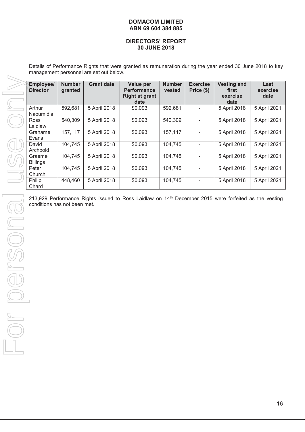#### **DIRECTORS' REPORT 30 JUNE 2018**

Details of Performance Rights that were granted as remuneration during the year ended 30 June 2018 to key management personnel are set out below.

| Employee/<br><b>Director</b> | <b>Number</b><br>granted | <b>Grant date</b> | Value per<br><b>Performance</b><br><b>Right at grant</b><br>date | <b>Number</b><br>vested | <b>Exercise</b><br>Price (\$) | <b>Vesting and</b><br>first<br>exercise<br>date | Last<br>exercise<br>date |
|------------------------------|--------------------------|-------------------|------------------------------------------------------------------|-------------------------|-------------------------------|-------------------------------------------------|--------------------------|
| Arthur<br>Naoumidis          | 592,681                  | 5 April 2018      | \$0.093                                                          | 592,681                 | $\overline{\phantom{a}}$      | 5 April 2018                                    | 5 April 2021             |
| Ross<br>Laidlaw              | 540,309                  | 5 April 2018      | \$0.093                                                          | 540,309                 |                               | 5 April 2018                                    | 5 April 2021             |
| Grahame<br>Evans             | 157,117                  | 5 April 2018      | \$0.093                                                          | 157,117                 |                               | 5 April 2018                                    | 5 April 2021             |
| David<br>Archbold            | 104,745                  | 5 April 2018      | \$0.093                                                          | 104,745                 |                               | 5 April 2018                                    | 5 April 2021             |
| Graeme<br><b>Billings</b>    | 104,745                  | 5 April 2018      | \$0.093                                                          | 104,745                 |                               | 5 April 2018                                    | 5 April 2021             |
| Peter<br>Church              | 104,745                  | 5 April 2018      | \$0.093                                                          | 104,745                 | $\overline{\phantom{a}}$      | 5 April 2018                                    | 5 April 2021             |
| Philip<br>Chard              | 448,460                  | 5 April 2018      | \$0.093                                                          | 104,745                 | $\overline{\phantom{a}}$      | 5 April 2018                                    | 5 April 2021             |
|                              |                          |                   |                                                                  |                         |                               |                                                 |                          |
|                              |                          |                   |                                                                  |                         |                               |                                                 |                          |
|                              |                          |                   |                                                                  |                         |                               |                                                 |                          |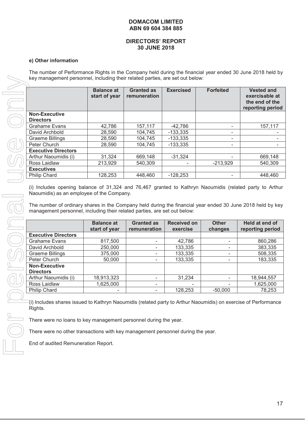#### **DIRECTORS' REPORT 30 JUNE 2018**

#### **e) Other information**

The number of Performance Rights in the Company held during the financial year ended 30 June 2018 held by key management personnel, including their related parties, are set out below:

|                                                                                                                                                                                                                                                                                                                                                                        | <b>Balance at</b><br>start of year | <b>Granted as</b><br>remuneration | <b>Exercised</b>               | <b>Forfeited</b>             | <b>Vested and</b><br>exercisable at<br>the end of the<br>reporting period |
|------------------------------------------------------------------------------------------------------------------------------------------------------------------------------------------------------------------------------------------------------------------------------------------------------------------------------------------------------------------------|------------------------------------|-----------------------------------|--------------------------------|------------------------------|---------------------------------------------------------------------------|
| <b>Non-Executive</b>                                                                                                                                                                                                                                                                                                                                                   |                                    |                                   |                                |                              |                                                                           |
| <b>Directors</b>                                                                                                                                                                                                                                                                                                                                                       |                                    |                                   |                                |                              |                                                                           |
| <b>Grahame Evans</b>                                                                                                                                                                                                                                                                                                                                                   | 42,786                             | 157,117                           | $-42,786$                      | $\overline{\phantom{a}}$     | 157,117                                                                   |
| David Archbold                                                                                                                                                                                                                                                                                                                                                         | 28,590                             | 104,745                           | $-133,335$                     | $\overline{\phantom{a}}$     |                                                                           |
| <b>Graeme Billings</b>                                                                                                                                                                                                                                                                                                                                                 | 28,590                             | 104,745                           | $-133,335$                     | ٠                            |                                                                           |
| Peter Church                                                                                                                                                                                                                                                                                                                                                           | 28,590                             | 104,745                           | $-133,335$                     | $\qquad \qquad \blacksquare$ |                                                                           |
| <b>Executive Directors</b>                                                                                                                                                                                                                                                                                                                                             |                                    |                                   |                                |                              |                                                                           |
| Arthur Naoumidis (i)                                                                                                                                                                                                                                                                                                                                                   | 31,324                             | 669,148                           | $-31,324$                      |                              | 669,148                                                                   |
| Ross Laidlaw                                                                                                                                                                                                                                                                                                                                                           | 213,929                            | 540,309                           |                                | $-213,929$                   | 540,309                                                                   |
|                                                                                                                                                                                                                                                                                                                                                                        |                                    |                                   |                                |                              |                                                                           |
| <b>Executives</b>                                                                                                                                                                                                                                                                                                                                                      |                                    |                                   |                                |                              | 448,460                                                                   |
| <b>Philip Chard</b><br>(i) Includes opening balance of 31,324 and 76,467 granted to Kathryn Naoumidis (related party to Arthur<br>Naoumidis) as an employee of the Company.<br>The number of ordinary shares in the Company held during the financial year ended 30 June 2018 held by key<br>management personnel, including their related parties, are set out below: | 128,253                            | 448,460                           | $-128,253$                     | $\qquad \qquad \blacksquare$ |                                                                           |
|                                                                                                                                                                                                                                                                                                                                                                        | <b>Balance at</b><br>start of year | <b>Granted as</b><br>remuneration | <b>Received on</b><br>exercise | <b>Other</b><br>changes      | Held at end of<br>reporting period                                        |
| <b>Executive Directors</b>                                                                                                                                                                                                                                                                                                                                             |                                    |                                   |                                |                              |                                                                           |
| <b>Grahame Evans</b>                                                                                                                                                                                                                                                                                                                                                   | 817,500                            | $\overline{\phantom{a}}$          | 42,786                         |                              |                                                                           |
| David Archbold                                                                                                                                                                                                                                                                                                                                                         | 250,000                            | $\overline{\phantom{a}}$          | 133,335                        |                              |                                                                           |
| <b>Graeme Billings</b>                                                                                                                                                                                                                                                                                                                                                 | 375,000                            | $\overline{\phantom{a}}$          | 133,335                        |                              |                                                                           |
| Peter Church                                                                                                                                                                                                                                                                                                                                                           | 50,000                             | $\overline{\phantom{a}}$          | 133,335                        |                              |                                                                           |
| <b>Non-Executive</b><br><b>Directors</b>                                                                                                                                                                                                                                                                                                                               |                                    |                                   |                                |                              |                                                                           |
| Arthur Naoumidis (i)                                                                                                                                                                                                                                                                                                                                                   | 18,913,323                         | $\overline{\phantom{a}}$          | 31,234                         | $\sim$                       | 860,286<br>383,335<br>508,335<br>183,335<br>18,944,557                    |
| Ross Laidlaw                                                                                                                                                                                                                                                                                                                                                           | 1,625,000                          |                                   |                                |                              | 1,625,000                                                                 |

|                            | <b>Balance at</b><br>start of year | <b>Granted as</b><br>remuneration | <b>Received on</b><br>exercise | <b>Other</b><br>changes | Held at end of<br>reporting period |
|----------------------------|------------------------------------|-----------------------------------|--------------------------------|-------------------------|------------------------------------|
| <b>Executive Directors</b> |                                    |                                   |                                |                         |                                    |
| Grahame Evans              | 817,500                            | ٠                                 | 42,786                         | -                       | 860,286                            |
| David Archbold             | 250,000                            | -                                 | 133,335                        |                         | 383,335                            |
| <b>Graeme Billings</b>     | 375,000                            | ۰                                 | 133,335                        |                         | 508,335                            |
| Peter Church               | 50,000                             | ۰                                 | 133,335                        |                         | 183,335                            |
| <b>Non-Executive</b>       |                                    |                                   |                                |                         |                                    |
| <b>Directors</b>           |                                    |                                   |                                |                         |                                    |
| Arthur Naoumidis (i)       | 18,913,323                         | ۰                                 | 31,234                         |                         | 18,944,557                         |
| Ross Laidlaw               | 1,625,000                          | ٠                                 | ۰                              |                         | 1,625,000                          |
| <b>Philip Chard</b>        | ۰                                  | ۰                                 | 128,253                        | $-50.000$               | 78,253                             |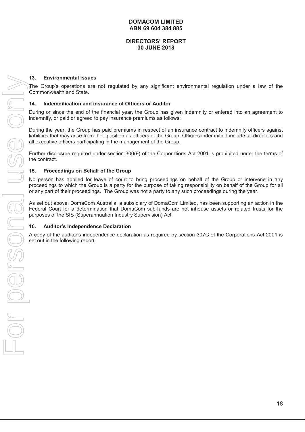#### **DIRECTORS' REPORT 30 JUNE 2018**

#### **13. Environmental Issues**

The Group's operations are not regulated by any significant environmental regulation under a law of the Commonwealth and State.

#### **14. Indemnification and insurance of Officers or Auditor**

During or since the end of the financial year, the Group has given indemnity or entered into an agreement to indemnify, or paid or agreed to pay insurance premiums as follows:

During the year, the Group has paid premiums in respect of an insurance contract to indemnify officers against liabilities that may arise from their position as officers of the Group. Officers indemnified include all directors and all executive officers participating in the management of the Group.

Further disclosure required under section 300(9) of the Corporations Act 2001 is prohibited under the terms of the contract.

#### **15. Proceedings on Behalf of the Group**

No person has applied for leave of court to bring proceedings on behalf of the Group or intervene in any proceedings to which the Group is a party for the purpose of taking responsibility on behalf of the Group for all or any part of their proceedings. The Group was not a party to any such proceedings during the year.

As set out above, DomaCom Australia, a subsidiary of DomaCom Limited, has been supporting an action in the Federal Court for a determination that DomaCom sub-funds are not inhouse assets or related trusts for the purposes of the SIS (Superannuation Industry Supervision) Act.

#### **16. Auditor's Independence Declaration**

A copy of the auditor's independence declaration as required by section 307C of the Corporations Act 2001 is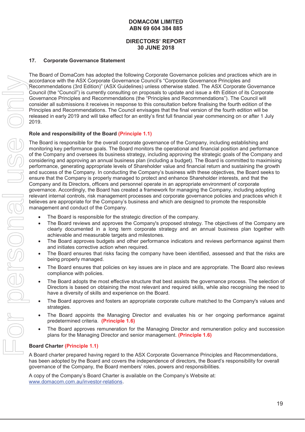# **DIRECTORS' REPORT 30 JUNE 2018**

#### **17. Corporate Governance Statement**

The Board of DomaCom has adopted the following Corporate Governance policies and practices which are in accordance with the ASX Corporate Governance Council's "Corporate Governance Principles and Recommendations (3rd Edition)" (ASX Guidelines) unless otherwise stated. The ASX Corporate Governance Council (the "Council") is currently consulting on proposals to update and issue a 4th Edition of its Corporate Governance Principles and Recommendations (the "Principles and Recommendations"). The Council will consider all submissions it receives in response to this consultation before finalising the fourth edition of the Principles and Recommendations. The Council envisages that the final version of the fourth edition will be released in early 2019 and will take effect for an entity's first full financial year commencing on or after 1 July 2019.

#### **Role and responsibility of the Board (Principle 1.1)**

The Board is responsible for the overall corporate governance of the Company, including establishing and monitoring key performance goals. The Board monitors the operational and financial position and performance of the Company and oversees its business strategy, including approving the strategic goals of the Company and considering and approving an annual business plan (including a budget). The Board is committed to maximising performance, generating appropriate levels of Shareholder value and financial return and sustaining the growth and success of the Company. In conducting the Company's business with these objectives, the Board seeks to ensure that the Company is properly managed to protect and enhance Shareholder interests, and that the Company and its Directors, officers and personnel operate in an appropriate environment of corporate governance. Accordingly, the Board has created a framework for managing the Company, including adopting relevant internal controls, risk management processes and corporate governance policies and practices which it believes are appropriate for the Company's business and which are designed to promote the responsible management and conduct of the Company.

- The Board is responsible for the strategic direction of the company.
- The Board reviews and approves the Company's proposed strategy. The objectives of the Company are clearly documented in a long term corporate strategy and an annual business plan together with achievable and measurable targets and milestones.
- The Board approves budgets and other performance indicators and reviews performance against them and initiates corrective action when required.
- The Board ensures that risks facing the company have been identified, assessed and that the risks are being properly managed.
- The Board ensures that policies on key issues are in place and are appropriate. The Board also reviews compliance with policies.
- The Board adopts the most effective structure that best assists the governance process. The selection of Directors is based on obtaining the most relevant and required skills, while also recognising the need to have a diversity of skills and experience on the Board.
- The Board approves and fosters an appropriate corporate culture matched to the Company's values and strategies.
- The Board appoints the Managing Director and evaluates his or her ongoing performance against predetermined criteria. **(Principle 1.6)**
- The Board approves remuneration for the Managing Director and remuneration policy and succession plans for the Managing Director and senior management. **(Principle 1.6)**

#### **Board Charter (Principle 1.1)**

A Board charter prepared having regard to the ASX Corporate Governance Principles and Recommendations, has been adopted by the Board and covers the independence of directors, the Board's responsibility for overall governance of the Company, the Board members' roles, powers and responsibilities.

A copy of the Company's Board Charter is available on the Company's Website at: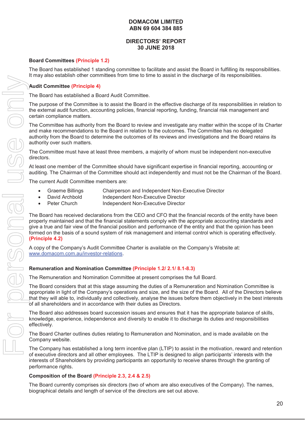# **DIRECTORS' REPORT 30 JUNE 2018**

#### **Board Committees (Principle 1.2)**

The Board has established 1 standing committee to facilitate and assist the Board in fulfilling its responsibilities. It may also establish other committees from time to time to assist in the discharge of its responsibilities.

#### **Audit Committee (Principle 4)**

The Board has established a Board Audit Committee.

The purpose of the Committee is to assist the Board in the effective discharge of its responsibilities in relation to the external audit function, accounting policies, financial reporting, funding, financial risk management and certain compliance matters.

The Committee has authority from the Board to review and investigate any matter within the scope of its Charter and make recommendations to the Board in relation to the outcomes. The Committee has no delegated authority from the Board to determine the outcomes of its reviews and investigations and the Board retains its authority over such matters.

The Committee must have at least three members, a majority of whom must be independent non-executive directors.

At least one member of the Committee should have significant expertise in financial reporting, accounting or auditing. The Chairman of the Committee should act independently and must not be the Chairman of the Board.

The current Audit Committee members are:

- Graeme Billings Chairperson and Independent Non-Executive Director
- David Archbold Independent Non-Executive Director
- Peter Church Independent Non-Executive Director

The Board has received declarations from the CEO and CFO that the financial records of the entity have been properly maintained and that the financial statements comply with the appropriate accounting standards and give a true and fair view of the financial position and performance of the entity and that the opinion has been formed on the basis of a sound system of risk management and internal control which is operating effectively. **(Principle 4.2)** 

A copy of the Company's Audit Committee Charter is available on the Company's Website at: www.domacom.com.au/investor-relations.

#### **Remuneration and Nomination Committee (Principle 1.2/ 2.1/ 8.1-8.3)**

The Remuneration and Nomination Committee at present comprises the full Board.

The Board considers that at this stage assuming the duties of a Remuneration and Nomination Committee is appropriate in light of the Company's operations and size, and the size of the Board. All of the Directors believe that they will able to, individually and collectively, analyse the issues before them objectively in the best interests of all shareholders and in accordance with their duties as Directors.

The Board also addresses board succession issues and ensures that it has the appropriate balance of skills, knowledge, experience, independence and diversity to enable it to discharge its duties and responsibilities effectively.

The Board Charter outlines duties relating to Remuneration and Nomination, and is made available on the Company website.

The Company has established a long term incentive plan (LTIP) to assist in the motivation, reward and retention of executive directors and all other employees. The LTIP is designed to align participants' interests with the interests of Shareholders by providing participants an opportunity to receive shares through the granting of performance rights.

#### **Composition of the Board (Principle 2.3, 2.4 & 2.5)**

The Board currently comprises six directors (two of whom are also executives of the Company). The names, biographical details and length of service of the directors are set out above.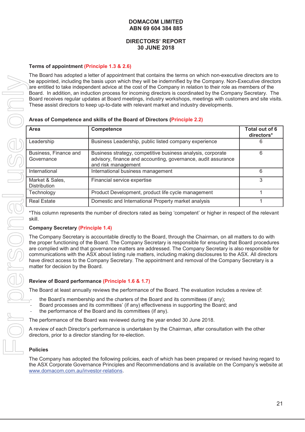#### **DIRECTORS' REPORT 30 JUNE 2018**

#### **Terms of appointment (Principle 1.3 & 2.6)**

The Board has adopted a letter of appointment that contains the terms on which non-executive directors are to be appointed, including the basis upon which they will be indemnified by the Company. Non-Executive directors are entitled to take independent advice at the cost of the Company in relation to their role as members of the Board. In addition, an induction process for incoming directors is coordinated by the Company Secretary. The Board receives regular updates at Board meetings, industry workshops, meetings with customers and site visits. These assist directors to keep up-to-date with relevant market and industry developments.

#### **Areas of Competence and skills of the Board of Directors (Principle 2.2)**

|                                                                                                                                                                                                                                                                                                                                                                                                                                                                                                                                                                                                            | The Doard has adopted a letter or appointment that contains the terms on which non-executive directors are to<br>be appointed, including the basis upon which they will be indemnified by the Company. Non-Executive directors<br>are entitled to take independent advice at the cost of the Company in relation to their role as members of the<br>Board. In addition, an induction process for incoming directors is coordinated by the Company Secretary. The |                              |  |  |
|------------------------------------------------------------------------------------------------------------------------------------------------------------------------------------------------------------------------------------------------------------------------------------------------------------------------------------------------------------------------------------------------------------------------------------------------------------------------------------------------------------------------------------------------------------------------------------------------------------|------------------------------------------------------------------------------------------------------------------------------------------------------------------------------------------------------------------------------------------------------------------------------------------------------------------------------------------------------------------------------------------------------------------------------------------------------------------|------------------------------|--|--|
|                                                                                                                                                                                                                                                                                                                                                                                                                                                                                                                                                                                                            | Board receives regular updates at Board meetings, industry workshops, meetings with customers and site visits.<br>These assist directors to keep up-to-date with relevant market and industry developments.                                                                                                                                                                                                                                                      |                              |  |  |
|                                                                                                                                                                                                                                                                                                                                                                                                                                                                                                                                                                                                            | Areas of Competence and skills of the Board of Directors (Principle 2.2)                                                                                                                                                                                                                                                                                                                                                                                         |                              |  |  |
| <b>Area</b>                                                                                                                                                                                                                                                                                                                                                                                                                                                                                                                                                                                                | Competence                                                                                                                                                                                                                                                                                                                                                                                                                                                       | Total out of 6<br>directors* |  |  |
| Leadership                                                                                                                                                                                                                                                                                                                                                                                                                                                                                                                                                                                                 | Business Leadership, public listed company experience                                                                                                                                                                                                                                                                                                                                                                                                            | 6                            |  |  |
| Business, Finance and<br>Governance                                                                                                                                                                                                                                                                                                                                                                                                                                                                                                                                                                        | Business strategy, competitive business analysis, corporate<br>advisory, finance and accounting, governance, audit assurance<br>and risk management                                                                                                                                                                                                                                                                                                              | 6                            |  |  |
| International                                                                                                                                                                                                                                                                                                                                                                                                                                                                                                                                                                                              | International business management                                                                                                                                                                                                                                                                                                                                                                                                                                | 6                            |  |  |
| Market & Sales,<br><b>Distribution</b>                                                                                                                                                                                                                                                                                                                                                                                                                                                                                                                                                                     | Financial service expertise                                                                                                                                                                                                                                                                                                                                                                                                                                      | 3                            |  |  |
| Technology                                                                                                                                                                                                                                                                                                                                                                                                                                                                                                                                                                                                 | Product Development, product life cycle management                                                                                                                                                                                                                                                                                                                                                                                                               | 1                            |  |  |
| <b>Real Estate</b>                                                                                                                                                                                                                                                                                                                                                                                                                                                                                                                                                                                         | Domestic and International Property market analysis                                                                                                                                                                                                                                                                                                                                                                                                              | 1                            |  |  |
| skill.                                                                                                                                                                                                                                                                                                                                                                                                                                                                                                                                                                                                     | *This column represents the number of directors rated as being 'competent' or higher in respect of the relevant                                                                                                                                                                                                                                                                                                                                                  |                              |  |  |
| <b>Company Secretary (Principle 1.4)</b>                                                                                                                                                                                                                                                                                                                                                                                                                                                                                                                                                                   |                                                                                                                                                                                                                                                                                                                                                                                                                                                                  |                              |  |  |
| The Company Secretary is accountable directly to the Board, through the Chairman, on all matters to do with<br>the proper functioning of the Board. The Company Secretary is responsible for ensuring that Board procedures<br>are complied with and that governance matters are addressed. The Company Secretary is also responsible for<br>communications with the ASX about listing rule matters, including making disclosures to the ASX. All directors<br>have direct access to the Company Secretary. The appointment and removal of the Company Secretary is a<br>matter for decision by the Board. |                                                                                                                                                                                                                                                                                                                                                                                                                                                                  |                              |  |  |
|                                                                                                                                                                                                                                                                                                                                                                                                                                                                                                                                                                                                            | Review of Board performance (Principle 1.6 & 1.7)                                                                                                                                                                                                                                                                                                                                                                                                                |                              |  |  |
|                                                                                                                                                                                                                                                                                                                                                                                                                                                                                                                                                                                                            | The Board at least annually reviews the performance of the Board. The evaluation includes a review of:                                                                                                                                                                                                                                                                                                                                                           |                              |  |  |
| the Board's membership and the charters of the Board and its committees (if any);<br>Board processes and its committees' (if any) effectiveness in supporting the Board; and<br>the performance of the Board and its committees (if any).                                                                                                                                                                                                                                                                                                                                                                  |                                                                                                                                                                                                                                                                                                                                                                                                                                                                  |                              |  |  |
|                                                                                                                                                                                                                                                                                                                                                                                                                                                                                                                                                                                                            | The performance of the Board was reviewed during the year ended 30 June 2018.                                                                                                                                                                                                                                                                                                                                                                                    |                              |  |  |
| directors, prior to a director standing for re-election.                                                                                                                                                                                                                                                                                                                                                                                                                                                                                                                                                   | A review of each Director's performance is undertaken by the Chairman, after consultation with the other                                                                                                                                                                                                                                                                                                                                                         |                              |  |  |
| <b>Policies</b>                                                                                                                                                                                                                                                                                                                                                                                                                                                                                                                                                                                            |                                                                                                                                                                                                                                                                                                                                                                                                                                                                  |                              |  |  |
| www.domacom.com.au/investor-relations.                                                                                                                                                                                                                                                                                                                                                                                                                                                                                                                                                                     | The Company has adopted the following policies, each of which has been prepared or revised having regard to<br>the ASX Corporate Governance Principles and Recommendations and is available on the Company's website at                                                                                                                                                                                                                                          |                              |  |  |

#### **Company Secretary (Principle 1.4)**

#### **Review of Board performance (Principle 1.6 & 1.7)**

- the Board's membership and the charters of the Board and its committees (if any);
- Board processes and its committees' (if any) effectiveness in supporting the Board; and
- the performance of the Board and its committees (if any).

#### **Policies**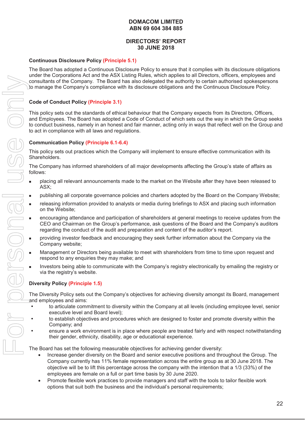# **DIRECTORS' REPORT 30 JUNE 2018**

#### **Continuous Disclosure Policy (Principle 5.1)**

The Board has adopted a Continuous Disclosure Policy to ensure that it complies with its disclosure obligations under the Corporations Act and the ASX Listing Rules, which applies to all Directors, officers, employees and consultants of the Company. The Board has also delegated the authority to certain authorised spokespersons to manage the Company's compliance with its disclosure obligations and the Continuous Disclosure Policy.

#### **Code of Conduct Policy (Principle 3.1)**

This policy sets out the standards of ethical behaviour that the Company expects from its Directors, Officers, and Employees. The Board has adopted a Code of Conduct of which sets out the way in which the Group seeks to conduct business, namely in an honest and fair manner, acting only in ways that reflect well on the Group and to act in compliance with all laws and regulations.

#### **Communication Policy (Principle 6.1-6.4)**

This policy sets out practices which the Company will implement to ensure effective communication with its Shareholders.

The Company has informed shareholders of all major developments affecting the Group's state of affairs as follows:

- placing all relevant announcements made to the market on the Website after they have been released to ASX;
- **publishing all corporate governance policies and charters adopted by the Board on the Company Website;**
- releasing information provided to analysts or media during briefings to ASX and placing such information on the Website;
- encouraging attendance and participation of shareholders at general meetings to receive updates from the CEO and Chairman on the Group's performance, ask questions of the Board and the Company's auditors regarding the conduct of the audit and preparation and content of the auditor's report.
- providing investor feedback and encouraging they seek further information about the Company via the Company website;
- Management or Directors being available to meet with shareholders from time to time upon request and respond to any enquiries they may make; and
- Investors being able to communicate with the Company's registry electronically by emailing the registry or via the registry's website.

#### **Diversity Policy (Principle 1.5)**

The Diversity Policy sets out the Company's objectives for achieving diversity amongst its Board, management and employees and aims:

- to articulate commitment to diversity within the Company at all levels (including employee level, senior executive level and Board level);
- to establish objectives and procedures which are designed to foster and promote diversity within the Company; and
- ensure a work environment is in place where people are treated fairly and with respect notwithstanding their gender, ethnicity, disability, age or educational experience.

The Board has set the following measurable objectives for achieving gender diversity:

- Increase gender diversity on the Board and senior executive positions and throughout the Group. The Company currently has 11% female representation across the entire group as at 30 June 2018. The objective will be to lift this percentage across the company with the intention that a 1/3 (33%) of the employees are female on a full or part time basis by 30 June 2020.
- Promote flexible work practices to provide managers and staff with the tools to tailor flexible work options that suit both the business and the individual's personal requirements;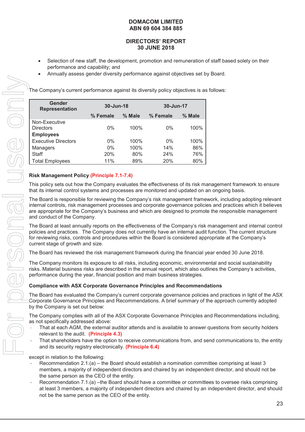# **DIRECTORS' REPORT 30 JUNE 2018**

- Selection of new staff, the development, promotion and remuneration of staff based solely on their performance and capability; and
- x Annually assess gender diversity performance against objectives set by Board.

The Company's current performance against its diversity policy objectives is as follows:

| Gender<br><b>Representation</b> | 30-Jun-18 |        | 30-Jun-17 |        |  |
|---------------------------------|-----------|--------|-----------|--------|--|
|                                 | % Female  | % Male | % Female  | % Male |  |
| Non-Executive                   |           |        |           |        |  |
| <b>Directors</b>                | $0\%$     | 100%   | $0\%$     | 100%   |  |
| <b>Employees</b>                |           |        |           |        |  |
| <b>Executive Directors</b>      | $0\%$     | 100%   | $0\%$     | 100%   |  |
| Managers                        | $0\%$     | 100%   | 14%       | 86%    |  |
| <b>Staff</b>                    | 20%       | 80%    | 24%       | 76%    |  |
| <b>Total Employees</b>          | 11%       | 89%    | 20%       | 80%    |  |

# **Risk Management Policy (Principle 7.1-7.4)**

This policy sets out how the Company evaluates the effectiveness of its risk management framework to ensure that its internal control systems and processes are monitored and updated on an ongoing basis.

The Board is responsible for reviewing the Company's risk management framework, including adopting relevant internal controls, risk management processes and corporate governance policies and practices which it believes are appropriate for the Company's business and which are designed to promote the responsible management and conduct of the Company.

The Board at least annually reports on the effectiveness of the Company's risk management and internal control policies and practices. The Company does not currently have an internal audit function. The current structure for reviewing risks, controls and procedures within the Board is considered appropriate at the Company's current stage of growth and size.

The Board has reviewed the risk management framework during the financial year ended 30 June 2018.

The Company monitors its exposure to all risks, including economic, environmental and social sustainability risks. Material business risks are described in the annual report, which also outlines the Company's activities, performance during the year, financial position and main business strategies.

#### **Compliance with ASX Corporate Governance Principles and Recommendations**

The Board has evaluated the Company's current corporate governance policies and practices in light of the ASX Corporate Governance Principles and Recommendations. A brief summary of the approach currently adopted by the Company is set out below:

The Company complies with all of the ASX Corporate Governance Principles and Recommendations including, as not specifically addressed above:

- That at each AGM, the external auditor attends and is available to answer questions from security holders relevant to the audit. **(Principle 4.3)**
- That shareholders have the option to receive communications from, and send communications to, the entity and its security registry electronically. **(Principle 6.4)**

except in relation to the following:

- Recommendation  $2.1(a)$  the Board should establish a nomination committee comprising at least 3 members, a majority of independent directors and chaired by an independent director, and should not be the same person as the CEO of the entity.
- Recommendation 7.1.(a) –the Board should have a committee or committees to oversee risks comprising at least 3 members, a majority of independent directors and chaired by an independent director, and should not be the same person as the CEO of the entity.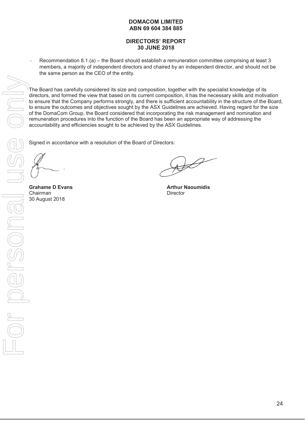# **DIRECTORS' REPORT 30 JUNE 2018**

Recommendation 8.1.(a) – the Board should establish a remuneration committee comprising at least 3 members, a majority of independent directors and chaired by an independent director, and should not be the same person as the CEO of the entity.

The Board has carefully considered its size and composition, together with the specialist knowledge of its directors, and formed the view that based on its current composition, it has the necessary skills and motivation to ensure that the Company performs strongly, and there is sufficient accountability in the structure of the Board, to ensure the outcomes and objectives sought by the ASX Guidelines are achieved. Having regard for the size of the DomaCom Group, the Board considered that incorporating the risk management and nomination and remuneration procedures into the function of the Board has been an appropriate way of addressing the accountability and efficiencies sought to be achieved by the ASX Guidelines.

Signed in accordance with a resolution of the Board of Directors:

Chairman Director<br>
30 August 2018

**Grahame D Evans Arthur Naoumidis Arthur Naoumidis**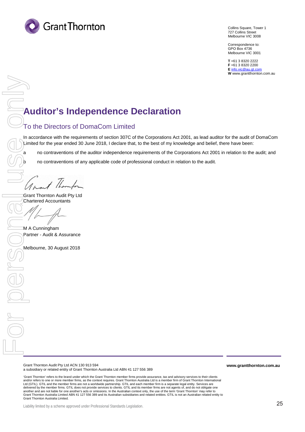

Collins Square, Tower 1 727 Collins Street Melbourne VIC 3008

Correspondence to: GPO Box 4736 Melbourne VIC 3001

**T** +61 3 8320 2222 **F** +61 3 8320 2200 **E** [info.vic@au.gt.com](mailto:info.vic@au.gt.com) **W** www.grantthornton.com.au

# **Auditor's Independence Declaration**

# To the Directors of DomaCom Limited

In accordance with the requirements of section 307C of the Corporations Act 2001, as lead auditor for the audit of DomaCom Limited for the year ended 30 June 2018, I declare that, to the best of my knowledge and belief, there have been:

a no contraventions of the auditor independence requirements of the Corporations Act 2001 in relation to the audit; and

b no contraventions of any applicable code of professional conduct in relation to the audit.

 $\begin{array}{|c|c|c|c|}\hline \textbf{F} & \textbf{F} & \textbf{F} & \textbf{F} \\ \hline \textbf{F} & \textbf{F} & \textbf{F} & \textbf{F} \\ \hline \textbf{F} & \textbf{F} & \textbf{F} & \textbf{F} \\ \hline \textbf{F} & \textbf{F} & \textbf{F} & \textbf{F} \\ \hline \textbf{F} & \textbf{F} & \textbf{F} & \textbf{F} \\ \hline \textbf{F} & \textbf{F} & \textbf{F} & \textbf{F} \\ \hline \textbf{F} & \textbf{F} & \textbf$ 

Grant Thornton Audit Pty Ltd Chartered Accountants

M A Cunningham Partner - Audit & Assurance

Melbourne, 30 August 2018

Grant Thornton Audit Pty Ltd ACN 130 913 594 a subsidiary or related entity of Grant Thornton Australia Ltd ABN 41 127 556 389

'Grant Thornton' refers to the brand under which the Grant Thornton member firms provide assurance, tax and advisory services to their clients and/or refers to one or more member firms, as the context requires. Grant Thornton Australia Ltd is a member firm of Grant Thornton International Ltd (GTIL). GTIL and the member firms are not a worldwide partnership. GTIL and each member firm is a separate legal entity. Services are delivered by the member firms. GTIL does not provide services to clients. GTIL and its member firms are not agents of, and do not obligate one another and are not liable for one another's acts or omissions. In the Australian context only, the use of the term 'Grant Thornton' may refer to<br>Grant Thornton Australia Limited ABN 41 127 556 389 and its Australian subsi Grant Thornton Australia Limited.

**www.grantthornton.com.au**

Liability limited by a scheme approved under Professional Standards Legislation.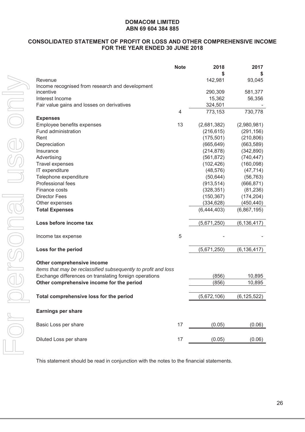# **CONSOLIDATED STATEMENT OF PROFIT OR LOSS AND OTHER COMPREHENSIVE INCOME FOR THE YEAR ENDED 30 JUNE 2018**

|                                                                | <b>Note</b> | 2018        | 2017          |
|----------------------------------------------------------------|-------------|-------------|---------------|
|                                                                |             |             | \$            |
| Revenue                                                        |             | 142,981     | 93,045        |
| Income recognised from research and development<br>incentive   |             | 290,309     | 581,377       |
| Interest Income                                                |             | 15,362      | 56,356        |
| Fair value gains and losses on derivatives                     |             | 324,501     |               |
|                                                                | 4           | 773,153     | 730,778       |
| <b>Expenses</b>                                                |             |             |               |
| Employee benefits expenses                                     | 13          | (2,681,382) | (2,980,981)   |
| Fund administration                                            |             | (216, 615)  | (291, 156)    |
| Rent                                                           |             | (175, 501)  | (210, 806)    |
| Depreciation                                                   |             | (665, 649)  | (663, 589)    |
| Insurance                                                      |             | (214, 878)  | (342,890)     |
| Advertising                                                    |             | (561, 872)  | (740, 447)    |
| Travel expenses                                                |             | (102, 426)  | (160,098)     |
| IT expenditure                                                 |             | (48, 576)   | (47, 714)     |
| Telephone expenditure                                          |             | (50, 644)   | (56, 763)     |
| Professional fees                                              |             | (913, 514)  | (666, 871)    |
| Finance costs                                                  |             | (328, 351)  | (81, 236)     |
| <b>Director Fees</b>                                           |             | (150, 367)  | (174, 204)    |
| Other expenses                                                 |             | (334, 628)  | (450, 440)    |
| <b>Total Expenses</b>                                          |             | (6,444,403) | (6,867,195)   |
| Loss before income tax                                         |             | (5,671,250) | (6, 136, 417) |
|                                                                |             |             |               |
| Income tax expense                                             | 5           |             |               |
| Loss for the period                                            |             | (5,671,250) | (6, 136, 417) |
|                                                                |             |             |               |
| Other comprehensive income                                     |             |             |               |
| Items that may be reclassified subsequently to profit and loss |             |             |               |
| Exchange differences on translating foreign operations         |             | (856)       | 10,895        |
| Other comprehensive income for the period                      |             | (856)       | 10,895        |
|                                                                |             |             |               |
| Total comprehensive loss for the period                        |             | (5,672,106) | (6, 125, 522) |
|                                                                |             |             |               |
| <b>Earnings per share</b>                                      |             |             |               |
| Basic Loss per share                                           | 17          | (0.05)      | (0.06)        |
|                                                                |             |             |               |
| Diluted Loss per share                                         | 17          | (0.05)      | (0.06)        |

This statement should be read in conjunction with the notes to the financial statements.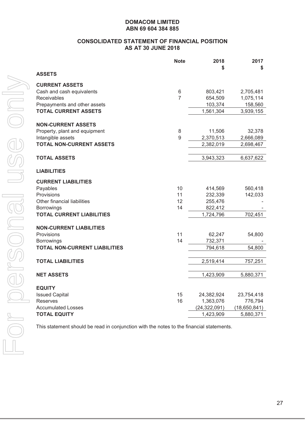#### **CONSOLIDATED STATEMENT OF FINANCIAL POSITION AS AT 30 JUNE 2018**

|                                                      | <b>Note</b>    | 2018<br>S              | 2017<br>S              |
|------------------------------------------------------|----------------|------------------------|------------------------|
| <b>ASSETS</b>                                        |                |                        |                        |
| <b>CURRENT ASSETS</b>                                |                |                        |                        |
| Cash and cash equivalents                            | 6              | 803,421                | 2,705,481              |
| <b>Receivables</b>                                   | $\overline{7}$ | 654,509                | 1,075,114              |
| Prepayments and other assets                         |                | 103,374                | 158,560                |
| <b>TOTAL CURRENT ASSETS</b>                          |                | 1,561,304              | 3,939,155              |
|                                                      |                |                        |                        |
| <b>NON-CURRENT ASSETS</b>                            |                |                        |                        |
| Property, plant and equipment                        | 8<br>9         | 11,506                 | 32,378                 |
| Intangible assets<br><b>TOTAL NON-CURRENT ASSETS</b> |                | 2,370,513<br>2,382,019 | 2,666,089<br>2,698,467 |
|                                                      |                |                        |                        |
| <b>TOTAL ASSETS</b>                                  |                | 3,943,323              | 6,637,622              |
|                                                      |                |                        |                        |
| <b>LIABILITIES</b>                                   |                |                        |                        |
| <b>CURRENT LIABILITIES</b>                           |                |                        |                        |
| Payables                                             | 10             | 414,569                | 560,418                |
| Provisions                                           | 11             | 232,339                | 142,033                |
| Other financial liabilities                          | 12             | 255,476                |                        |
| <b>Borrowings</b>                                    | 14             | 822,412                |                        |
| <b>TOTAL CURRENT LIABILITIES</b>                     |                | 1,724,796              | 702,451                |
|                                                      |                |                        |                        |
| <b>NON-CURRENT LIABILITIES</b><br>Provisions         | 11             | 62,247                 | 54,800                 |
| <b>Borrowings</b>                                    | 14             | 732,371                |                        |
| <b>TOTAL NON-CURRENT LIABILITIES</b>                 |                | 794,618                | 54,800                 |
|                                                      |                |                        |                        |
| <b>TOTAL LIABILITIES</b>                             |                | 2,519,414              | 757,251                |
|                                                      |                |                        |                        |
| <b>NET ASSETS</b>                                    |                | 1,423,909              | 5,880,371              |
|                                                      |                |                        |                        |
| <b>EQUITY</b><br><b>Issued Capital</b>               | 15             | 24,382,924             | 23,754,418             |
| <b>Reserves</b>                                      | 16             | 1,363,076              | 776,794                |
| <b>Accumulated Losses</b>                            |                | (24, 322, 091)         | (18,650,841)           |
| <b>TOTAL EQUITY</b>                                  |                | 1,423,909              | 5,880,371              |
|                                                      |                |                        |                        |

This statement should be read in conjunction with the notes to the financial statements.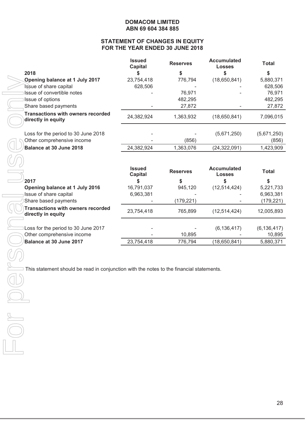# **STATEMENT OF CHANGES IN EQUITY FOR THE YEAR ENDED 30 JUNE 2018**

|                                                                                          | <b>Issued</b><br><b>Capital</b> | <b>Reserves</b> | <b>Accumulated</b><br><b>Losses</b> | <b>Total</b>         |
|------------------------------------------------------------------------------------------|---------------------------------|-----------------|-------------------------------------|----------------------|
| 2018                                                                                     | \$                              | \$              | \$                                  | \$                   |
| Opening balance at 1 July 2017                                                           | 23,754,418                      | 776,794         | (18,650,841)                        | 5,880,371            |
| Issue of share capital                                                                   | 628,506                         |                 |                                     | 628,506              |
| Issue of convertible notes                                                               |                                 | 76,971          |                                     | 76,971               |
| Issue of options                                                                         |                                 | 482,295         |                                     | 482,295              |
| Share based payments                                                                     |                                 | 27,872          |                                     | 27,872               |
| <b>Transactions with owners recorded</b><br>directly in equity                           | 24,382,924                      | 1,363,932       | (18,650,841)                        | 7,096,015            |
| Loss for the period to 30 June 2018<br>Other comprehensive income                        |                                 | (856)           | (5,671,250)                         | (5,671,250)<br>(856) |
| Balance at 30 June 2018                                                                  | 24,382,924                      | 1,363,076       | (24, 322, 091)                      | 1,423,909            |
|                                                                                          |                                 |                 |                                     |                      |
|                                                                                          | <b>Issued</b><br><b>Capital</b> | <b>Reserves</b> | <b>Accumulated</b><br><b>Losses</b> | <b>Total</b>         |
| 2017                                                                                     | \$                              | \$              | \$                                  | \$                   |
| Opening balance at 1 July 2016                                                           | 16,791,037                      | 945,120         | (12, 514, 424)                      | 5,221,733            |
| Issue of share capital                                                                   | 6,963,381                       |                 |                                     | 6,963,381            |
| Share based payments                                                                     |                                 | (179, 221)      |                                     | (179, 221)           |
| <b>Transactions with owners recorded</b><br>directly in equity                           | 23,754,418                      | 765,899         | (12, 514, 424)                      | 12,005,893           |
|                                                                                          |                                 |                 |                                     |                      |
| Loss for the period to 30 June 2017                                                      |                                 |                 | (6, 136, 417)                       | (6, 136, 417)        |
| Other comprehensive income                                                               |                                 | 10,895          |                                     | 10,895               |
| Balance at 30 June 2017                                                                  | 23,754,418                      | 776,794         | (18,650,841)                        | 5,880,371            |
| This statement should be read in conjunction with the notes to the financial statements. |                                 |                 |                                     |                      |
|                                                                                          |                                 |                 |                                     |                      |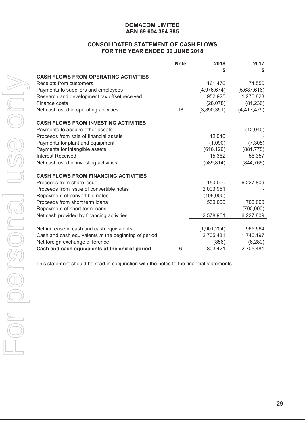#### **CONSOLIDATED STATEMENT OF CASH FLOWS FOR THE YEAR ENDED 30 JUNE 2018**

|                                                      | <b>Note</b> | 2018        | 2017          |
|------------------------------------------------------|-------------|-------------|---------------|
|                                                      |             |             | \$            |
| <b>CASH FLOWS FROM OPERATING ACTIVITIES</b>          |             |             |               |
| Receipts from customers                              |             | 161,476     | 74,550        |
| Payments to suppliers and employees                  |             | (4,976,674) | (5,687,616)   |
| Research and development tax offset received         |             | 952,925     | 1,276,823     |
| Finance costs                                        |             | (28,078)    | (81, 236)     |
| Net cash used in operating activities                | 18          | (3,890,351) | (4, 417, 479) |
| <b>CASH FLOWS FROM INVESTING ACTIVITIES</b>          |             |             |               |
| Payments to acquire other assets                     |             |             | (12,040)      |
| Proceeds from sale of financial assets               |             | 12,040      |               |
| Payments for plant and equipment                     |             | (1,090)     | (7, 305)      |
| Payments for intangible assets                       |             | (616, 126)  | (881, 778)    |
| Interest Received                                    |             | 15,362      | 56,357        |
| Net cash used in investing activities                |             | (589, 814)  | (844, 766)    |
| <b>CASH FLOWS FROM FINANCING ACTIVITIES</b>          |             |             |               |
| Proceeds from share issue                            |             | 150,000     | 6,227,809     |
| Proceeds from issue of convertible notes             |             | 2,003,961   |               |
| Repayment of convertible notes                       |             | (105,000)   |               |
| Proceeds from short term loans                       |             | 530,000     | 700,000       |
| Repayment of short term loans                        |             |             | (700,000)     |
| Net cash provided by financing activities            |             | 2,578,961   | 6,227,809     |
| Net increase in cash and cash equivalents            |             | (1,901,204) | 965,564       |
| Cash and cash equivalents at the beginning of period |             | 2,705,481   | 1,746,197     |
| Net foreign exchange difference                      |             | (856)       | (6, 280)      |
| Cash and cash equivalents at the end of period       | 6           | 803,421     | 2,705,481     |

This statement should be read in conjunction with the notes to the financial statements.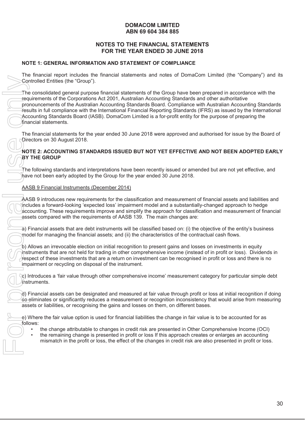# **NOTES TO THE FINANCIAL STATEMENTS FOR THE YEAR ENDED 30 JUNE 2018**

# **NOTE 1: GENERAL INFORMATION AND STATEMENT OF COMPLIANCE**

The financial report includes the financial statements and notes of DomaCom Limited (the "Company") and its Controlled Entities (the "Group").

The consolidated general purpose financial statements of the Group have been prepared in accordance with the requirements of the Corporations Act 2001, Australian Accounting Standards and other authoritative pronouncements of the Australian Accounting Standards Board. Compliance with Australian Accounting Standards results in full compliance with the International Financial Reporting Standards (IFRS) as issued by the International Accounting Standards Board (IASB). DomaCom Limited is a for-profit entity for the purpose of preparing the financial statements.

The financial statements for the year ended 30 June 2018 were approved and authorised for issue by the Board of Directors on 30 August 2018.

# **NOTE 2: ACCOUNTING STANDARDS ISSUED BUT NOT YET EFFECTIVE AND NOT BEEN ADOPTED EARLY BY THE GROUP**

The following standards and interpretations have been recently issued or amended but are not yet effective, and have not been early adopted by the Group for the year ended 30 June 2018.

AASB 9 Financial Instruments (December 2014)

AASB 9 introduces new requirements for the classification and measurement of financial assets and liabilities and includes a forward-looking 'expected loss' impairment model and a substantially-changed approach to hedge accounting. These requirements improve and simplify the approach for classification and measurement of financial assets compared with the requirements of AASB 139. The main changes are:

a) Financial assets that are debt instruments will be classified based on: (i) the objective of the entity's business model for managing the financial assets; and (ii) the characteristics of the contractual cash flows.

b) Allows an irrevocable election on initial recognition to present gains and losses on investments in equity instruments that are not held for trading in other comprehensive income (instead of in profit or loss). Dividends in respect of these investments that are a return on investment can be recognised in profit or loss and there is no impairment or recycling on disposal of the instrument.

c) Introduces a 'fair value through other comprehensive income' measurement category for particular simple debt instruments.

d) Financial assets can be designated and measured at fair value through profit or loss at initial recognition if doing so eliminates or significantly reduces a measurement or recognition inconsistency that would arise from measuring assets or liabilities, or recognising the gains and losses on them, on different bases.

e) Where the fair value option is used for financial liabilities the change in fair value is to be accounted for as follows:

- the change attributable to changes in credit risk are presented in Other Comprehensive Income (OCI)
- the remaining change is presented in profit or loss If this approach creates or enlarges an accounting mismatch in the profit or loss, the effect of the changes in credit risk are also presented in profit or loss.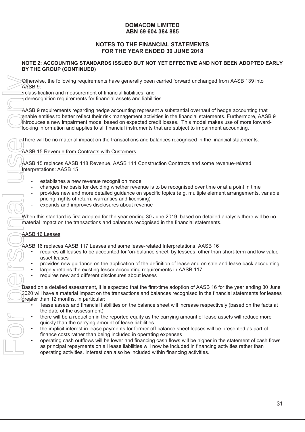# **NOTES TO THE FINANCIAL STATEMENTS FOR THE YEAR ENDED 30 JUNE 2018**

#### **NOTE 2: ACCOUNTING STANDARDS ISSUED BUT NOT YET EFFECTIVE AND NOT BEEN ADOPTED EARLY BY THE GROUP (CONTINUED)**

Otherwise, the following requirements have generally been carried forward unchanged from AASB 139 into AASB 9:

• classification and measurement of financial liabilities; and

**•** derecognition requirements for financial assets and liabilities.

AASB 9 requirements regarding hedge accounting represent a substantial overhaul of hedge accounting that enable entities to better reflect their risk management activities in the financial statements. Furthermore, AASB 9 introduces a new impairment model based on expected credit losses. This model makes use of more forwardlooking information and applies to all financial instruments that are subject to impairment accounting.

There will be no material impact on the transactions and balances recognised in the financial statements.

AASB 15 Revenue from Contracts with Customers

AASB 15 replaces AASB 118 Revenue, AASB 111 Construction Contracts and some revenue-related Interpretations: AASB 15

- establishes a new revenue recognition model
- changes the basis for deciding whether revenue is to be recognised over time or at a point in time
- provides new and more detailed guidance on specific topics (e.g. multiple element arrangements, variable pricing, rights of return, warranties and licensing)
- expands and improves disclosures about revenue

When this standard is first adopted for the year ending 30 June 2019, based on detailed analysis there will be no material impact on the transactions and balances recognised in the financial statements.

#### AASB 16 Leases

AASB 16 replaces AASB 117 Leases and some lease-related Interpretations. AASB 16

- requires all leases to be accounted for 'on-balance sheet' by lessees, other than short-term and low value asset leases
- provides new guidance on the application of the definition of lease and on sale and lease back accounting
- largely retains the existing lessor accounting requirements in AASB 117
- requires new and different disclosures about leases

Based on a detailed assessment, it is expected that the first-time adoption of AASB 16 for the year ending 30 June 2020 will have a material impact on the transactions and balances recognised in the financial statements for leases greater than 12 months, in particular:

- lease assets and financial liabilities on the balance sheet will increase respectively (based on the facts at the date of the assessment)
- there will be a reduction in the reported equity as the carrying amount of lease assets will reduce more quickly than the carrying amount of lease liabilities
- the implicit interest in lease payments for former off balance sheet leases will be presented as part of finance costs rather than being included in operating expenses
- operating cash outflows will be lower and financing cash flows will be higher in the statement of cash flows as principal repayments on all lease liabilities will now be included in financing activities rather than operating activities. Interest can also be included within financing activities.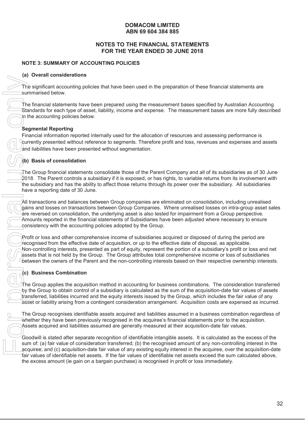# **NOTES TO THE FINANCIAL STATEMENTS FOR THE YEAR ENDED 30 JUNE 2018**

# **NOTE 3: SUMMARY OF ACCOUNTING POLICIES**

# **(a) Overall considerations**

The significant accounting policies that have been used in the preparation of these financial statements are summarised below.

The financial statements have been prepared using the measurement bases specified by Australian Accounting Standards for each type of asset, liability, income and expense. The measurement bases are more fully described in the accounting policies below.

# **Segmental Reporting**

Financial information reported internally used for the allocation of resources and assessing performance is currently presented without reference to segments. Therefore profit and loss, revenues and expenses and assets and liabilities have been presented without segmentation.

# **(b) Basis of consolidation**

 $\bar{A}$ he Group financial statements consolidate those of the Parent Company and all of its subsidiaries as of 30 June  $2018$ . The Parent controls a subsidiary if it is exposed, or has rights, to variable returns from its involvement with the subsidiary and has the ability to affect those returns through its power over the subsidiary. All subsidiaries have a reporting date of 30 June.

All transactions and balances between Group companies are eliminated on consolidation, including unrealised gains and losses on transactions between Group Companies. Where unrealised losses on intra-group asset sales are reversed on consolidation, the underlying asset is also tested for impairment from a Group perspective. Amounts reported in the financial statements of Subsidiaries have been adjusted where necessary to ensure consistency with the accounting policies adopted by the Group.

Profit or loss and other comprehensive income of subsidiaries acquired or disposed of during the period are recognised from the effective date of acquisition, or up to the effective date of disposal, as applicable. Non-controlling interests, presented as part of equity, represent the portion of a subsidiary's profit or loss and net assets that is not held by the Group. The Group attributes total comprehensive income or loss of subsidiaries between the owners of the Parent and the non-controlling interests based on their respective ownership interests.

# **(c) Business Combination**

 $\tau$ he Group applies the acquisition method in accounting for business combinations. The consideration transferred by the Group to obtain control of a subsidiary is calculated as the sum of the acquisition-date fair values of assets transferred, liabilities incurred and the equity interests issued by the Group, which includes the fair value of any asset or liability arising from a contingent consideration arrangement. Acquisition costs are expensed as incurred.

The Group recognises identifiable assets acquired and liabilities assumed in a business combination regardless of whether they have been previously recognised in the acquiree's financial statements prior to the acquisition. Assets acquired and liabilities assumed are generally measured at their acquisition-date fair values.

Goodwill is stated after separate recognition of identifiable intangible assets. It is calculated as the excess of the sum of: (a) fair value of consideration transferred; (b) the recognised amount of any non-controlling interest in the acquiree; and (c) acquisition-date fair value of any existing equity interest in the acquiree, over the acquisition-date fair values of identifiable net assets. If the fair values of identifiable net assets exceed the sum calculated above, the excess amount (ie gain on a bargain purchase) is recognised in profit or loss immediately.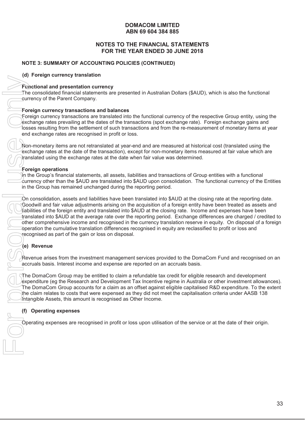# **NOTES TO THE FINANCIAL STATEMENTS FOR THE YEAR ENDED 30 JUNE 2018**

# **NOTE 3: SUMMARY OF ACCOUNTING POLICIES (CONTINUED)**

**(d) Foreign currency translation**

#### **Functional and presentation currency**

The consolidated financial statements are presented in Australian Dollars (\$AUD), which is also the functional currency of the Parent Company.

#### **Foreign currency transactions and balances**

Foreign currency transactions are translated into the functional currency of the respective Group entity, using the exchange rates prevailing at the dates of the transactions (spot exchange rate). Foreign exchange gains and losses resulting from the settlement of such transactions and from the re-measurement of monetary items at year end exchange rates are recognised in profit or loss.

Non-monetary items are not retranslated at year-end and are measured at historical cost (translated using the exchange rates at the date of the transaction), except for non-monetary items measured at fair value which are translated using the exchange rates at the date when fair value was determined.

#### **Foreign operations**

In the Group's financial statements, all assets, liabilities and transactions of Group entities with a functional currency other than the \$AUD are translated into \$AUD upon consolidation. The functional currency of the Entities in the Group has remained unchanged during the reporting period.

On consolidation, assets and liabilities have been translated into \$AUD at the closing rate at the reporting date. Goodwill and fair value adjustments arising on the acquisition of a foreign entity have been treated as assets and liabilities of the foreign entity and translated into \$AUD at the closing rate. Income and expenses have been translated into \$AUD at the average rate over the reporting period. Exchange differences are charged / credited to other comprehensive income and recognised in the currency translation reserve in equity. On disposal of a foreign operation the cumulative translation differences recognised in equity are reclassified to profit or loss and recognised as part of the gain or loss on disposal. Operation and the methods are reported in Australian Dollars (\$AUD), which is also the function<br>The considered financies are researched in Australian Dollars (\$AUD), which is also the function<br>pure recognise carriery of th

# **(e) Revenue**

Revenue arises from the investment management services provided to the DomaCom Fund and recognised on an accruals basis. Interest income and expense are reported on an accruals basis.

The DomaCom Group may be entitled to claim a refundable tax credit for eligible research and development expenditure (eg the Research and Development Tax Incentive regime in Australia or other investment allowances). The DomaCom Group accounts for a claim as an offset against eligible capitalised R&D expenditure. To the extent the claim relates to costs that were expensed as they did not meet the capitalisation criteria under AASB 138 Intangible Assets, this amount is recognised as Other Income.

#### **(f) Operating expenses**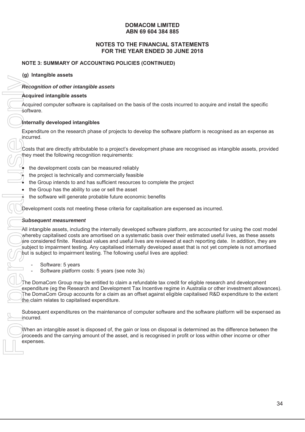# **NOTES TO THE FINANCIAL STATEMENTS FOR THE YEAR ENDED 30 JUNE 2018**

# **NOTE 3: SUMMARY OF ACCOUNTING POLICIES (CONTINUED)**

**(g) Intangible assets**

#### *Recognition of other intangible assets*

#### **Acquired intangible assets**

Acquired computer software is capitalised on the basis of the costs incurred to acquire and install the specific software.

#### **Internally developed intangibles**

Expenditure on the research phase of projects to develop the software platform is recognised as an expense as incurred.

Costs that are directly attributable to a project's development phase are recognised as intangible assets, provided they meet the following recognition requirements:

- the development costs can be measured reliably
- the project is technically and commercially feasible
- the Group intends to and has sufficient resources to complete the project
- the Group has the ability to use or sell the asset
- the software will generate probable future economic benefits

Development costs not meeting these criteria for capitalisation are expensed as incurred.

#### *Subsequent measurement*

All intangible assets, including the internally developed software platform, are accounted for using the cost model whereby capitalised costs are amortised on a systematic basis over their estimated useful lives, as these assets are considered finite. Residual values and useful lives are reviewed at each reporting date. In addition, they are subject to impairment testing. Any capitalised internally developed asset that is not yet complete is not amortised but is subject to impairment testing. The following useful lives are applied:

- Software: 5 years
- Software platform costs: 5 years (see note 3s)

The DomaCom Group may be entitled to claim a refundable tax credit for eligible research and development expenditure (eg the Research and Development Tax Incentive regime in Australia or other investment allowances). The DomaCom Group accounts for a claim as an offset against eligible capitalised R&D expenditure to the extent  $\theta$  the claim relates to capitalised expenditure.

Subsequent expenditures on the maintenance of computer software and the software platform will be expensed as incurred.

When an intangible asset is disposed of, the gain or loss on disposal is determined as the difference between the proceeds and the carrying amount of the asset, and is recognised in profit or loss within other income or other expenses.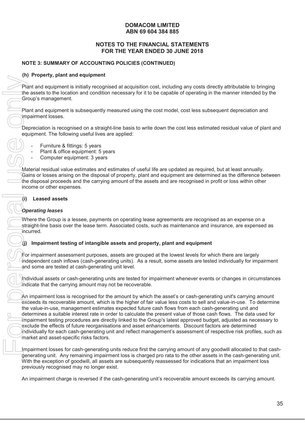# **NOTES TO THE FINANCIAL STATEMENTS FOR THE YEAR ENDED 30 JUNE 2018**

# **NOTE 3: SUMMARY OF ACCOUNTING POLICIES (CONTINUED)**

#### **(h) Property, plant and equipment**

Plant and equipment is initially recognised at acquisition cost, including any costs directly attributable to bringing the assets to the location and condition necessary for it to be capable of operating in the manner intended by the Group's management.

Plant and equipment is subsequently measured using the cost model, cost less subsequent depreciation and impairment losses.

Depreciation is recognised on a straight-line basis to write down the cost less estimated residual value of plant and equipment. The following useful lives are applied:

- Furniture & fittings: 5 years
- Plant & office equipment: 5 years
- Computer equipment: 3 years

Material residual value estimates and estimates of useful life are updated as required, but at least annually. Gains or losses arising on the disposal of property, plant and equipment are determined as the difference between the disposal proceeds and the carrying amount of the assets and are recognised in profit or loss within other income or other expenses.

#### **(i) Leased assets**

# *Operating leases*

Where the Group is a lessee, payments on operating lease agreements are recognised as an expense on a straight-line basis over the lease term. Associated costs, such as maintenance and insurance, are expensed as incurred.

# **(j) Impairment testing of intangible assets and property, plant and equipment**

 $)\mathbb{F}$ or impairment assessment purposes, assets are grouped at the lowest levels for which there are largely independent cash inflows (cash-generating units). As a result, some assets are tested individually for impairment and some are tested at cash-generating unit level.

Individual assets or cash-generating units are tested for impairment whenever events or changes in circumstances indicate that the carrying amount may not be recoverable.

An impairment loss is recognised for the amount by which the asset's or cash-generating unit's carrying amount exceeds its recoverable amount, which is the higher of fair value less costs to sell and value-in-use. To determine the value-in-use, management estimates expected future cash flows from each cash-generating unit and determines a suitable interest rate in order to calculate the present value of those cash flows. The data used for impairment testing procedures are directly linked to the Group's latest approved budget, adjusted as necessary to exclude the effects of future reorganisations and asset enhancements. Discount factors are determined individually for each cash-generating unit and reflect management's assessment of respective risk profiles, such as market and asset-specific risks factors. An internation and the case of the cash-generating unit of the cash-generating units research to the case of the case of the case of the case of the case of the case of the case of the case of the case of the case of the c

Impairment losses for cash-generating units reduce first the carrying amount of any goodwill allocated to that cashgenerating unit. Any remaining impairment loss is charged pro rata to the other assets in the cash-generating unit. With the exception of goodwill, all assets are subsequently reassessed for indications that an impairment loss previously recognised may no longer exist.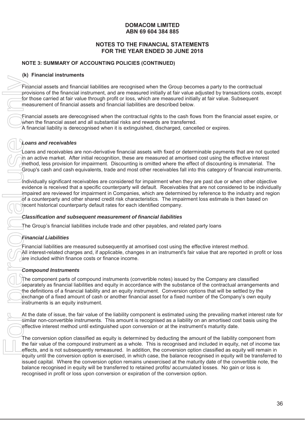# **NOTES TO THE FINANCIAL STATEMENTS FOR THE YEAR ENDED 30 JUNE 2018**

# **NOTE 3: SUMMARY OF ACCOUNTING POLICIES (CONTINUED)**

#### **(k) Financial instruments**

Financial assets and financial liabilities are recognised when the Group becomes a party to the contractual provisions of the financial instrument, and are measured initially at fair value adjusted by transactions costs, except for those carried at fair value through profit or loss, which are measured initially at fair value. Subsequent measurement of financial assets and financial liabilities are described below.

Financial assets are derecognised when the contractual rights to the cash flows from the financial asset expire, or when the financial asset and all substantial risks and rewards are transferred.

A financial liability is derecognised when it is extinguished, discharged, cancelled or expires.

# *Loans and receivables*

Loans and receivables are non-derivative financial assets with fixed or determinable payments that are not quoted in an active market. After initial recognition, these are measured at amortised cost using the effective interest method, less provision for impairment. Discounting is omitted where the effect of discounting is immaterial. The Group's cash and cash equivalents, trade and most other receivables fall into this category of financial instruments.

Individually significant receivables are considered for impairment when they are past due or when other objective evidence is received that a specific counterparty will default. Receivables that are not considered to be individually impaired are reviewed for impairment in Companies, which are determined by reference to the industry and region of a counterparty and other shared credit risk characteristics. The impairment loss estimate is then based on recent historical counterparty default rates for each identified company.

#### *Classification and subsequent measurement of financial liabilities*

The Group's financial liabilities include trade and other payables, and related party loans

# *Financial Liabilities*

Financial liabilities are measured subsequently at amortised cost using the effective interest method. All interest-related charges and, if applicable, changes in an instrument's fair value that are reported in profit or loss are included within finance costs or finance income.

# *Compound Instruments*

The component parts of compound instruments (convertible notes) issued by the Company are classified separately as financial liabilities and equity in accordance with the substance of the contractual arrangements and the definitions of a financial liability and an equity instrument. Conversion options that will be settled by the exchange of a fixed amount of cash or another financial asset for a fixed number of the Company's own equity instruments is an equity instrument.

At the date of issue, the fair value of the liability component is estimated using the prevailing market interest rate for similar non-convertible instruments. This amount is recognised as a liability on an amortised cost basis using the effective interest method until extinguished upon conversion or at the instrument's maturity date.

The conversion option classified as equity is determined by deducting the amount of the liability component from the fair value of the compound instrument as a whole. This is recognised and included in equity, net of income tax effects, and is not subsequently remeasured. In addition, the conversion option classified as equity will remain in equity until the conversion option is exercised, in which case, the balance recognised in equity will be transferred to issued capital. Where the conversion option remains unexercised at the maturity date of the convertible note, the balance recognised in equity will be transferred to retained profits/ accumulated losses. No gain or loss is From collistic are recognised when the Group becomes<br>provision of the financial liabilities are recognised when the Group becomes<br>for these carried at fair value through profit or loss, which are measured initially at<br>meas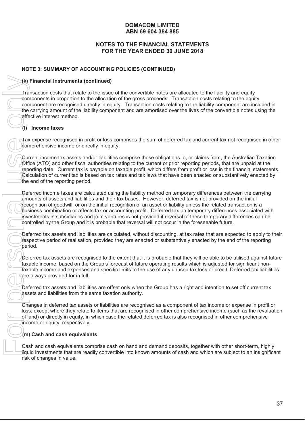# **NOTES TO THE FINANCIAL STATEMENTS FOR THE YEAR ENDED 30 JUNE 2018**

# **NOTE 3: SUMMARY OF ACCOUNTING POLICIES (CONTINUED)**

#### **(k) Financial Instruments (continued)**

Transaction costs that relate to the issue of the convertible notes are allocated to the liability and equity components in proportion to the allocation of the gross proceeds. Transaction costs relating to the equity component are recognised directly in equity. Transaction costs relating to the liability component are included in the carrying amount of the liability component and are amortised over the lives of the convertible notes using the effective interest method.

# **(l) Income taxes**

Tax expense recognised in profit or loss comprises the sum of deferred tax and current tax not recognised in other  $\alpha$  domprehensive income or directly in equity.

Current income tax assets and/or liabilities comprise those obligations to, or claims from, the Australian Taxation Office (ATO) and other fiscal authorities relating to the current or prior reporting periods, that are unpaid at the reporting date. Current tax is payable on taxable profit, which differs from profit or loss in the financial statements. Calculation of current tax is based on tax rates and tax laws that have been enacted or substantively enacted by the end of the reporting period.

Deferred income taxes are calculated using the liability method on temporary differences between the carrying amounts of assets and liabilities and their tax bases. However, deferred tax is not provided on the initial recognition of goodwill, or on the initial recognition of an asset or liability unless the related transaction is a business combination or affects tax or accounting profit. Deferred tax on temporary differences associated with investments in subsidiaries and joint ventures is not provided if reversal of these temporary differences can be controlled by the Group and it is probable that reversal will not occur in the foreseeable future.

Deferred tax assets and liabilities are calculated, without discounting, at tax rates that are expected to apply to their respective period of realisation, provided they are enacted or substantively enacted by the end of the reporting period.

Deferred tax assets are recognised to the extent that it is probable that they will be able to be utilised against future taxable income, based on the Group's forecast of future operating results which is adjusted for significant nontaxable income and expenses and specific limits to the use of any unused tax loss or credit. Deferred tax liabilities are always provided for in full.

Deferred tax assets and liabilities are offset only when the Group has a right and intention to set off current tax assets and liabilities from the same taxation authority.

Changes in deferred tax assets or liabilities are recognised as a component of tax income or expense in profit or loss, except where they relate to items that are recognised in other comprehensive income (such as the revaluation of land) or directly in equity, in which case the related deferred tax is also recognised in other comprehensive income or equity, respectively.

# **(m) Cash and cash equivalents**

Cash and cash equivalents comprise cash on hand and demand deposits, together with other short-term, highly liquid investments that are readily convertible into known amounts of cash and which are subject to an insignificant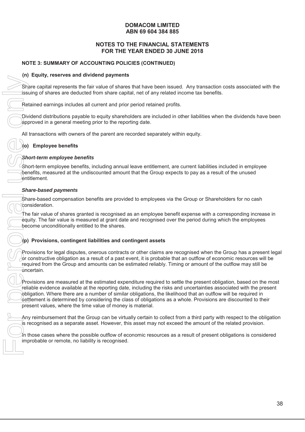# **NOTES TO THE FINANCIAL STATEMENTS FOR THE YEAR ENDED 30 JUNE 2018**

# **NOTE 3: SUMMARY OF ACCOUNTING POLICIES (CONTINUED)**

#### **(n) Equity, reserves and dividend payments**

Share capital represents the fair value of shares that have been issued. Any transaction costs associated with the issuing of shares are deducted from share capital, net of any related income tax benefits.

Retained earnings includes all current and prior period retained profits.

Dividend distributions payable to equity shareholders are included in other liabilities when the dividends have been  $a$  approved in a general meeting prior to the reporting date.

All transactions with owners of the parent are recorded separately within equity.

# **(o) Employee benefits**

#### *Short-term employee benefits*

Short-term employee benefits, including annual leave entitlement, are current liabilities included in employee benefits, measured at the undiscounted amount that the Group expects to pay as a result of the unused entitlement.

#### *Share-based payments*

Share-based compensation benefits are provided to employees via the Group or Shareholders for no cash consideration.

The fair value of shares granted is recognised as an employee benefit expense with a corresponding increase in equity. The fair value is measured at grant date and recognised over the period during which the employees become unconditionally entitled to the shares.

# **(p) Provisions, contingent liabilities and contingent assets**

Provisions for legal disputes, onerous contracts or other claims are recognised when the Group has a present legal or constructive obligation as a result of a past event, it is probable that an outflow of economic resources will be required from the Group and amounts can be estimated reliably. Timing or amount of the outflow may still be uncertain.

Provisions are measured at the estimated expenditure required to settle the present obligation, based on the most reliable evidence available at the reporting date, including the risks and uncertainties associated with the present obligation. Where there are a number of similar obligations, the likelihood that an outflow will be required in settlement is determined by considering the class of obligations as a whole. Provisions are discounted to their present values, where the time value of money is material.

Any reimbursement that the Group can be virtually certain to collect from a third party with respect to the obligation is recognised as a separate asset. However, this asset may not exceed the amount of the related provision.

In those cases where the possible outflow of economic resources as a result of present obligations is considered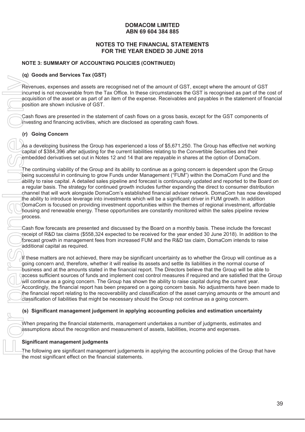# **NOTES TO THE FINANCIAL STATEMENTS FOR THE YEAR ENDED 30 JUNE 2018**

# **NOTE 3: SUMMARY OF ACCOUNTING POLICIES (CONTINUED)**

# **(q) Goods and Services Tax (GST)**

Revenues, expenses and assets are recognised net of the amount of GST, except where the amount of GST incurred is not recoverable from the Tax Office. In these circumstances the GST is recognised as part of the cost of acquisition of the asset or as part of an item of the expense. Receivables and payables in the statement of financial position are shown inclusive of GST.

Cash flows are presented in the statement of cash flows on a gross basis, except for the GST components of  $i$ nvesting and financing activities, which are disclosed as operating cash flows.

# **(r) Going Concern**

As a developing business the Group has experienced a loss of \$5,671,250. The Group has effective net working capital of \$384,396 after adjusting for the current liabilities relating to the Convertible Securities and their embedded derivatives set out in Notes 12 and 14 that are repayable in shares at the option of DomaCom.

The continuing viability of the Group and its ability to continue as a going concern is dependent upon the Group being successful in continuing to grow Funds under Management ("FUM") within the DomaCom Fund and the ability to raise capital. A detailed sales pipeline and forecast is continuously updated and reported to the Board on a regular basis. The strategy for continued growth includes further expanding the direct to consumer distribution channel that will work alongside DomaCom's established financial adviser network. DomaCom has now developed the ability to introduce leverage into investments which will be a significant driver in FUM growth. In addition DomaCom is focused on providing investment opportunities within the themes of regional investment, affordable housing and renewable energy. These opportunities are constantly monitored within the sales pipeline review process. Formulates are presented and assets are recognised net change and assets are recognised in change in the asset or as part of an item of the experimental is not for a sessented in the statement of cash flow assets on a pers

Cash flow forecasts are presented and discussed by the Board on a monthly basis. These include the forecast receipt of R&D tax claims (\$558,324 expected to be received for the year ended 30 June 2018). In addition to the forecast growth in management fees from increased FUM and the R&D tax claim, DomaCom intends to raise additional capital as required.

If these matters are not achieved, there may be significant uncertainty as to whether the Group will continue as a going concern and, therefore, whether it will realise its assets and settle its liabilities in the normal course of business and at the amounts stated in the financial report. The Directors believe that the Group will be able to access sufficient sources of funds and implement cost control measures if required and are satisfied that the Group will continue as a going concern. The Group has shown the ability to raise capital during the current year. Accordingly, the financial report has been prepared on a going concern basis. No adjustments have been made to the financial report relating to the recoverability and classification of the asset carrying amounts or the amount and classification of liabilities that might be necessary should the Group not continue as a going concern.

# **(s) Significant management judgement in applying accounting policies and estimation uncertainty**

When preparing the financial statements, management undertakes a number of judgments, estimates and assumptions about the recognition and measurement of assets, liabilities, income and expenses.

# **Significant management judgments**

The following are significant management judgements in applying the accounting policies of the Group that have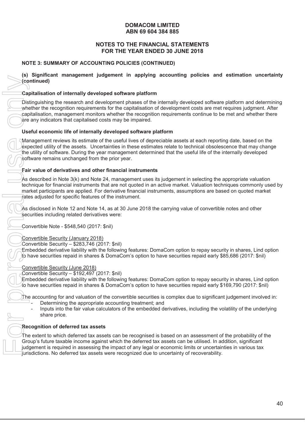# **NOTES TO THE FINANCIAL STATEMENTS FOR THE YEAR ENDED 30 JUNE 2018**

# **NOTE 3: SUMMARY OF ACCOUNTING POLICIES (CONTINUED)**

**(s) Significant management judgement in applying accounting policies and estimation uncertainty (continued)**

#### **Capitalisation of internally developed software platform**

Distinguishing the research and development phases of the internally developed software platform and determining whether the recognition requirements for the capitalisation of development costs are met requires judgment. After capitalisation, management monitors whether the recognition requirements continue to be met and whether there are any indicators that capitalised costs may be impaired.

#### **Useful economic life of internally developed software platform**

Management reviews its estimate of the useful lives of depreciable assets at each reporting date, based on the expected utility of the assets. Uncertainties in these estimates relate to technical obsolescence that may change the utility of software. During the year management determined that the useful life of the internally developed software remains unchanged from the prior year.

# **Fair value of derivatives and other financial instruments**

As described in Note 3(k) and Note 24, management uses its judgement in selecting the appropriate valuation technique for financial instruments that are not quoted in an active market. Valuation techniques commonly used by market participants are applied. For derivative financial instruments, assumptions are based on quoted market rates adjusted for specific features of the instrument.

As disclosed in Note 12 and Note 14, as at 30 June 2018 the carrying value of convertible notes and other securities including related derivatives were:

Convertible Note - \$548,540 (2017: \$nil)

# Convertible Security (January 2018)

Convertible Security – \$283,746 (2017: \$nil)

Embedded derivative liability with the following features: DomaCom option to repay security in shares, Lind option to have securities repaid in shares & DomaCom's option to have securities repaid early \$85,686 (2017: \$nil)

#### Convertible Security (June 2018)

Convertible Security – \$192,497 (2017: \$nil)

Embedded derivative liability with the following features: DomaCom option to repay security in shares, Lind option to have securities repaid in shares & DomaCom's option to have securities repaid early \$169,790 (2017: \$nil)

- The accounting for and valuation of the convertible securities is complex due to significant judgement involved in: Determining the appropriate accounting treatment; and
	- Inputs into the fair value calculators of the embedded derivatives, including the volatility of the underlying share price.

#### **Recognition of deferred tax assets**

The extent to which deferred tax assets can be recognised is based on an assessment of the probability of the Group's future taxable income against which the deferred tax assets can be utilised. In addition, significant judgement is required in assessing the impact of any legal or economic limits or uncertainties in various tax Turisdictions. No deferred tax assets were recognized due to uncertainty of recoverability.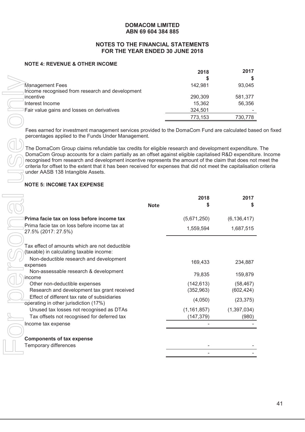#### **NOTES TO THE FINANCIAL STATEMENTS FOR THE YEAR ENDED 30 JUNE 2018**

#### **NOTE 4: REVENUE & OTHER INCOME**

|                                                 | 2018    | 2017    |
|-------------------------------------------------|---------|---------|
|                                                 |         |         |
| Management Fees                                 | 142,981 | 93,045  |
| Income recognised from research and development |         |         |
| incentive                                       | 290,309 | 581,377 |
| Interest Income                                 | 15,362  | 56,356  |
| Fair value gains and losses on derivatives      | 324,501 |         |
|                                                 | 773,153 | 730,778 |
|                                                 |         |         |

Fees earned for investment management services provided to the DomaCom Fund are calculated based on fixed percentages applied to the Funds Under Management.

The DomaCom Group claims refundable tax credits for eligible research and development expenditure. The DomaCom Group accounts for a claim partially as an offset against eligible capitalised R&D expenditure. Income recognised from research and development incentive represents the amount of the claim that does not meet the criteria for offset to the extent that it has been received for expenses that did not meet the capitalisation criteria under AASB 138 Intangible Assets.

# **NOTE 5: INCOME TAX EXPENSE**

|                                                                                                                                                      | S             | S             |
|------------------------------------------------------------------------------------------------------------------------------------------------------|---------------|---------------|
| Management Fees                                                                                                                                      | 142,981       | 93,045        |
| Income recognised from research and development                                                                                                      |               |               |
| incentive                                                                                                                                            | 290,309       | 581,377       |
| Interest Income                                                                                                                                      | 15,362        | 56,356        |
| Fair value gains and losses on derivatives                                                                                                           | 324,501       |               |
|                                                                                                                                                      | 773,153       | 730,778       |
| Fees earned for investment management services provided to the DomaCom Fund are calculated bas<br>percentages applied to the Funds Under Management. |               |               |
|                                                                                                                                                      |               |               |
| The DomaCom Group claims refundable tax credits for eligible research and development expenditure                                                    |               |               |
| DomaCom Group accounts for a claim partially as an offset against eligible capitalised R&D expenditu                                                 |               |               |
| recognised from research and development incentive represents the amount of the claim that does not                                                  |               |               |
| criteria for offset to the extent that it has been received for expenses that did not meet the capitalisation<br>under AASB 138 Intangible Assets.   |               |               |
|                                                                                                                                                      |               |               |
| <b>NOTE 5: INCOME TAX EXPENSE</b>                                                                                                                    |               |               |
|                                                                                                                                                      | 2018          | 2017          |
| <b>Note</b>                                                                                                                                          | \$            | \$            |
| Prima facie tax on loss before income tax                                                                                                            | (5,671,250)   | (6, 136, 417) |
| Prima facie tax on loss before income tax at                                                                                                         | 1,559,594     | 1,687,515     |
| 27.5% (2017: 27.5%)                                                                                                                                  |               |               |
|                                                                                                                                                      |               |               |
| Tax effect of amounts which are not deductible                                                                                                       |               |               |
| (taxable) in calculating taxable income:                                                                                                             |               |               |
|                                                                                                                                                      |               |               |
| Non-deductible research and development                                                                                                              | 169,433       | 234,887       |
| expenses                                                                                                                                             |               |               |
| Non-assessable research & development                                                                                                                | 79,835        | 159,879       |
| income                                                                                                                                               |               |               |
| Other non-deductible expenses                                                                                                                        | (142, 613)    | (58, 467)     |
| Research and development tax grant received<br>Effect of different tax rate of subsidiaries                                                          | (352, 963)    | (602, 424)    |
| operating in other jurisdiction (17%)                                                                                                                | (4,050)       | (23, 375)     |
| Unused tax losses not recognised as DTAs                                                                                                             | (1, 161, 857) | (1, 397, 034) |
| Tax offsets not recognised for deferred tax                                                                                                          |               | (980)         |
| Income tax expense                                                                                                                                   | (147, 379)    |               |
|                                                                                                                                                      |               |               |
| <b>Components of tax expense</b>                                                                                                                     |               |               |
| Temporary differences                                                                                                                                |               |               |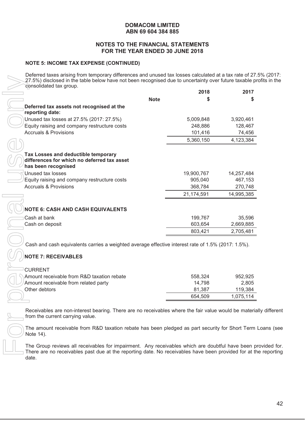#### **NOTES TO THE FINANCIAL STATEMENTS FOR THE YEAR ENDED 30 JUNE 2018**

#### **NOTE 5: INCOME TAX EXPENSE (CONTINUED)**

Deferred taxes arising from temporary differences and unused tax losses calculated at a tax rate of 27.5% (2017: 27.5%) disclosed in the table below have not been recognised due to uncertainty over future taxable profits in the consolidated tax group.

|                                                                                                    | 2018               | 2017                |
|----------------------------------------------------------------------------------------------------|--------------------|---------------------|
|                                                                                                    | <b>Note</b>        |                     |
| Deferred tax assets not recognised at the                                                          |                    |                     |
| reporting date:                                                                                    |                    |                     |
| Unused tax losses at 27.5% (2017: 27.5%)                                                           | 5,009,848          | 3,920,461           |
| Equity raising and company restructure costs                                                       | 248,886            | 128,467             |
| <b>Accruals &amp; Provisions</b>                                                                   | 101,416            | 74,456              |
|                                                                                                    | 5,360,150          | 4,123,384           |
| <b>Tax Losses and deductible temporary</b>                                                         |                    |                     |
| differences for which no deferred tax asset<br>has been recognised                                 |                    |                     |
| Unused tax losses                                                                                  | 19,900,767         | 14,257,484          |
| Equity raising and company restructure costs                                                       | 905,040            | 467,153             |
| <b>Accruals &amp; Provisions</b>                                                                   | 368,784            | 270,748             |
|                                                                                                    | 21,174,591         | 14,995,385          |
|                                                                                                    |                    |                     |
| <b>NOTE 6: CASH AND CASH EQUIVALENTS</b>                                                           |                    |                     |
| Cash at bank                                                                                       |                    |                     |
| Cash on deposit                                                                                    | 199,767<br>603,654 | 35,596<br>2,669,885 |
|                                                                                                    | 803,421            | 2,705,481           |
| Cash and cash equivalents carries a weighted average effective interest rate of 1.5% (2017: 1.5%). |                    |                     |
| <b>NOTE 7: RECEIVABLES</b>                                                                         |                    |                     |
|                                                                                                    |                    |                     |
| <b>CURRENT</b><br>Amount receivable from R&D taxation rebate                                       |                    |                     |
| Amount receivable from related party                                                               | 558,324<br>14,798  | 952,925<br>2,805    |
| Other debtors                                                                                      | 81,387             | 119,384             |

# **NOTE 7: RECEIVABLES**

| <b>CURRENT</b>                             |         |           |
|--------------------------------------------|---------|-----------|
| Amount receivable from R&D taxation rebate | 558.324 | 952.925   |
| Amount receivable from related party       | 14.798  | 2.805     |
| Other debtors                              | 81.387  | 119.384   |
|                                            | 654.509 | 1,075,114 |

The Group reviews all receivables for impairment. Any receivables which are doubtful have been provided for.<br>There are no receivables past due at the reporting date. No receivables have been provided for at the reporting date.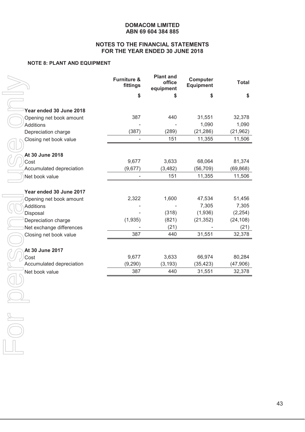#### **NOTES TO THE FINANCIAL STATEMENTS FOR THE YEAR ENDED 30 JUNE 2018**

#### **NOTE 8: PLANT AND EQUIPMENT**

|                          | <b>Furniture &amp;</b><br>fittings | <b>Plant and</b><br>office<br>equipment | Computer<br><b>Equipment</b> | <b>Total</b> |
|--------------------------|------------------------------------|-----------------------------------------|------------------------------|--------------|
|                          | \$                                 |                                         | \$                           | \$           |
|                          |                                    |                                         |                              |              |
| Year ended 30 June 2018  |                                    |                                         |                              |              |
| Opening net book amount  | 387                                | 440                                     | 31,551                       | 32,378       |
| <b>Additions</b>         |                                    |                                         | 1,090                        | 1,090        |
| Depreciation charge      | (387)                              | (289)                                   | (21, 286)                    | (21, 962)    |
| Closing net book value   |                                    | 151                                     | 11,355                       | 11,506       |
| At 30 June 2018          |                                    |                                         |                              |              |
| Cost                     | 9,677                              | 3,633                                   | 68,064                       | 81,374       |
| Accumulated depreciation | (9,677)                            | (3, 482)                                | (56, 709)                    | (69, 868)    |
| Net book value           |                                    | 151                                     | 11,355                       | 11,506       |
|                          |                                    |                                         |                              |              |
| Year ended 30 June 2017  |                                    |                                         |                              |              |
| Opening net book amount  | 2,322                              | 1,600                                   | 47,534                       | 51,456       |
| <b>Additions</b>         |                                    |                                         | 7,305                        | 7,305        |
| Disposal                 |                                    | (318)                                   | (1,936)                      | (2, 254)     |
| Depreciation charge      | (1,935)                            | (821)                                   | (21, 352)                    | (24, 108)    |
| Net exchange differences |                                    | (21)                                    |                              | (21)         |
| Closing net book value   | 387                                | 440                                     | 31,551                       | 32,378       |
| At 30 June 2017          |                                    |                                         |                              |              |
| Cost                     | 9,677                              | 3,633                                   | 66,974                       | 80,284       |
| Accumulated depreciation | (9,290)                            | (3, 193)                                | (35, 423)                    | (47, 906)    |
| Net book value           | 387                                | 440                                     | 31,551                       | 32,378       |
|                          |                                    |                                         |                              |              |
|                          |                                    |                                         |                              |              |
|                          |                                    |                                         |                              |              |
|                          |                                    |                                         |                              |              |
|                          |                                    |                                         |                              |              |
|                          |                                    |                                         |                              |              |
|                          |                                    |                                         |                              |              |
|                          |                                    |                                         |                              |              |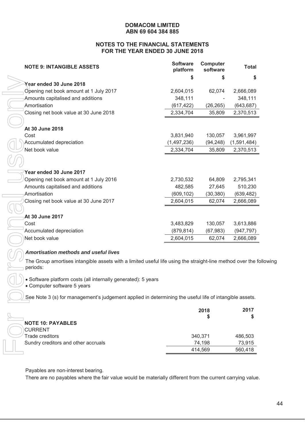#### **NOTES TO THE FINANCIAL STATEMENTS FOR THE YEAR ENDED 30 JUNE 2018**

| <b>NOTE 9: INTANGIBLE ASSETS</b>                                                                                                                | <b>Software</b><br>platform | Computer<br>software | <b>Total</b> |
|-------------------------------------------------------------------------------------------------------------------------------------------------|-----------------------------|----------------------|--------------|
|                                                                                                                                                 | \$                          | S                    | \$           |
| Year ended 30 June 2018                                                                                                                         |                             |                      |              |
| Opening net book amount at 1 July 2017                                                                                                          | 2,604,015                   | 62,074               | 2,666,089    |
| Amounts capitalised and additions                                                                                                               | 348,111                     |                      | 348,111      |
| Amortisation                                                                                                                                    | (617, 422)                  | (26, 265)            | (643, 687)   |
| Closing net book value at 30 June 2018                                                                                                          | 2,334,704                   | 35,809               | 2,370,513    |
|                                                                                                                                                 |                             |                      |              |
| At 30 June 2018                                                                                                                                 |                             |                      |              |
| Cost                                                                                                                                            | 3,831,940                   | 130,057              | 3,961,997    |
| Accumulated depreciation                                                                                                                        | (1,497,236)                 | (94, 248)            | (1,591,484)  |
| Net book value                                                                                                                                  | 2,334,704                   | 35,809               | 2,370,513    |
|                                                                                                                                                 |                             |                      |              |
| Year ended 30 June 2017                                                                                                                         |                             |                      |              |
| Opening net book amount at 1 July 2016                                                                                                          | 2,730,532                   | 64,809               | 2,795,341    |
| Amounts capitalised and additions                                                                                                               | 482,585                     | 27,645               | 510,230      |
| Amortisation                                                                                                                                    | (609, 102)                  | (30, 380)            | (639, 482)   |
| Closing net book value at 30 June 2017                                                                                                          | 2,604,015                   | 62,074               | 2,666,089    |
|                                                                                                                                                 |                             |                      |              |
| At 30 June 2017                                                                                                                                 |                             |                      |              |
| Cost                                                                                                                                            | 3,483,829                   | 130,057              | 3,613,886    |
| Accumulated depreciation                                                                                                                        | (879, 814)                  | (67, 983)            | (947, 797)   |
| Net book value                                                                                                                                  | 2,604,015                   | 62,074               | 2,666,089    |
|                                                                                                                                                 |                             |                      |              |
| <b>Amortisation methods and useful lives</b>                                                                                                    |                             |                      |              |
| The Group amortises intangible assets with a limited useful life using the straight-line method over the fo<br>periods:                         |                             |                      |              |
| • Software platform costs (all internally generated): 5 years<br>• Computer software 5 years                                                    |                             |                      |              |
| See Note 3 (s) for management's judgement applied in determining the useful life of intangible assets.                                          |                             |                      |              |
|                                                                                                                                                 |                             | 2018                 | 2017         |
|                                                                                                                                                 |                             | 5                    | S            |
| <b>NOTE 10: PAYABLES</b>                                                                                                                        |                             |                      |              |
| <b>CURRENT</b>                                                                                                                                  |                             |                      |              |
| Trade creditors                                                                                                                                 |                             | 340,371              | 486,503      |
| Sundry creditors and other accruals                                                                                                             |                             | 74,198               | 73,915       |
|                                                                                                                                                 |                             | 414,569              | 560,418      |
| Payables are non-interest bearing.<br>There are no payables where the fair value would be materially different from the current carrying value. |                             |                      |              |

#### *Amortisation methods and useful lives*

The Group amortises intangible assets with a limited useful life using the straight-line method over the following periods:

|                                     | 2018    | 2017    |
|-------------------------------------|---------|---------|
| <b>NOTE 10: PAYABLES</b>            |         |         |
| CURRENT                             |         |         |
| Trade creditors                     | 340,371 | 486,503 |
| Sundry creditors and other accruals | 74.198  | 73,915  |
|                                     | 414,569 | 560,418 |
|                                     |         |         |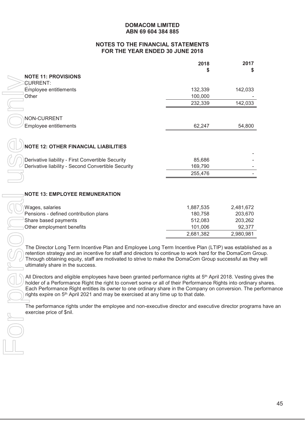#### **NOTES TO THE FINANCIAL STATEMENTS FOR THE YEAR ENDED 30 JUNE 2018**

|                                                                                                                                                                                                                                                                                                                                                                                                                                      | 2018<br>\$ | 2017<br>S |
|--------------------------------------------------------------------------------------------------------------------------------------------------------------------------------------------------------------------------------------------------------------------------------------------------------------------------------------------------------------------------------------------------------------------------------------|------------|-----------|
| <b>NOTE 11: PROVISIONS</b>                                                                                                                                                                                                                                                                                                                                                                                                           |            |           |
| <b>SURRENT:</b>                                                                                                                                                                                                                                                                                                                                                                                                                      |            |           |
| Employee entitlements                                                                                                                                                                                                                                                                                                                                                                                                                | 132,339    | 142,033   |
| Other                                                                                                                                                                                                                                                                                                                                                                                                                                | 100,000    |           |
|                                                                                                                                                                                                                                                                                                                                                                                                                                      | 232,339    | 142,033   |
| NON-CURRENT                                                                                                                                                                                                                                                                                                                                                                                                                          |            |           |
| Employee entitlements                                                                                                                                                                                                                                                                                                                                                                                                                | 62,247     | 54,800    |
| <b>NOTE 12: OTHER FINANCIAL LIABILITIES</b>                                                                                                                                                                                                                                                                                                                                                                                          |            |           |
| Derivative liability - First Convertible Security                                                                                                                                                                                                                                                                                                                                                                                    | 85,686     |           |
| Derivative liability - Second Convertible Security                                                                                                                                                                                                                                                                                                                                                                                   | 169,790    |           |
|                                                                                                                                                                                                                                                                                                                                                                                                                                      | 255,476    |           |
|                                                                                                                                                                                                                                                                                                                                                                                                                                      |            |           |
| <b>NOTE 13: EMPLOYEE REMUNERATION</b>                                                                                                                                                                                                                                                                                                                                                                                                |            |           |
| Wages, salaries                                                                                                                                                                                                                                                                                                                                                                                                                      | 1,887,535  | 2,481,672 |
| Pensions - defined contribution plans                                                                                                                                                                                                                                                                                                                                                                                                | 180,758    | 203,670   |
| Share based payments                                                                                                                                                                                                                                                                                                                                                                                                                 | 512,083    | 203,262   |
| Other employment benefits                                                                                                                                                                                                                                                                                                                                                                                                            | 101,006    | 92,377    |
|                                                                                                                                                                                                                                                                                                                                                                                                                                      | 2,681,382  | 2,980,981 |
| The Director Long Term Incentive Plan and Employee Long Term Incentive Plan (LTIP) was establish<br>retention strategy and an incentive for staff and directors to continue to work hard for the DomaCom G<br>Through obtaining equity, staff are motivated to strive to make the DomaCom Group successful as the<br>ultimately share in the success.                                                                                |            |           |
| All Directors and eligible employees have been granted performance rights at 5 <sup>th</sup> April 2018. Vesting of<br>holder of a Performance Right the right to convert some or all of their Performance Rights into ordinar<br>Each Performance Right entitles its owner to one ordinary share in the Company on conversion. The<br>rights expire on 5 <sup>th</sup> April 2021 and may be exercised at any time up to that date. |            |           |
| The performance rights under the employee and non-executive director and executive director progra<br>exercise price of \$nil.                                                                                                                                                                                                                                                                                                       |            |           |

The Director Long Term Incentive Plan and Employee Long Term Incentive Plan (LTIP) was established as a retention strategy and an incentive for staff and directors to continue to work hard for the DomaCom Group. Through obtaining equity, staff are motivated to strive to make the DomaCom Group successful as they will ultimately share in the success.

All Directors and eligible employees have been granted performance rights at 5<sup>th</sup> April 2018. Vesting gives the holder of a Performance Right the right to convert some or all of their Performance Rights into ordinary shares. Each Performance Right entitles its owner to one ordinary share in the Company on conversion. The performance rights expire on 5<sup>th</sup> April 2021 and may be exercised at any time up to that date.

The performance rights under the employee and non-executive director and executive director programs have an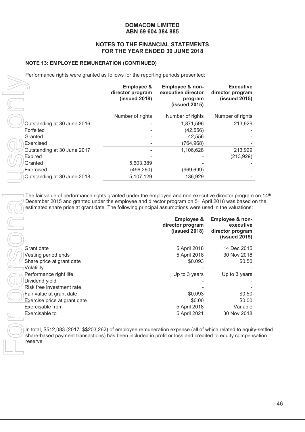#### **NOTES TO THE FINANCIAL STATEMENTS FOR THE YEAR ENDED 30 JUNE 2018**

#### **NOTE 13: EMPLOYEE REMUNERATION (CONTINUED)**

Performance rights were granted as follows for the reporting periods presented:

|                             | <b>Employee &amp;</b><br>director program<br>(issued 2018) | Employee & non-<br>executive director<br>program<br>(issued 2015) | <b>Executive</b><br>director program<br>$(i$ ssued 2015) |
|-----------------------------|------------------------------------------------------------|-------------------------------------------------------------------|----------------------------------------------------------|
|                             | Number of rights                                           | Number of rights                                                  | Number of rights                                         |
| Outstanding at 30 June 2016 |                                                            | 1,871,596                                                         | 213,929                                                  |
| Forfeited                   |                                                            | (42, 556)                                                         |                                                          |
| Granted                     |                                                            | 42,556                                                            |                                                          |
| Exercised                   |                                                            | (764,968)                                                         |                                                          |
| Outstanding at 30 June 2017 |                                                            | 1,106,628                                                         | 213,929                                                  |
| <b>Expired</b>              |                                                            |                                                                   | (213, 929)                                               |
| Granted                     | 5,603,389                                                  |                                                                   |                                                          |
| Exercised                   | (496,260)                                                  | (969,699)                                                         |                                                          |
| Outstanding at 30 June 2018 | 5,107,129                                                  | 136,929                                                           |                                                          |

The fair value of performance rights granted under the employee and non-executive director program on 14<sup>th</sup> December 2015 and granted under the employee and director program on 5<sup>th</sup> April 2018 was based on the estimated share price at grant date. The following principal assumptions were used in the valuations:

|                              | <b>Employee &amp;</b><br>director program<br>(issued 2018) | Employee & non-<br>executive<br>director program<br>$(i$ ssued 2015) |
|------------------------------|------------------------------------------------------------|----------------------------------------------------------------------|
| Grant date                   | 5 April 2018                                               | 14 Dec 2015                                                          |
| Vesting period ends          | 5 April 2018                                               | 30 Nov 2018                                                          |
| Share price at grant date    | \$0.093                                                    | \$0.50                                                               |
| Volatility                   |                                                            |                                                                      |
| Performance right life       | Up to 3 years                                              | Up to 3 years                                                        |
| Dividend yield               |                                                            |                                                                      |
| Risk free investment rate    |                                                            |                                                                      |
| Fair value at grant date     | \$0.093                                                    | \$0.50                                                               |
| Exercise price at grant date | \$0.00                                                     | \$0.00                                                               |
| Exercisable from             | 5 April 2018                                               | Variable                                                             |
| Exercisable to               | 5 April 2021                                               | 30 Nov 2018                                                          |

In total, \$512,083 (2017: \$\$203,262) of employee remuneration expense (all of which related to equity-settled share-based payment transactions) has been included in profit or loss and credited to equity compensation reserve.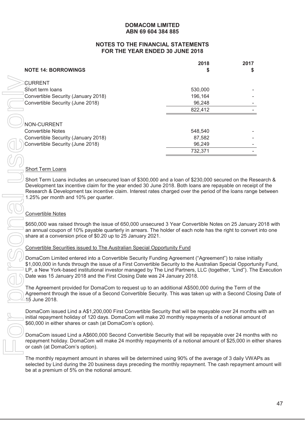#### **NOTES TO THE FINANCIAL STATEMENTS FOR THE YEAR ENDED 30 JUNE 2018**

|                                                                                                                                                                                                                  | 2018    | 2017 |
|------------------------------------------------------------------------------------------------------------------------------------------------------------------------------------------------------------------|---------|------|
| <b>NOTE 14: BORROWINGS</b>                                                                                                                                                                                       |         | S.   |
| <b><i>SURRENT</i></b>                                                                                                                                                                                            |         |      |
| Short term loans                                                                                                                                                                                                 | 530,000 |      |
| Convertible Security (January 2018)                                                                                                                                                                              | 196,164 |      |
| Convertible Security (June 2018)                                                                                                                                                                                 | 96,248  |      |
|                                                                                                                                                                                                                  | 822,412 |      |
|                                                                                                                                                                                                                  |         |      |
| NON-CURRENT                                                                                                                                                                                                      |         |      |
| <b>Convertible Notes</b>                                                                                                                                                                                         | 548,540 |      |
| Convertible Security (January 2018)                                                                                                                                                                              | 87,582  |      |
| Convertible Security (June 2018)                                                                                                                                                                                 | 96,249  |      |
|                                                                                                                                                                                                                  | 732,371 |      |
|                                                                                                                                                                                                                  |         |      |
| <b>Short Term Loans</b>                                                                                                                                                                                          |         |      |
| Short Term Loans includes an unsecured loan of \$300,000 and a loan of \$230,000 secured on the Re                                                                                                               |         |      |
| Development tax incentive claim for the year ended 30 June 2018. Both loans are repayable on receip                                                                                                              |         |      |
| Research & Development tax incentive claim. Interest rates charged over the period of the loans range                                                                                                            |         |      |
| 1.25% per month and 10% per quarter.                                                                                                                                                                             |         |      |
|                                                                                                                                                                                                                  |         |      |
| <b>Convertible Notes</b>                                                                                                                                                                                         |         |      |
| \$650,000 was raised through the issue of 650,000 unsecured 3 Year Convertible Notes on 25 January                                                                                                               |         |      |
| an annual coupon of 10% payable quarterly in arrears. The holder of each note has the right to conver                                                                                                            |         |      |
| share at a conversion price of \$0.20 up to 25 January 2021.                                                                                                                                                     |         |      |
| Convertible Securities issued to The Australian Special Opportunity Fund                                                                                                                                         |         |      |
|                                                                                                                                                                                                                  |         |      |
| DomaCom Limited entered into a Convertible Security Funding Agreement ("Agreement") to raise initiant                                                                                                            |         |      |
| \$1,000,000 in funds through the issue of a First Convertible Security to the Australian Special Opportu<br>LP, a New York-based institutional investor managed by The Lind Partners, LLC (together, "Lind"). Th |         |      |
| Date was 15 January 2018 and the First Closing Date was 24 January 2018.                                                                                                                                         |         |      |
|                                                                                                                                                                                                                  |         |      |
| The Agreement provided for DomaCom to request up to an additional A\$500,000 during the Term of tl<br>Agreement through the issue of a Second Convertible Security. This was taken up with a Second Clos         |         |      |
| 45 June 2018.                                                                                                                                                                                                    |         |      |
|                                                                                                                                                                                                                  |         |      |
| DomaCom issued Lind a A\$1,200,000 First Convertible Security that will be repayable over 24 months                                                                                                              |         |      |
| initial repayment holiday of 120 days. DomaCom will make 20 monthly repayments of a notional amou                                                                                                                |         |      |
| \$60,000 in either shares or cash (at DomaCom's option).                                                                                                                                                         |         |      |
| DomaCom issued Lind a A\$600,000 Second Convertible Security that will be repayable over 24 month                                                                                                                |         |      |
| repayment holiday. DomaCom will make 24 monthly repayments of a notional amount of \$25,000 in ei                                                                                                                |         |      |
| or cash (at DomaCom's option).                                                                                                                                                                                   |         |      |
| The monthly repayment amount in shares will be determined using 90% of the average of 3 daily VWA                                                                                                                |         |      |
| selected by Lind during the 20 business days preceding the monthly repayment. The cash repayment                                                                                                                 |         |      |
| be at a premium of 5% on the notional amount.                                                                                                                                                                    |         |      |

#### Short Term Loans

Short Term Loans includes an unsecured loan of \$300,000 and a loan of \$230,000 secured on the Research & Development tax incentive claim for the year ended 30 June 2018. Both loans are repayable on receipt of the Research & Development tax incentive claim. Interest rates charged over the period of the loans range between 1.25% per month and 10% per quarter.

#### Convertible Notes

\$650,000 was raised through the issue of 650,000 unsecured 3 Year Convertible Notes on 25 January 2018 with an annual coupon of 10% payable quarterly in arrears. The holder of each note has the right to convert into one share at a conversion price of \$0.20 up to 25 January 2021.

#### Convertible Securities issued to The Australian Special Opportunity Fund

DomaCom Limited entered into a Convertible Security Funding Agreement ("Agreement") to raise initially \$1,000,000 in funds through the issue of a First Convertible Security to the Australian Special Opportunity Fund, LP, a New York-based institutional investor managed by The Lind Partners, LLC (together, "Lind"). The Execution Date was 15 January 2018 and the First Closing Date was 24 January 2018.

The Agreement provided for DomaCom to request up to an additional A\$500,000 during the Term of the Agreement through the issue of a Second Convertible Security. This was taken up with a Second Closing Date of 15 June 2018.

DomaCom issued Lind a A\$1,200,000 First Convertible Security that will be repayable over 24 months with an initial repayment holiday of 120 days. DomaCom will make 20 monthly repayments of a notional amount of \$60,000 in either shares or cash (at DomaCom's option).

DomaCom issued Lind a A\$600,000 Second Convertible Security that will be repayable over 24 months with no repayment holiday. DomaCom will make 24 monthly repayments of a notional amount of \$25,000 in either shares or cash (at DomaCom's option).

The monthly repayment amount in shares will be determined using 90% of the average of 3 daily VWAPs as selected by Lind during the 20 business days preceding the monthly repayment. The cash repayment amount will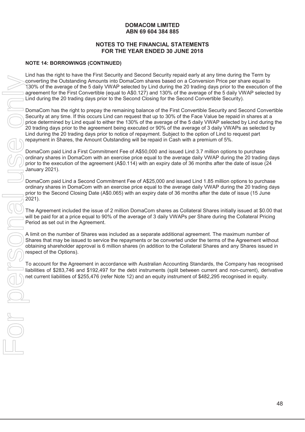# **NOTES TO THE FINANCIAL STATEMENTS FOR THE YEAR ENDED 30 JUNE 2018**

# **NOTE 14: BORROWINGS (CONTINUED)**

Lind has the right to have the First Security and Second Security repaid early at any time during the Term by converting the Outstanding Amounts into DomaCom shares based on a Conversion Price per share equal to 130% of the average of the 5 daily VWAP selected by Lind during the 20 trading days prior to the execution of the agreement for the First Convertible (equal to A\$0.127) and 130% of the average of the 5 daily VWAP selected by Lind during the 20 trading days prior to the Second Closing for the Second Convertible Security).

DomaCom has the right to prepay the remaining balance of the First Convertible Security and Second Convertible Security at any time. If this occurs Lind can request that up to 30% of the Face Value be repaid in shares at a price determined by Lind equal to either the 130% of the average of the 5 daily VWAP selected by Lind during the 20 trading days prior to the agreement being executed or 90% of the average of 3 daily VWAPs as selected by Lind during the 20 trading days prior to notice of repayment. Subject to the option of Lind to request part repayment in Shares, the Amount Outstanding will be repaid in Cash with a premium of 5%. net current line to be matter in the first Comparable Amount in to Dominicson instrument in the first Comparable (resp. and the first Comparable (resp. and the first Comparable (resp. and the first Comparable (resp. and th

DomaCom paid Lind a First Commitment Fee of A\$50,000 and issued Lind 3.7 million options to purchase ordinary shares in DomaCom with an exercise price equal to the average daily VWAP during the 20 trading days prior to the execution of the agreement (A\$0.114) with an expiry date of 36 months after the date of issue (24 January 2021).

DomaCom paid Lind a Second Commitment Fee of A\$25,000 and issued Lind 1.85 million options to purchase ordinary shares in DomaCom with an exercise price equal to the average daily VWAP during the 20 trading days prior to the Second Closing Date (A\$0.065) with an expiry date of 36 months after the date of issue (15 June 2021).

The Agreement included the issue of 2 million DomaCom shares as Collateral Shares initially issued at \$0.00 that will be paid for at a price equal to 90% of the average of 3 daily VWAPs per Share during the Collateral Pricing Period as set out in the Agreement.

A limit on the number of Shares was included as a separate additional agreement. The maximum number of Shares that may be issued to service the repayments or be converted under the terms of the Agreement without obtaining shareholder approval is 6 million shares (in addition to the Collateral Shares and any Shares issued in respect of the Options).

To account for the Agreement in accordance with Australian Accounting Standards, the Company has recognised liabilities of \$283,746 and \$192,497 for the debt instruments (split between current and non-current), derivative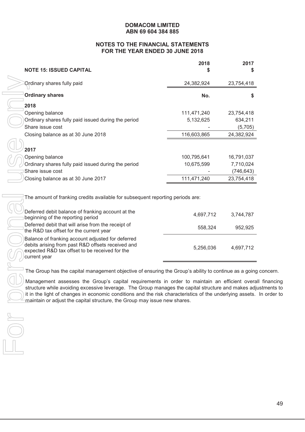# **NOTES TO THE FINANCIAL STATEMENTS FOR THE YEAR ENDED 30 JUNE 2018**

| <b>NOTE 15: ISSUED CAPITAL</b>                                                                                                                                                                                                                                                                                                                                                              | 2018                              | 2017                              |
|---------------------------------------------------------------------------------------------------------------------------------------------------------------------------------------------------------------------------------------------------------------------------------------------------------------------------------------------------------------------------------------------|-----------------------------------|-----------------------------------|
| Ordinary shares fully paid                                                                                                                                                                                                                                                                                                                                                                  | 24,382,924                        | 23,754,418                        |
| <b>Ordinary shares</b>                                                                                                                                                                                                                                                                                                                                                                      | No.                               | \$                                |
| 2018                                                                                                                                                                                                                                                                                                                                                                                        |                                   |                                   |
| Opening balance                                                                                                                                                                                                                                                                                                                                                                             | 111,471,240                       | 23,754,418                        |
| Ordinary shares fully paid issued during the period                                                                                                                                                                                                                                                                                                                                         | 5,132,625                         | 634,211                           |
| Share issue cost                                                                                                                                                                                                                                                                                                                                                                            |                                   | (5,705)                           |
| Closing balance as at 30 June 2018                                                                                                                                                                                                                                                                                                                                                          | 116,603,865                       | 24,382,924                        |
| 2017                                                                                                                                                                                                                                                                                                                                                                                        |                                   |                                   |
| Opening balance                                                                                                                                                                                                                                                                                                                                                                             | 100,795,641                       | 16,791,037                        |
| Ordinary shares fully paid issued during the period                                                                                                                                                                                                                                                                                                                                         | 10,675,599                        | 7,710,024                         |
| Share issue cost                                                                                                                                                                                                                                                                                                                                                                            |                                   | (746, 643)                        |
| Closing balance as at 30 June 2017                                                                                                                                                                                                                                                                                                                                                          | 111,471,240                       | 23,754,418                        |
| Deferred debit balance of franking account at the<br>beginning of the reporting period<br>Deferred debit that will arise from the receipt of<br>the R&D tax offset for the current year<br>Balance of franking account adjusted for deferred<br>debits arising from past R&D offsets received and<br>expected R&D tax offset to be received for the<br>current year                         | 4,697,712<br>558,324<br>5,256,036 | 3,744,787<br>952,925<br>4,697,712 |
|                                                                                                                                                                                                                                                                                                                                                                                             |                                   |                                   |
| The Group has the capital management objective of ensuring the Group's ability to continue as a going                                                                                                                                                                                                                                                                                       |                                   |                                   |
| Management assesses the Group's capital requirements in order to maintain an efficient overa<br>structure while avoiding excessive leverage. The Group manages the capital structure and makes adj<br>it in the light of changes in economic conditions and the risk characteristics of the underlying assets.<br>maintain or adjust the capital structure, the Group may issue new shares. |                                   |                                   |
|                                                                                                                                                                                                                                                                                                                                                                                             |                                   |                                   |
|                                                                                                                                                                                                                                                                                                                                                                                             |                                   |                                   |
|                                                                                                                                                                                                                                                                                                                                                                                             |                                   |                                   |

| Deferred debit balance of franking account at the<br>beginning of the reporting period                                                                                   | 4,697,712 | 3,744,787 |
|--------------------------------------------------------------------------------------------------------------------------------------------------------------------------|-----------|-----------|
| Deferred debit that will arise from the receipt of<br>the R&D tax offset for the current year                                                                            | 558.324   | 952.925   |
| Balance of franking account adjusted for deferred<br>debits arising from past R&D offsets received and<br>expected R&D tax offset to be received for the<br>current year | 5,256,036 | 4,697,712 |

The Group has the capital management objective of ensuring the Group's ability to continue as a going concern.

 $)$  Management assesses the Group's capital requirements in order to maintain an efficient overall financing structure while avoiding excessive leverage. The Group manages the capital structure and makes adjustments to it in the light of changes in economic conditions and the risk characteristics of the underlying assets. In order to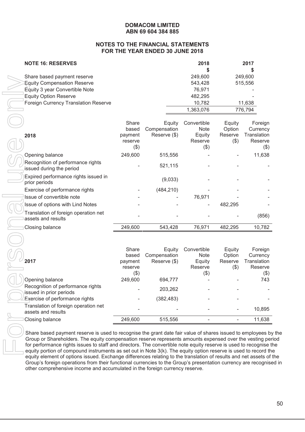#### **NOTES TO THE FINANCIAL STATEMENTS FOR THE YEAR ENDED 30 JUNE 2018**

| <b>NOTE 16: RESERVES</b>                    | 2018      | 2017    |
|---------------------------------------------|-----------|---------|
|                                             |           |         |
| Share based payment reserve                 | 249,600   | 249,600 |
| Equity Compensation Reserve                 | 543,428   | 515,556 |
| Equity 3 year Convertible Note              | 76.971    |         |
| <b>Equity Option Reserve</b>                | 482,295   |         |
| <b>Foreign Currency Translation Reserve</b> | 10.782    | 11,638  |
|                                             | 1,363,076 | 776,794 |

| Share based payment reserve<br><b>Equity Compensation Reserve</b><br>Equity 3 year Convertible Note                                                                                                                                                                                                                                                                                                                                                        |                                       |                                        | 249,000<br>543,428<br>76,971         |                              | 249,000<br>515,556                            |
|------------------------------------------------------------------------------------------------------------------------------------------------------------------------------------------------------------------------------------------------------------------------------------------------------------------------------------------------------------------------------------------------------------------------------------------------------------|---------------------------------------|----------------------------------------|--------------------------------------|------------------------------|-----------------------------------------------|
| <b>Equity Option Reserve</b>                                                                                                                                                                                                                                                                                                                                                                                                                               |                                       |                                        | 482,295                              |                              |                                               |
| <b>Foreign Currency Translation Reserve</b>                                                                                                                                                                                                                                                                                                                                                                                                                |                                       |                                        | 10,782<br>1,363,076                  |                              | 11,638<br>776,794                             |
| 2018                                                                                                                                                                                                                                                                                                                                                                                                                                                       | Share<br>based<br>payment             | Equity<br>Compensation<br>Reserve (\$) | Convertible<br>Note<br>Equity        | Equity<br>Option<br>Reserve  | Foreign<br>Currency<br>Translation            |
|                                                                                                                                                                                                                                                                                                                                                                                                                                                            | reserve<br>$(\$)$                     |                                        | Reserve<br>$(\$)$                    | (3)                          | Reserve<br>(3)                                |
| Opening balance                                                                                                                                                                                                                                                                                                                                                                                                                                            | 249,600                               | 515,556                                |                                      |                              | 11,638                                        |
| Recognition of performance rights<br>issued during the period                                                                                                                                                                                                                                                                                                                                                                                              |                                       | 521,115                                |                                      |                              |                                               |
| Expired performance rights issued in<br>prior periods                                                                                                                                                                                                                                                                                                                                                                                                      |                                       | (9,033)                                |                                      |                              |                                               |
| Exercise of performance rights                                                                                                                                                                                                                                                                                                                                                                                                                             |                                       | (484, 210)                             |                                      |                              |                                               |
| Issue of convertible note                                                                                                                                                                                                                                                                                                                                                                                                                                  |                                       |                                        | 76,971                               |                              |                                               |
| Issue of options with Lind Notes                                                                                                                                                                                                                                                                                                                                                                                                                           |                                       |                                        |                                      | 482,295                      |                                               |
| Translation of foreign operation net<br>assets and results                                                                                                                                                                                                                                                                                                                                                                                                 |                                       |                                        |                                      |                              | (856)                                         |
| Closing balance                                                                                                                                                                                                                                                                                                                                                                                                                                            | 249,600                               | 543,428                                | 76,971                               | 482,295                      | 10,782                                        |
|                                                                                                                                                                                                                                                                                                                                                                                                                                                            | Share                                 | Equity                                 | Convertible                          | Equity                       | Foreign                                       |
| 2017                                                                                                                                                                                                                                                                                                                                                                                                                                                       | based<br>payment<br>reserve<br>$(\$)$ | Compensation<br>Reserve (\$)           | Note<br>Equity<br>Reserve<br>$($ \$) | Option<br>Reserve<br>$($ \$) | Currency<br>Translation<br>Reserve<br>$($ \$) |
| Opening balance                                                                                                                                                                                                                                                                                                                                                                                                                                            | 249,600                               | 694,777                                |                                      |                              | 743                                           |
| Recognition of performance rights<br>issued in prior periods                                                                                                                                                                                                                                                                                                                                                                                               |                                       | 203,262                                |                                      |                              |                                               |
| Exercise of performance rights                                                                                                                                                                                                                                                                                                                                                                                                                             |                                       | (382, 483)                             |                                      |                              |                                               |
| Translation of foreign operation net<br>assets and results                                                                                                                                                                                                                                                                                                                                                                                                 |                                       |                                        |                                      |                              | 10,895                                        |
| Closing balance                                                                                                                                                                                                                                                                                                                                                                                                                                            | 249,600                               | 515,556                                |                                      |                              | 11,638                                        |
| Share based payment reserve is used to recognise the grant date fair value of shares issued to employees b<br>Group or Shareholders. The equity compensation reserve represents amounts expensed over the vesting pe<br>for performance rights issues to staff and directors. The convertible note equity reserve is used to recognise t<br>equity portion of compound instruments as set out in Note 3(k). The equity option reserve is used to record th |                                       |                                        |                                      |                              |                                               |

|                                                              | Share<br>based | Equity<br>Compensation | Convertible<br><b>Note</b> | Equity<br>Option | Foreign<br>Currency |
|--------------------------------------------------------------|----------------|------------------------|----------------------------|------------------|---------------------|
| 2017                                                         | payment        | Reserve (\$)           | Equity                     | Reserve          | Translation         |
|                                                              | reserve        |                        | Reserve                    | $(\$)$           | Reserve             |
|                                                              | (3)            |                        | (\$)                       |                  | $(\$)$              |
| Opening balance                                              | 249,600        | 694.777                |                            |                  | 743                 |
| Recognition of performance rights<br>issued in prior periods |                | 203,262                |                            |                  |                     |
| Exercise of performance rights                               |                | (382, 483)             |                            |                  |                     |
| Translation of foreign operation net<br>assets and results   |                |                        |                            |                  | 10,895              |
| Closing balance                                              | 249,600        | 515,556                |                            |                  | 11,638              |

Share based payment reserve is used to recognise the grant date fair value of shares issued to employees by the Group or Shareholders. The equity compensation reserve represents amounts expensed over the vesting period for performance rights issues to staff and directors. The convertible note equity reserve is used to recognise the equity portion of compound instruments as set out in Note 3(k). The equity option reserve is used to record the equity element of options issued. Exchange differences relating to the translation of results and net assets of the Group's foreign operations from their functional currencies to the Group's presentation currency are recognised in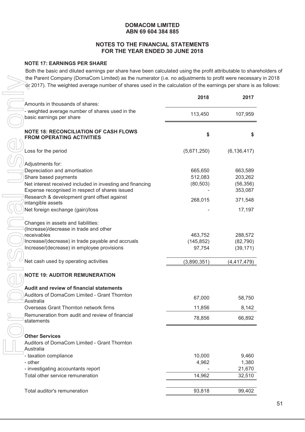# **NOTES TO THE FINANCIAL STATEMENTS FOR THE YEAR ENDED 30 JUNE 2018**

# **NOTE 17: EARNINGS PER SHARE**

Both the basic and diluted earnings per share have been calculated using the profit attributable to shareholders of the Parent Company (DomaCom Limited) as the numerator (i.e. no adjustments to profit were necessary in 2018 or 2017). The weighted average number of shares used in the calculation of the earnings per share is as follows:

| the Parent Company (DomaCom Limited) as the numerator (i.e. no adjustments to profit were necessa<br>or 2017). The weighted average number of shares used in the calculation of the earnings per share is |                      |                        |
|-----------------------------------------------------------------------------------------------------------------------------------------------------------------------------------------------------------|----------------------|------------------------|
|                                                                                                                                                                                                           | 2018                 | 2017                   |
| Amounts in thousands of shares:                                                                                                                                                                           |                      |                        |
| - weighted average number of shares used in the<br>basic earnings per share                                                                                                                               | 113,450              | 107,959                |
| <b>NOTE 18: RECONCILIATION OF CASH FLOWS</b><br><b>FROM OPERATING ACTIVITIES</b>                                                                                                                          | \$                   | \$                     |
| Loss for the period                                                                                                                                                                                       | (5,671,250)          | (6, 136, 417)          |
| Adjustments for:                                                                                                                                                                                          |                      |                        |
| Depreciation and amortisation                                                                                                                                                                             | 665,650              | 663,589                |
| Share based payments                                                                                                                                                                                      | 512,083              | 203,262                |
| Net interest received included in investing and financing                                                                                                                                                 | (80, 503)            | (56, 356)              |
| Expense recognised in respect of shares issued                                                                                                                                                            |                      | 353,087                |
| Research & development grant offset against<br>intangible assets                                                                                                                                          | 268,015              | 371,548                |
| Net foreign exchange (gain)/loss                                                                                                                                                                          |                      | 17,197                 |
| Changes in assets and liabilities:                                                                                                                                                                        |                      |                        |
| (Increase)/decrease in trade and other                                                                                                                                                                    |                      |                        |
| receivables<br>Increase/(decrease) in trade payable and accruals                                                                                                                                          | 463,752              | 288,572                |
| Increase/(decrease) in employee provisions                                                                                                                                                                | (145, 852)<br>97,754 | (82, 790)<br>(39, 171) |
|                                                                                                                                                                                                           |                      |                        |
| Net cash used by operating activities                                                                                                                                                                     | (3,890,351)          | (4, 417, 479)          |
| <b>NOTE 19: AUDITOR REMUNERATION</b>                                                                                                                                                                      |                      |                        |
| Audit and review of financial statements                                                                                                                                                                  |                      |                        |
| Auditors of DomaCom Limited - Grant Thornton                                                                                                                                                              | 67,000               | 58,750                 |
| Australia                                                                                                                                                                                                 |                      |                        |
| Overseas Grant Thornton network firms                                                                                                                                                                     | 11,856               | 8,142                  |
| Remuneration from audit and review of financial<br>statements                                                                                                                                             | 78,856               | 66,892                 |
|                                                                                                                                                                                                           |                      |                        |
| <b>Other Services</b>                                                                                                                                                                                     |                      |                        |
| Auditors of DomaCom Limited - Grant Thornton<br>Australia                                                                                                                                                 |                      |                        |
| - taxation compliance                                                                                                                                                                                     | 10,000               | 9,460                  |
| - other                                                                                                                                                                                                   | 4,962                | 1,380                  |
| - investigating accountants report                                                                                                                                                                        |                      | 21,670                 |
| Total other service remuneration                                                                                                                                                                          | 14,962               | 32,510                 |
| Total auditor's remuneration                                                                                                                                                                              | 93,818               | 99,402                 |
|                                                                                                                                                                                                           |                      |                        |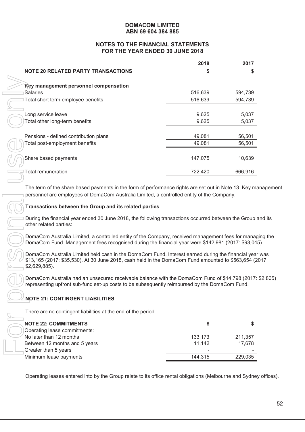# **NOTES TO THE FINANCIAL STATEMENTS FOR THE YEAR ENDED 30 JUNE 2018**

|                                                                                                                                                                                                                                                                    | 2018    | 2017              |
|--------------------------------------------------------------------------------------------------------------------------------------------------------------------------------------------------------------------------------------------------------------------|---------|-------------------|
| <b>NOTE 20 RELATED PARTY TRANSACTIONS</b>                                                                                                                                                                                                                          |         |                   |
|                                                                                                                                                                                                                                                                    |         |                   |
| Key management personnel compensation                                                                                                                                                                                                                              |         |                   |
| Salaries                                                                                                                                                                                                                                                           | 516,639 | 594,739           |
| Total short term employee benefits                                                                                                                                                                                                                                 | 516,639 | 594,739           |
| Long service leave                                                                                                                                                                                                                                                 | 9,625   | 5,037             |
| Total other long-term benefits                                                                                                                                                                                                                                     | 9,625   | 5,037             |
|                                                                                                                                                                                                                                                                    |         |                   |
| Pensions - defined contribution plans                                                                                                                                                                                                                              | 49,081  | 56,501            |
| Total post-employment benefits                                                                                                                                                                                                                                     | 49,081  | 56,501            |
|                                                                                                                                                                                                                                                                    |         |                   |
| Share based payments                                                                                                                                                                                                                                               | 147,075 | 10,639            |
| <b>Total remuneration</b>                                                                                                                                                                                                                                          | 722,420 | 666,916           |
|                                                                                                                                                                                                                                                                    |         |                   |
| personnel are employees of DomaCom Australia Limited, a controlled entity of the Company.<br>Transactions between the Group and its related parties<br>During the financial year ended 30 June 2018, the following transactions occurred between the Group and its |         |                   |
| other related parties:                                                                                                                                                                                                                                             |         |                   |
| DomaCom Australia Limited, a controlled entity of the Company, received management fees for managing the<br>DomaCom Fund. Management fees recognised during the financial year were \$142,981 (2017: \$93,045).                                                    |         |                   |
| DomaCom Australia Limited held cash in the DomaCom Fund. Interest earned during the financial year was<br>\$13,165 (2017: \$35,530). At 30 June 2018, cash held in the DomaCom Fund amounted to \$563,654 (2017:<br>\$2,629,885).                                  |         |                   |
| DomaCom Australia had an unsecured receivable balance with the DomaCom Fund of \$14,798 (2017: \$2,805)<br>representing upfront sub-fund set-up costs to be subsequently reimbursed by the DomaCom Fund.                                                           |         |                   |
| <b>NOTE 21: CONTINGENT LIABILITIES</b>                                                                                                                                                                                                                             |         |                   |
| There are no contingent liabilities at the end of the period.                                                                                                                                                                                                      |         |                   |
| <b>NOTE 22: COMMITMENTS</b>                                                                                                                                                                                                                                        | \$      | \$                |
| Operating lease commitments:                                                                                                                                                                                                                                       |         |                   |
| No later than 12 months                                                                                                                                                                                                                                            | 133,173 | 211,357           |
| Between 12 months and 5 years                                                                                                                                                                                                                                      | 11,142  |                   |
| Greater than 5 years<br>Minimum lease payments                                                                                                                                                                                                                     | 144,315 | 17,678<br>229,035 |

# **Transactions between the Group and its related parties**

# **NOTE 21: CONTINGENT LIABILITIES**

| <b>NOTE 22: COMMITMENTS</b>   |         |         |
|-------------------------------|---------|---------|
| Operating lease commitments:  |         |         |
| No later than 12 months       | 133,173 | 211,357 |
| Between 12 months and 5 years | 11.142  | 17.678  |
| Greater than 5 years          | -       |         |
| Minimum lease payments        | 144.315 | 229,035 |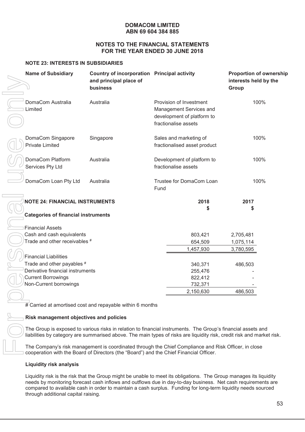#### **NOTES TO THE FINANCIAL STATEMENTS FOR THE YEAR ENDED 30 JUNE 2018**

#### **NOTE 23: INTERESTS IN SUBSIDIARIES**

| <b>Name of Subsidiary</b>                                                                                                                                                                                                                                                                                                                                                                  | Country of incorporation Principal activity<br>and principal place of<br>business |                                                        |                                                                                                          | interests held by the<br>Group | <b>Proportion of ownership</b> |  |
|--------------------------------------------------------------------------------------------------------------------------------------------------------------------------------------------------------------------------------------------------------------------------------------------------------------------------------------------------------------------------------------------|-----------------------------------------------------------------------------------|--------------------------------------------------------|----------------------------------------------------------------------------------------------------------|--------------------------------|--------------------------------|--|
| DomaCom Australia<br>Limited                                                                                                                                                                                                                                                                                                                                                               | Australia                                                                         |                                                        | Provision of Investment<br>Management Services and<br>development of platform to<br>fractionalise assets |                                | 100%                           |  |
| DomaCom Singapore<br><b>Private Limited</b>                                                                                                                                                                                                                                                                                                                                                | Singapore                                                                         | Sales and marketing of<br>fractionalised asset product |                                                                                                          |                                | 100%                           |  |
| DomaCom Platform<br>Services Pty Ltd                                                                                                                                                                                                                                                                                                                                                       | Australia                                                                         | Development of platform to<br>fractionalise assets     |                                                                                                          |                                | 100%                           |  |
| DomaCom Loan Pty Ltd                                                                                                                                                                                                                                                                                                                                                                       | Australia                                                                         | Fund                                                   | Trustee for DomaCom Loan                                                                                 |                                | 100%                           |  |
| <b>NOTE 24: FINANCIAL INSTRUMENTS</b>                                                                                                                                                                                                                                                                                                                                                      |                                                                                   |                                                        | 2018                                                                                                     | 2017                           |                                |  |
|                                                                                                                                                                                                                                                                                                                                                                                            |                                                                                   |                                                        | \$                                                                                                       | \$                             |                                |  |
| <b>Categories of financial instruments</b>                                                                                                                                                                                                                                                                                                                                                 |                                                                                   |                                                        |                                                                                                          |                                |                                |  |
|                                                                                                                                                                                                                                                                                                                                                                                            |                                                                                   |                                                        |                                                                                                          |                                |                                |  |
| <b>Financial Assets</b>                                                                                                                                                                                                                                                                                                                                                                    |                                                                                   |                                                        |                                                                                                          |                                |                                |  |
| Cash and cash equivalents                                                                                                                                                                                                                                                                                                                                                                  |                                                                                   |                                                        | 803,421                                                                                                  | 2,705,481                      |                                |  |
| Trade and other receivables #                                                                                                                                                                                                                                                                                                                                                              |                                                                                   |                                                        | 654,509                                                                                                  | 1,075,114                      |                                |  |
|                                                                                                                                                                                                                                                                                                                                                                                            |                                                                                   |                                                        | 1,457,930                                                                                                | 3,780,595                      |                                |  |
| <b>Financial Liabilities</b>                                                                                                                                                                                                                                                                                                                                                               |                                                                                   |                                                        |                                                                                                          |                                |                                |  |
| Trade and other payables #                                                                                                                                                                                                                                                                                                                                                                 |                                                                                   |                                                        | 340,371                                                                                                  | 486,503                        |                                |  |
| Derivative financial instruments                                                                                                                                                                                                                                                                                                                                                           |                                                                                   |                                                        | 255,476                                                                                                  |                                |                                |  |
| <b>Current Borrowings</b>                                                                                                                                                                                                                                                                                                                                                                  |                                                                                   |                                                        | 822,412                                                                                                  |                                |                                |  |
| Non-Current borrowings                                                                                                                                                                                                                                                                                                                                                                     |                                                                                   |                                                        | 732,371                                                                                                  |                                |                                |  |
|                                                                                                                                                                                                                                                                                                                                                                                            |                                                                                   |                                                        | 2,150,630                                                                                                | 486,503                        |                                |  |
|                                                                                                                                                                                                                                                                                                                                                                                            |                                                                                   |                                                        |                                                                                                          |                                |                                |  |
|                                                                                                                                                                                                                                                                                                                                                                                            | $\overline{H}$ Carried at amortised cost and repayable within 6 months            |                                                        |                                                                                                          |                                |                                |  |
| Risk management objectives and policies                                                                                                                                                                                                                                                                                                                                                    |                                                                                   |                                                        |                                                                                                          |                                |                                |  |
| The Group is exposed to various risks in relation to financial instruments. The Group's financial assets and<br>liabilities by category are summarised above. The main types of risks are liquidity risk, credit risk and market risk.                                                                                                                                                     |                                                                                   |                                                        |                                                                                                          |                                |                                |  |
| The Company's risk management is coordinated through the Chief Compliance and Risk Officer, in close<br>cooperation with the Board of Directors (the "Board") and the Chief Financial Officer.                                                                                                                                                                                             |                                                                                   |                                                        |                                                                                                          |                                |                                |  |
| <b>Liquidity risk analysis</b>                                                                                                                                                                                                                                                                                                                                                             |                                                                                   |                                                        |                                                                                                          |                                |                                |  |
| Liquidity risk is the risk that the Group might be unable to meet its obligations. The Group manages its liquidity<br>needs by monitoring forecast cash inflows and outflows due in day-to-day business. Net cash requirements are<br>compared to available cash in order to maintain a cash surplus. Funding for long-term liquidity needs sourced<br>through additional capital raising. |                                                                                   |                                                        |                                                                                                          |                                |                                |  |

# **Risk management objectives and policies**

#### **Liquidity risk analysis**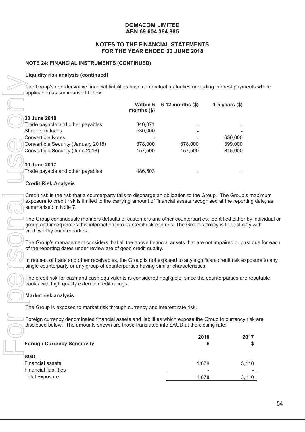#### **NOTES TO THE FINANCIAL STATEMENTS FOR THE YEAR ENDED 30 JUNE 2018**

#### **NOTE 24: FINANCIAL INSTRUMENTS (CONTINUED)**

#### **Liquidity risk analysis (continued)**

The Group's non-derivative financial liabilities have contractual maturities (including interest payments where applicable) as summarised below:

| $\mathbf{u}$ and $\mathbf{v}$ and $\mathbf{v}$ and $\mathbf{v}$ and $\mathbf{v}$                                                                                                                                                                    |                          |                      |                    |
|-----------------------------------------------------------------------------------------------------------------------------------------------------------------------------------------------------------------------------------------------------|--------------------------|----------------------|--------------------|
| The Group's non-derivative financial liabilities have contractual maturities (including interest payment<br>applicable) as summarised below:                                                                                                        |                          |                      |                    |
|                                                                                                                                                                                                                                                     | Within 6<br>months $($)$ | $6-12$ months $(\$)$ | 1-5 years $(\$)$   |
| 30 June 2018                                                                                                                                                                                                                                        |                          |                      |                    |
| Trade payable and other payables                                                                                                                                                                                                                    | 340,371                  |                      |                    |
| Short term loans                                                                                                                                                                                                                                    | 530,000                  |                      |                    |
| <b>Convertible Notes</b>                                                                                                                                                                                                                            |                          |                      | 650,000            |
| Convertible Security (January 2018)<br>Convertible Security (June 2018)                                                                                                                                                                             | 378,000<br>157,500       | 378,000<br>157,500   | 399,000<br>315,000 |
|                                                                                                                                                                                                                                                     |                          |                      |                    |
| 30 June 2017                                                                                                                                                                                                                                        |                          |                      |                    |
| Trade payable and other payables                                                                                                                                                                                                                    | 486,503                  |                      |                    |
| <b>Credit Risk Analysis</b>                                                                                                                                                                                                                         |                          |                      |                    |
| Credit risk is the risk that a counterparty fails to discharge an obligation to the Group. The Group's m<br>exposure to credit risk is limited to the carrying amount of financial assets recognised at the reporting<br>summarised in Note 7.      |                          |                      |                    |
| The Group continuously monitors defaults of customers and other counterparties, identified either by<br>group and incorporates this information into its credit risk controls. The Group's policy is to deal only v<br>creditworthy counterparties. |                          |                      |                    |
| The Group's management considers that all the above financial assets that are not impaired or past o<br>of the reporting dates under review are of good credit quality.                                                                             |                          |                      |                    |
| In respect of trade and other receivables, the Group is not exposed to any significant credit risk expose<br>single counterparty or any group of counterparties having similar characteristics.                                                     |                          |                      |                    |
| The credit risk for cash and cash equivalents is considered negligible, since the counterparties are re<br>banks with high quality external credit ratings.                                                                                         |                          |                      |                    |
| <b>Market risk analysis</b>                                                                                                                                                                                                                         |                          |                      |                    |
| The Group is exposed to market risk through currency and interest rate risk.                                                                                                                                                                        |                          |                      |                    |
| Foreign currency denominated financial assets and liabilities which expose the Group to currency risk<br>disclosed below. The amounts shown are those translated into \$AUD at the closing rate:                                                    |                          |                      |                    |
|                                                                                                                                                                                                                                                     |                          | 2018                 | 2017               |
| <b>Foreign Currency Sensitivity</b>                                                                                                                                                                                                                 |                          |                      | Ş<br>\$            |
| <b>SGD</b>                                                                                                                                                                                                                                          |                          |                      |                    |
| <b>Financial assets</b>                                                                                                                                                                                                                             |                          | 1,678                | 3,110              |
| <b>Financial liabilities</b>                                                                                                                                                                                                                        |                          |                      |                    |
| <b>Total Exposure</b>                                                                                                                                                                                                                               |                          | 1,678                | 3,110              |

#### **Credit Risk Analysis**

Credit risk is the risk that a counterparty fails to discharge an obligation to the Group. The Group's maximum exposure to credit risk is limited to the carrying amount of financial assets recognised at the reporting date, as summarised in Note 7.

The Group continuously monitors defaults of customers and other counterparties, identified either by individual or group and incorporates this information into its credit risk controls. The Group's policy is to deal only with creditworthy counterparties.

The Group's management considers that all the above financial assets that are not impaired or past due for each of the reporting dates under review are of good credit quality.

In respect of trade and other receivables, the Group is not exposed to any significant credit risk exposure to any single counterparty or any group of counterparties having similar characteristics.

The credit risk for cash and cash equivalents is considered negligible, since the counterparties are reputable banks with high quality external credit ratings.

# **Market risk analysis**

| <b>Foreign Currency Sensitivity</b> | 2018<br>S                | 2017  |
|-------------------------------------|--------------------------|-------|
| <b>SGD</b>                          |                          |       |
| <b>Financial assets</b>             | 1.678                    | 3,110 |
| <b>Financial liabilities</b>        | $\overline{\phantom{0}}$ |       |
| <b>Total Exposure</b>               | 1.678                    | 3,110 |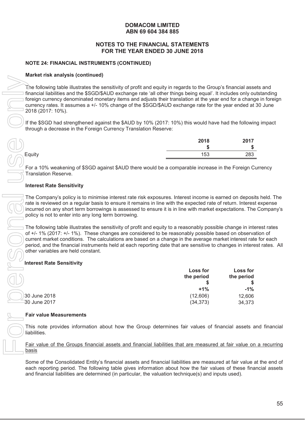#### **NOTES TO THE FINANCIAL STATEMENTS FOR THE YEAR ENDED 30 JUNE 2018**

#### **NOTE 24: FINANCIAL INSTRUMENTS (CONTINUED)**

#### **Market risk analysis (continued)**

The following table illustrates the sensitivity of profit and equity in regards to the Group's financial assets and financial liabilities and the \$SGD/\$AUD exchange rate 'all other things being equal'. It includes only outstanding foreign currency denominated monetary items and adjusts their translation at the year end for a change in foreign currency rates. It assumes a +/- 10% change of the \$SGD/\$AUD exchange rate for the year ended at 30 June 2018 (2017: 10%).

If the \$SGD had strengthened against the \$AUD by 10% (2017: 10%) this would have had the following impact through a decrease in the Foreign Currency Translation Reserve:

|        | 2018<br>- 11 | 2017<br>-11 |
|--------|--------------|-------------|
| Equity | 153          | 283         |

For a 10% weakening of \$SGD against \$AUD there would be a comparable increase in the Foreign Currency Translation Reserve.

#### **Interest Rate Sensitivity**

The Company's policy is to minimise interest rate risk exposures. Interest income is earned on deposits held. The rate is reviewed on a regular basis to ensure it remains in line with the expected rate of return. Interest expense incurred on any short term borrowings is assessed to ensure it is in line with market expectations. The Company's policy is not to enter into any long term borrowing.

The following table illustrates the sensitivity of profit and equity to a reasonably possible change in interest rates of +/- 1% (2017: +/- 1%). These changes are considered to be reasonably possible based on observation of current market conditions. The calculations are based on a change in the average market interest rate for each period, and the financial instruments held at each reporting date that are sensitive to changes in interest rates. All other variables are held constant.

#### **Interest Rate Sensitivity**

| $m$ anot Hon anaryoio (oontiniaca)                                                                                                                                                                                                                                                                                                                                                                                                                                            |                        |                        |
|-------------------------------------------------------------------------------------------------------------------------------------------------------------------------------------------------------------------------------------------------------------------------------------------------------------------------------------------------------------------------------------------------------------------------------------------------------------------------------|------------------------|------------------------|
| The following table illustrates the sensitivity of profit and equity in regards to the Group's financial asse<br>financial liabilities and the \$SGD/\$AUD exchange rate 'all other things being equal'. It includes only ou<br>foreign currency denominated monetary items and adjusts their translation at the year end for a chang<br>currency rates. It assumes a +/- 10% change of the \$SGD/\$AUD exchange rate for the year ended at<br>2018 (2017: 10%).              |                        |                        |
| If the \$SGD had strengthened against the \$AUD by 10% (2017: 10%) this would have had the followin<br>through a decrease in the Foreign Currency Translation Reserve:                                                                                                                                                                                                                                                                                                        |                        |                        |
|                                                                                                                                                                                                                                                                                                                                                                                                                                                                               | 2018                   | 2017                   |
| Equity                                                                                                                                                                                                                                                                                                                                                                                                                                                                        | \$<br>153              | 283                    |
|                                                                                                                                                                                                                                                                                                                                                                                                                                                                               |                        |                        |
| For a 10% weakening of \$SGD against \$AUD there would be a comparable increase in the Foreign Cu<br><b>Translation Reserve.</b>                                                                                                                                                                                                                                                                                                                                              |                        |                        |
| <b>Interest Rate Sensitivity</b>                                                                                                                                                                                                                                                                                                                                                                                                                                              |                        |                        |
| The Company's policy is to minimise interest rate risk exposures. Interest income is earned on deposit<br>rate is reviewed on a regular basis to ensure it remains in line with the expected rate of return. Interest<br>incurred on any short term borrowings is assessed to ensure it is in line with market expectations. The<br>policy is not to enter into any long term borrowing.                                                                                      |                        |                        |
| The following table illustrates the sensitivity of profit and equity to a reasonably possible change in inte<br>of +/- 1% (2017: +/- 1%). These changes are considered to be reasonably possible based on observa<br>current market conditions. The calculations are based on a change in the average market interest rate<br>period, and the financial instruments held at each reporting date that are sensitive to changes in intere<br>other variables are held constant. |                        |                        |
| <b>Interest Rate Sensitivity</b>                                                                                                                                                                                                                                                                                                                                                                                                                                              |                        |                        |
|                                                                                                                                                                                                                                                                                                                                                                                                                                                                               | Loss for<br>the period | Loss for<br>the period |
|                                                                                                                                                                                                                                                                                                                                                                                                                                                                               | $+1%$                  | $-1\%$                 |
| 30 June 2018                                                                                                                                                                                                                                                                                                                                                                                                                                                                  | (12,606)               | 12,606                 |
| 30 June 2017                                                                                                                                                                                                                                                                                                                                                                                                                                                                  | (34, 373)              | 34,373                 |
| <b>Fair value Measurements</b>                                                                                                                                                                                                                                                                                                                                                                                                                                                |                        |                        |
| This note provides information about how the Group determines fair values of financial assets a<br>liabilities.                                                                                                                                                                                                                                                                                                                                                               |                        |                        |
| Fair value of the Groups financial assets and financial liabilities that are measured at fair value on<br>basis                                                                                                                                                                                                                                                                                                                                                               |                        |                        |
| Some of the Consolidated Entity's financial assets and financial liabilities are measured at fair value a<br>each reporting period. The following table gives information about how the fair values of these fina<br>and financial liabilities are determined (in particular, the valuation technique(s) and inputs used).                                                                                                                                                    |                        |                        |

#### **Fair value Measurements**

This note provides information about how the Group determines fair values of financial assets and financial liabilities.

#### Fair value of the Groups financial assets and financial liabilities that are measured at fair value on a recurring basis

Some of the Consolidated Entity's financial assets and financial liabilities are measured at fair value at the end of each reporting period. The following table gives information about how the fair values of these financial assets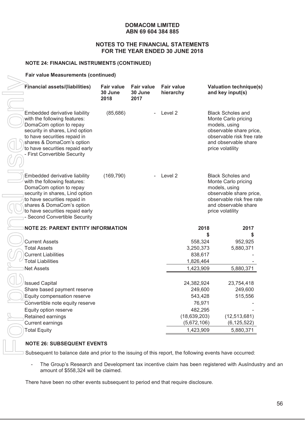#### **NOTES TO THE FINANCIAL STATEMENTS FOR THE YEAR ENDED 30 JUNE 2018**

#### **NOTE 24: FINANCIAL INSTRUMENTS (CONTINUED)**

#### **Fair value Measurements (continued)**

| Financial assets/(liabilities)                                                                                                                                                                                                                               | <b>Fair value</b><br>30 June<br>2018 | <b>Fair value</b><br>30 June<br>2017 | <b>Fair value</b><br>hierarchy |                               | <b>Valuation technique(s)</b><br>and key input(s)                                                                                                                    |
|--------------------------------------------------------------------------------------------------------------------------------------------------------------------------------------------------------------------------------------------------------------|--------------------------------------|--------------------------------------|--------------------------------|-------------------------------|----------------------------------------------------------------------------------------------------------------------------------------------------------------------|
| Embedded derivative liability<br>with the following features:<br>DomaCom option to repay<br>security in shares, Lind option<br>to have securities repaid in<br>shares & DomaCom's option<br>to have securities repaid early<br>- First Convertible Security  | (85,686)                             |                                      | Level 2                        |                               | <b>Black Scholes and</b><br>Monte Carlo pricing<br>models, using<br>observable share price,<br>observable risk free rate<br>and observable share<br>price volatility |
| Embedded derivative liability<br>with the following features:<br>DomaCom option to repay<br>security in shares, Lind option<br>to have securities repaid in<br>shares & DomaCom's option<br>to have securities repaid early<br>- Second Convertible Security | (169, 790)                           | ä,                                   | Level 2                        |                               | <b>Black Scholes and</b><br>Monte Carlo pricing<br>models, using<br>observable share price,<br>observable risk free rate<br>and observable share<br>price volatility |
| <b>NOTE 25: PARENT ENTITY INFORMATION</b>                                                                                                                                                                                                                    |                                      |                                      |                                | 2018                          | 2017                                                                                                                                                                 |
|                                                                                                                                                                                                                                                              |                                      |                                      |                                | S                             |                                                                                                                                                                      |
| <b>Current Assets</b>                                                                                                                                                                                                                                        |                                      |                                      |                                | 558,324                       | 952,925                                                                                                                                                              |
| <b>Total Assets</b>                                                                                                                                                                                                                                          |                                      |                                      |                                | 3,250,373                     | 5,880,371                                                                                                                                                            |
| <b>Current Liabilities</b>                                                                                                                                                                                                                                   |                                      |                                      |                                | 838,617                       |                                                                                                                                                                      |
| <b>Total Liabilities</b>                                                                                                                                                                                                                                     |                                      |                                      |                                | 1,826,464                     |                                                                                                                                                                      |
| <b>Net Assets</b>                                                                                                                                                                                                                                            |                                      |                                      |                                | 1,423,909                     | 5,880,371                                                                                                                                                            |
|                                                                                                                                                                                                                                                              |                                      |                                      |                                |                               |                                                                                                                                                                      |
| <b>Issued Capital</b>                                                                                                                                                                                                                                        |                                      |                                      |                                | 24,382,924                    | 23,754,418                                                                                                                                                           |
| Share based payment reserve                                                                                                                                                                                                                                  |                                      |                                      |                                | 249,600                       | 249,600                                                                                                                                                              |
| Equity compensation reserve                                                                                                                                                                                                                                  |                                      |                                      |                                | 543,428                       | 515,556                                                                                                                                                              |
| Convertible note equity reserve                                                                                                                                                                                                                              |                                      |                                      |                                | 76,971                        |                                                                                                                                                                      |
| Equity option reserve                                                                                                                                                                                                                                        |                                      |                                      |                                | 482,295                       |                                                                                                                                                                      |
| Retained earnings                                                                                                                                                                                                                                            |                                      |                                      |                                | (18, 639, 203)<br>(5,672,106) | (12, 513, 681)                                                                                                                                                       |
| <b>Current earnings</b>                                                                                                                                                                                                                                      |                                      |                                      |                                |                               | (6, 125, 522)                                                                                                                                                        |
| <b>Total Equity</b>                                                                                                                                                                                                                                          |                                      |                                      |                                | 1,423,909                     | 5,880,371                                                                                                                                                            |
| <b>NOTE 26: SUBSEQUENT EVENTS</b>                                                                                                                                                                                                                            |                                      |                                      |                                |                               |                                                                                                                                                                      |
| Subsequent to balance date and prior to the issuing of this report, the following events have occurred:                                                                                                                                                      |                                      |                                      |                                |                               |                                                                                                                                                                      |
| The Group's Research and Development tax incentive claim has been registered with AusIndustr                                                                                                                                                                 |                                      |                                      |                                |                               |                                                                                                                                                                      |
| amount of \$558,324 will be claimed.                                                                                                                                                                                                                         |                                      |                                      |                                |                               |                                                                                                                                                                      |
| There have been no other events subsequent to period end that require disclosure.                                                                                                                                                                            |                                      |                                      |                                |                               |                                                                                                                                                                      |

#### **NOTE 26: SUBSEQUENT EVENTS**

- The Group's Research and Development tax incentive claim has been registered with AusIndustry and an amount of \$558,324 will be claimed.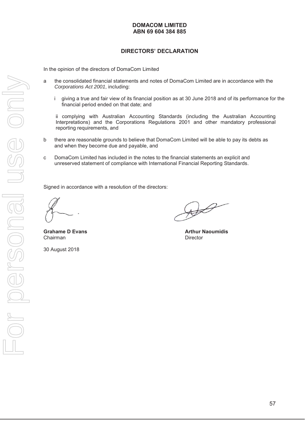# **DIRECTORS' DECLARATION**

In the opinion of the directors of DomaCom Limited

- a the consolidated financial statements and notes of DomaCom Limited are in accordance with the *Corporations Act 2001*, including:
	- i giving a true and fair view of its financial position as at 30 June 2018 and of its performance for the financial period ended on that date; and

ii complying with Australian Accounting Standards (including the Australian Accounting Interpretations) and the Corporations Regulations 2001 and other mandatory professional reporting requirements, and

- b there are reasonable grounds to believe that DomaCom Limited will be able to pay its debts as and when they become due and payable, and
- c DomaCom Limited has included in the notes to the financial statements an explicit and unreserved statement of compliance with International Financial Reporting Standards.

Signed in accordance with a resolution of the directors:

Chairman **Director** 

30 August 2018

 $\cancel{\varphi}$ 

**Grahame D Evans Arthur Naoumidis Arthur Naoumidis**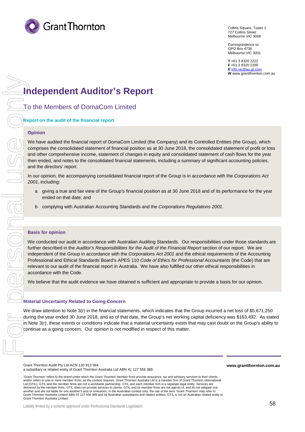

Collins Square, Tower 1 727 Collins Street Melbourne VIC 3008

Correspondence to: GPO Box 4736 Melbourne VIC 3001

**T** +61 3 8320 2222 **F** +61 3 8320 2200 **E** [info.vic@au.gt.com](mailto:info.vic@au.gt.com) **W** www.grantthornton.com.au

# **Independent Auditor's Report**

To the Members of DomaCom Limited

**Report on the audit of the financial report**

#### **Opinion**

We have audited the financial report of DomaCom Limited (the Company) and its Controlled Entities (the Group), which comprises the consolidated statement of financial position as at 30 June 2018, the consolidated statement of profit or loss and other comprehensive income, statement of changes in equity and consolidated statement of cash flows for the year then ended, and notes to the consolidated financial statements, including a summary of significant accounting policies, and the directors' report.

In our opinion, the accompanying consolidated financial report of the Group is in accordance with the *Corporations Act 2001*, including:

- a giving a true and fair view of the Group's financial position as at 30 June 2018 and of its performance for the year ended on that date; and
- b complying with Australian Accounting Standards and the *Corporations Regulations 2001*.

#### **Basis for opinion**

We conducted our audit in accordance with Australian Auditing Standards. Our responsibilities under those standards are further described in the Auditor's Responsibilities for the Audit of the Financial Report section of our report. We are independent of the Group in accordance with the *Corporations Act 2001* and the ethical requirements of the Accounting Professional and Ethical Standards Board's APES 110 *Code of Ethics for Professional Accountants* (the Code) that are relevant to our audit of the financial report in Australia. We have also fulfilled our other ethical responsibilities in accordance with the Code.

We believe that the audit evidence we have obtained is sufficient and appropriate to provide a basis for our opinion.

#### **Material Uncertainty Related to Going Concern**

We draw attention to Note 3(r) in the financial statements, which indicates that the Group incurred a net loss of \$5,671,250 during the year ended 30 June 2018, and as of that date, the Group's net working capital deficiency was \$163,492. As stated in Note 3(r), these events or conditions indicate that a material uncertainty exists that may cast doubt on the Group's ability to continue as a going concern. Our opinion is not modified in respect of this matter.

Grant Thornton Audit Pty Ltd ACN 130 913 594 a subsidiary or related entity of Grant Thornton Australia Ltd ABN 41 127 556 389 **www.grantthornton.com.au**

'Grant Thornton' refers to the brand under which the Grant Thornton member firms provide assurance, tax and advisory services to their clients and/or refers to one or more member firms, as the context requires. Grant Thornton Australia Ltd is a member firm of Grant Thornton International Ltd (GTIL). GTIL and the member firms are not a worldwide partnership. GTIL and each member firm is a separate legal entity. Services are delivered by the member firms. GTIL does not provide services to clients. GTIL and its member firms are not agents of, and do not obligate one<br>another and are not liable for one another's acts or omissions. In the Australi another and are not liable for one another's acts or omissions. In the Australian context only, the use of the ter Grant Thornton Australia Limited ABN 41 127 556 389 and its Australian subsidiaries and related entities. GTIL is not an Australian related entity to Grant Thornton Australia Limited.

Liability limited by a scheme approved under Professional Standards Legislation.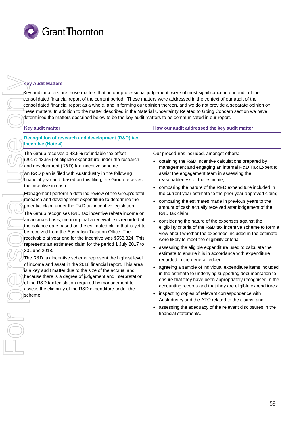

#### **Key Audit Matters**

Key audit matters are those matters that, in our professional judgement, were of most significance in our audit of the consolidated financial report of the current period. These matters were addressed in the context of our audit of the consolidated financial report as a whole, and in forming our opinion thereon, and we do not provide a separate opinion on these matters. In addition to the matter described in the Material Uncertainty Related to Going Concern section we have determined the matters described below to be the key audit matters to be communicated in our report.

#### **Key audit matter How our audit addressed the key audit matter**

**Recognition of research and development (R&D) tax incentive (Note 4)**

The Group receives a 43.5% refundable tax offset (2017: 43.5%) of eligible expenditure under the research and development (R&D) tax incentive scheme.

An R&D plan is filed with AusIndustry in the following financial year and, based on this filing, the Group receives the incentive in cash.

Management perform a detailed review of the Group's total research and development expenditure to determine the potential claim under the R&D tax incentive legislation.

The Group recognises R&D tax incentive rebate income on an accruals basis, meaning that a receivable is recorded at the balance date based on the estimated claim that is yet to be received from the Australian Taxation Office. The receivable at year end for the incentive was \$558,324. This represents an estimated claim for the period 1 July 2017 to 30 June 2018.

The R&D tax incentive scheme represent the highest level of income and asset in the 2018 financial report. This area is a key audit matter due to the size of the accrual and because there is a degree of judgement and interpretation of the R&D tax legislation required by management to assess the eligibility of the R&D expenditure under the scheme.

Our procedures included, amongst others:

- obtaining the R&D incentive calculations prepared by management and engaging an internal R&D Tax Expert to assist the engagement team in assessing the reasonableness of the estimate;
- comparing the nature of the R&D expenditure included in the current year estimate to the prior year approved claim;
- comparing the estimates made in previous years to the amount of cash actually received after lodgement of the R&D tax claim;
- considering the nature of the expenses against the eligibility criteria of the R&D tax incentive scheme to form a view about whether the expenses included in the estimate were likely to meet the eligibility criteria;
- assessing the eligible expenditure used to calculate the estimate to ensure it is in accordance with expenditure recorded in the general ledger;
- agreeing a sample of individual expenditure items included in the estimate to underlying supporting documentation to ensure that they have been appropriately recognised in the accounting records and that they are eligible expenditures;
- inspecting copies of relevant correspondence with AusIndustry and the ATO related to the claims; and
- assessing the adequacy of the relevant disclosures in the financial statements.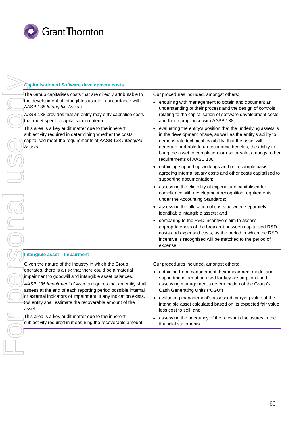

#### **Capitalisation of Software development costs**

The Group capitalises costs that are directly attributable to the development of intangibles assets in accordance with AASB 138 *Intangible Assets*.

AASB 138 provides that an entity may only capitalise costs that meet specific capitalisation criteria.

This area is a key audit matter due to the inherent subjectivity required in determining whether the costs capitalised meet the requirements of AASB 138 *Intangible Assets.*

Our procedures included, amongst others:

- enquiring with management to obtain and document an understanding of their process and the design of controls relating to the capitalisation of software development costs and their compliance with AASB 138;
- evaluating the entity's position that the underlying assets is in the development phase, as well as the entity's ability to demonstrate technical feasibility, that the asset will generate probable future economic benefits, the ability to bring the asset to completion for use or sale, amongst other requirements of AASB 138;
- obtaining supporting workings and on a sample basis, agreeing internal salary costs and other costs capitalised to supporting documentation;
- assessing the eligibility of expenditure capitalised for compliance with development recognition requirements under the Accounting Standards;
- assessing the allocation of costs between separately identifiable intangible assets; and
- comparing to the R&D incentive claim to assess appropriateness of the breakout between capitalised R&D costs and expensed costs, as the period in which the R&D incentive is recognised will be matched to the period of expense.

#### **Intangible asset – Impairment**

Given the nature of the industry in which the Group operates, there is a risk that there could be a material impairment to goodwill and intangible asset balances. *AASB 136 Impairment of Assets* requires that an entity shall

assess at the end of each reporting period possible internal or external indicators of impairment. If any indication exists, the entity shall estimate the recoverable amount of the asset.

This area is a key audit matter due to the inherent subjectivity required in measuring the recoverable amount. Our procedures included, amongst others:

- obtaining from management their impairment model and supporting information used for key assumptions and assessing management's determination of the Group's Cash Generating Units ("CGU");
- evaluating management's assessed carrying value of the intangible asset calculated based on its expected fair value less cost to sell; and
- assessing the adequacy of the relevant disclosures in the financial statements.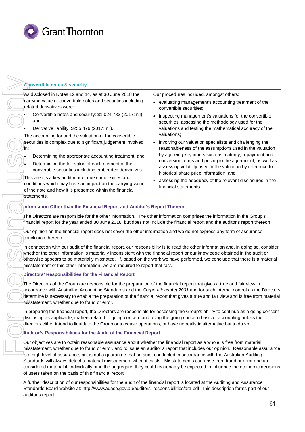

#### **Convertible notes & security**

As disclosed in Notes 12 and 14, as at 30 June 2018 the carrying value of convertible notes and securities including related derivatives were:

- Convertible notes and security: \$1,024,783 (2017: nil); and
- Derivative liability: \$255,476 (2017: nil).

The accounting for and the valuation of the convertible securities is complex due to significant judgement involved in:

• Determining the appropriate accounting treatment; and

• Determining the fair value of each element of the convertible securities including embedded derivatives.

This area is a key audit matter due complexities and conditions which may have an impact on the carrying value of the note and how it is presented within the financial statements.

- Our procedures included, amongst others:
- evaluating management's accounting treatment of the convertible securities;
- inspecting management's valuations for the convertible securities, assessing the methodology used for the valuations and testing the mathematical accuracy of the valuations;
- involving our valuation specialists and challenging the reasonableness of the assumptions used in the valuation by agreeing key inputs such as maturity, repayment and conversion terms and pricing to the agreement, as well as assessing volatility used in the valuation by reference to historical share price information; and
- assessing the adequacy of the relevant disclosures in the financial statements.

#### **Information Other than the Financial Report and Auditor's Report Thereon**

The Directors are responsible for the other information. The other information comprises the information in the Group's financial report for the year ended 30 June 2018, but does not include the financial report and the auditor's report thereon.

Our opinion on the financial report does not cover the other information and we do not express any form of assurance conclusion thereon.

In connection with our audit of the financial report, our responsibility is to read the other information and, in doing so, consider whether the other information is materially inconsistent with the financial report or our knowledge obtained in the audit or otherwise appears to be materially misstated. If, based on the work we have performed, we conclude that there is a material misstatement of this other information, we are required to report that fact.

#### **Directors' Responsibilities for the Financial Report**

The Directors of the Group are responsible for the preparation of the financial report that gives a true and fair view in accordance with Australian Accounting Standards and the *Corporations Act 2001* and for such internal control as the Directors determine is necessary to enable the preparation of the financial report that gives a true and fair view and is free from material misstatement, whether due to fraud or error.

In preparing the financial report, the Directors are responsible for assessing the Group's ability to continue as a going concern, disclosing as applicable, matters related to going concern and using the going concern basis of accounting unless the directors either intend to liquidate the Group or to cease operations, or have no realistic alternative but to do so.

#### **Auditor's Responsibilities for the Audit of the Financial Report**

Our objectives are to obtain reasonable assurance about whether the financial report as a whole is free from material misstatement, whether due to fraud or error, and to issue an auditor's report that includes our opinion. Reasonable assurance is a high level of assurance, but is not a guarantee that an audit conducted in accordance with the Australian Auditing Standards will always detect a material misstatement when it exists. Misstatements can arise from fraud or error and are considered material if, individually or in the aggregate, they could reasonably be expected to influence the economic decisions of users taken on the basis of this financial report.

A further description of our responsibilities for the audit of the financial report is located at the Auditing and Assurance Standards Board website at: http://www.auasb.gov.au/auditors\_responsibilities/ar1.pdf. This description forms part of our auditor's report.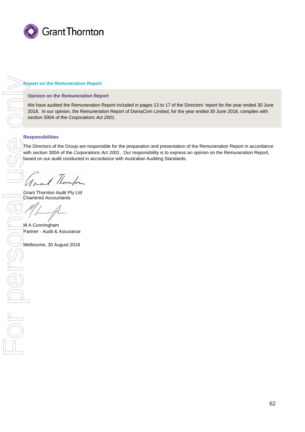

#### **Report on the Remuneration Report**

#### **Opinion on the Remuneration Report**

We have audited the Remuneration Report included in pages 13 to 17 of the Directors' report for the year ended 30 June 2018. In our opinion, the Remuneration Report of DomaCom Limited, for the year ended 30 June 2018, complies with section 300A of the *Corporations Act 2001*.

#### **Responsibilities**

The Directors of the Group are responsible for the preparation and presentation of the Remuneration Report in accordance with section 300A of the *Corporations Act 2001*. Our responsibility is to express an opinion on the Remuneration Report, based on our audit conducted in accordance with Australian Auditing Standards.

+ thorn

Grant Thornton Audit Pty Ltd Chartered Accountants

M A Cunningham Partner - Audit & Assurance

Melbourne, 30 August 2018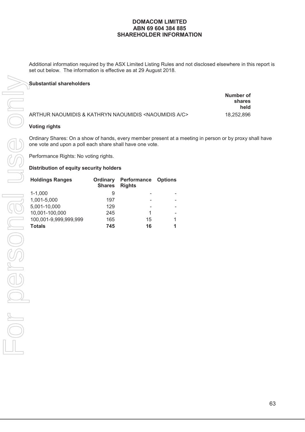# **DOMACOM LIMITED ABN 69 604 384 885 SHAREHOLDER INFORMATION**

Additional information required by the ASX Limited Listing Rules and not disclosed elsewhere in this report is set out below. The information is effective as at 29 August 2018.

# **Substantial shareholders**

|                                                                        | Number of<br>shares<br>held |
|------------------------------------------------------------------------|-----------------------------|
| ARTHUR NAOUMIDIS & KATHRYN NAOUMIDIS <naoumidis a="" c=""></naoumidis> | 18.252.896                  |

Ordinary Shares: On a show of hands, every member present at a meeting in person or by proxy shall have one vote and upon a poll each share shall have one vote.

Performance Rights: No voting rights.

#### **Distribution of equity security holders**

| <b>Holdings Ranges</b> | Ordinary<br><b>Shares</b> | <b>Performance Options</b><br><b>Rights</b> |   |
|------------------------|---------------------------|---------------------------------------------|---|
| $1 - 1,000$            | 9                         |                                             |   |
| 1,001-5,000            | 197                       |                                             |   |
| 5,001-10,000           | 129                       |                                             |   |
| 10,001-100,000         | 245                       | 1                                           |   |
| 100,001-9,999,999,999  | 165                       | 15                                          | 1 |
| <b>Totals</b>          | 745                       | 16                                          | 1 |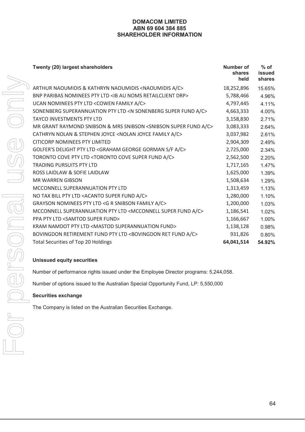# **DOMACOM LIMITED ABN 69 604 384 885 SHAREHOLDER INFORMATION**

| Twenty (20) largest shareholders                                                      | Number of<br>shares<br>held | $%$ of<br>issued<br>shares |
|---------------------------------------------------------------------------------------|-----------------------------|----------------------------|
| ARTHUR NAOUMIDIS & KATHRYN NAOUMIDIS <naoumidis a="" c=""></naoumidis>                | 18,252,896                  | 15.65%                     |
| BNP PARIBAS NOMINEES PTY LTD <ib au="" drp="" noms="" retailclient=""></ib>           | 5,788,466                   | 4.96%                      |
| UCAN NOMINEES PTY LTD <cowen a="" c="" family=""></cowen>                             | 4,797,445                   | 4.11%                      |
| SONENBERG SUPERANNUATION PTY LTD <n a="" c="" fund="" sonenberg="" super=""></n>      | 4,663,333                   | 4.00%                      |
| <b>TAYCO INVESTMENTS PTY LTD</b>                                                      | 3,158,830                   | 2.71%                      |
| MR GRANT RAYMOND SNIBSON & MRS SNIBSON <snibson a="" c="" fund="" super=""></snibson> | 3,083,333                   | 2.64%                      |
| CATHRYN NOLAN & STEPHEN JOYCE <nolan a="" c="" family="" joyce=""></nolan>            | 3,037,982                   | 2.61%                      |
| <b>CITICORP NOMINEES PTY LIMITED</b>                                                  | 2,904,309                   | 2.49%                      |
| GOLFER'S DELIGHT PTY LTD <graham a="" c="" f="" george="" gorman="" s=""></graham>    | 2,725,000                   | 2.34%                      |
| TORONTO COVE PTY LTD <toronto a="" c="" cove="" fund="" super=""></toronto>           | 2,562,500                   | 2.20%                      |
| <b>TRADING PURSUITS PTY LTD</b>                                                       | 1,717,165                   | 1.47%                      |
| ROSS LAIDLAW & SOFIE LAIDLAW                                                          | 1,625,000                   | 1.39%                      |
| <b>MR WARREN GIBSON</b>                                                               | 1,508,634                   | 1.29%                      |
| MCCONNELL SUPERANNUATION PTY LTD                                                      | 1,313,459                   | 1.13%                      |
| NO TAX BILL PTY LTD <acanto a="" c="" fund="" super=""></acanto>                      | 1,280,000                   | 1.10%                      |
| GRAYSON NOMINEES PTY LTD <g a="" c="" family="" r="" snibson=""></g>                  | 1,200,000                   | 1.03%                      |
| MCCONNELL SUPERANNUATION PTY LTD <mcconnell a="" c="" fund="" super=""></mcconnell>   | 1,186,541                   | 1.02%                      |
| <b>PPA PTY LTD <samtod fund="" super=""></samtod></b>                                 | 1,166,667                   | 1.00%                      |
| KRAM NAMDOT PTY LTD <mastod fund="" superannuation=""></mastod>                       | 1,138,128                   | 0.98%                      |
| BOVINGDON RETIREMENT FUND PTY LTD <bovingdon a="" c="" fund="" ret=""></bovingdon>    | 931,826                     | 0.80%                      |
| <b>Total Securities of Top 20 Holdings</b>                                            | 64,041,514                  | 54.92%                     |

# **Unissued equity securities**

Number of performance rights issued under the Employee Director programs: 5,244,058.

Number of options issued to the Australian Special Opportunity Fund, LP: 5,550,000

# **Securities exchange**

The Company is listed on the Australian Securities Exchange.